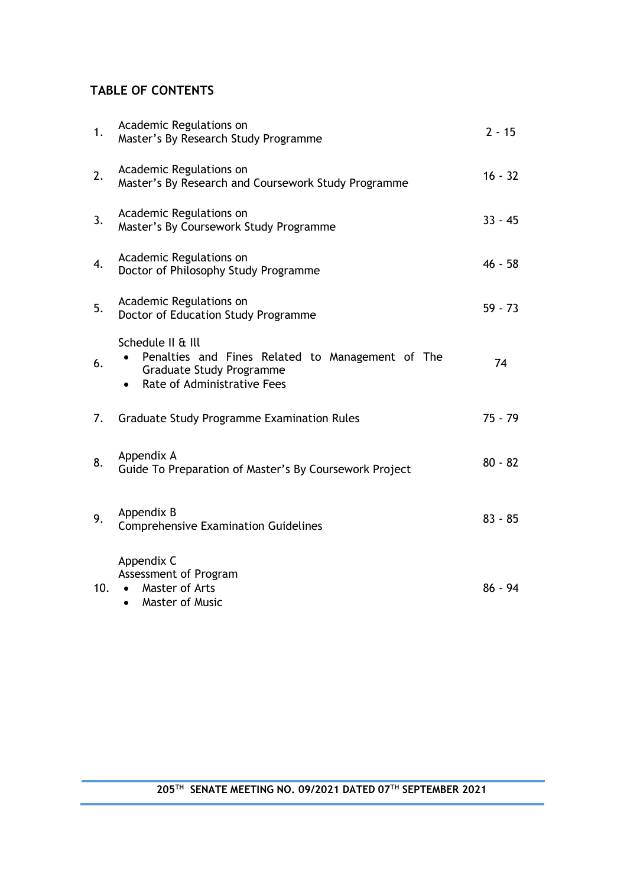# **TABLE OF CONTENTS**

| 1.  | Academic Regulations on<br>Master's By Research Study Programme                                                                                      | $2 - 15$  |
|-----|------------------------------------------------------------------------------------------------------------------------------------------------------|-----------|
| 2.  | Academic Regulations on<br>Master's By Research and Coursework Study Programme                                                                       | $16 - 32$ |
| 3.  | Academic Regulations on<br>Master's By Coursework Study Programme                                                                                    | $33 - 45$ |
| 4.  | Academic Regulations on<br>Doctor of Philosophy Study Programme                                                                                      | $46 - 58$ |
| 5.  | Academic Regulations on<br>Doctor of Education Study Programme                                                                                       | $59 - 73$ |
| 6.  | Schedule II & Ill<br>Penalties and Fines Related to Management of The<br><b>Graduate Study Programme</b><br>Rate of Administrative Fees<br>$\bullet$ | 74        |
| 7.  | Graduate Study Programme Examination Rules                                                                                                           | $75 - 79$ |
| 8.  | Appendix A<br>Guide To Preparation of Master's By Coursework Project                                                                                 | $80 - 82$ |
| 9.  | Appendix B<br><b>Comprehensive Examination Guidelines</b>                                                                                            | $83 - 85$ |
| 10. | Appendix C<br>Assessment of Program<br>Master of Arts<br>$\bullet$<br><b>Master of Music</b><br>$\bullet$                                            | $86 - 94$ |

## **205TH SENATE MEETING NO. 09/2021 DATED 07 TH SEPTEMBER 2021**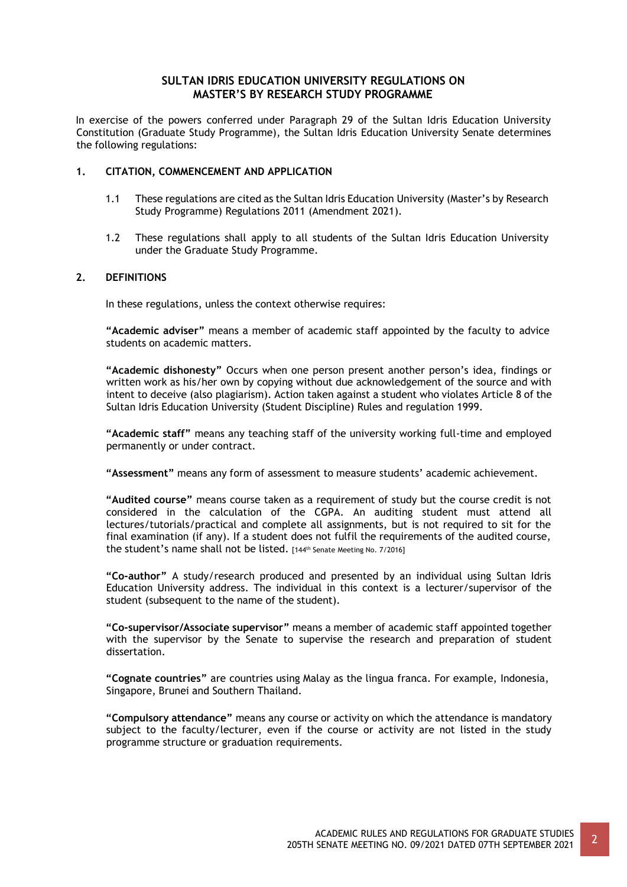## **SULTAN IDRIS EDUCATION UNIVERSITY REGULATIONS ON MASTER'S BY RESEARCH STUDY PROGRAMME**

In exercise of the powers conferred under Paragraph 29 of the Sultan Idris Education University Constitution (Graduate Study Programme), the Sultan Idris Education University Senate determines the following regulations:

### **1. CITATION, COMMENCEMENT AND APPLICATION**

- 1.1 These regulations are cited as the Sultan Idris Education University (Master's by Research Study Programme) Regulations 2011 (Amendment 2021).
- 1.2 These regulations shall apply to all students of the Sultan Idris Education University under the Graduate Study Programme.

### **2. DEFINITIONS**

In these regulations, unless the context otherwise requires:

**"Academic adviser"** means a member of academic staff appointed by the faculty to advice students on academic matters.

**"Academic dishonesty"** Occurs when one person present another person's idea, findings or written work as his/her own by copying without due acknowledgement of the source and with intent to deceive (also plagiarism). Action taken against a student who violates Article 8 of the Sultan Idris Education University (Student Discipline) Rules and regulation 1999.

**"Academic staff"** means any teaching staff of the university working full-time and employed permanently or under contract.

**"Assessment"** means any form of assessment to measure students' academic achievement.

**"Audited course"** means course taken as a requirement of study but the course credit is not considered in the calculation of the CGPA. An auditing student must attend all lectures/tutorials/practical and complete all assignments, but is not required to sit for the final examination (if any). If a student does not fulfil the requirements of the audited course, the student's name shall not be listed. [144th Senate Meeting No. 7/2016]

**"Co-author"** A study/research produced and presented by an individual using Sultan Idris Education University address. The individual in this context is a lecturer/supervisor of the student (subsequent to the name of the student).

**"Co-supervisor/Associate supervisor"** means a member of academic staff appointed together with the supervisor by the Senate to supervise the research and preparation of student dissertation.

**"Cognate countries"** are countries using Malay as the lingua franca. For example, Indonesia, Singapore, Brunei and Southern Thailand.

**"Compulsory attendance"** means any course or activity on which the attendance is mandatory subject to the faculty/lecturer, even if the course or activity are not listed in the study programme structure or graduation requirements.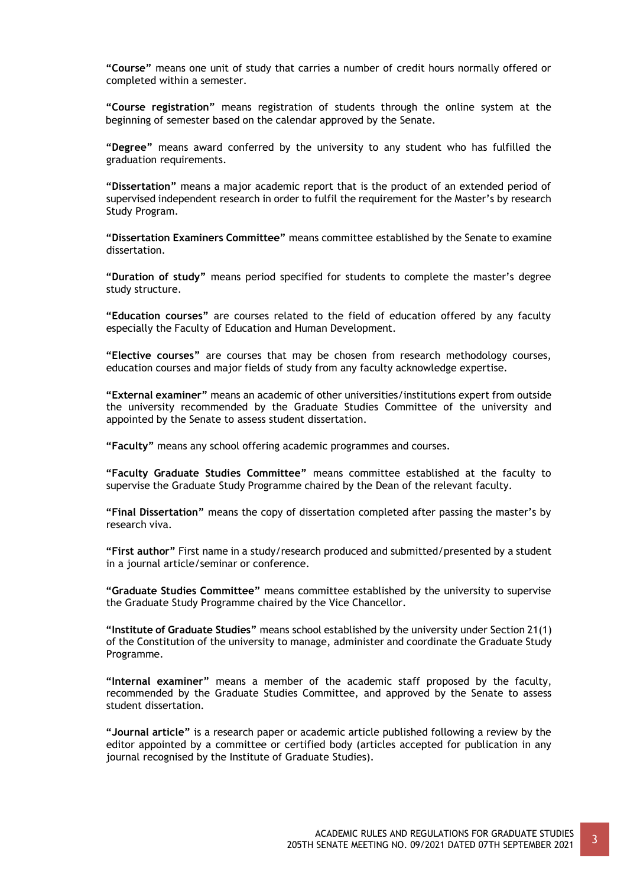**"Course"** means one unit of study that carries a number of credit hours normally offered or completed within a semester.

**"Course registration"** means registration of students through the online system at the beginning of semester based on the calendar approved by the Senate.

**"Degree"** means award conferred by the university to any student who has fulfilled the graduation requirements.

**"Dissertation"** means a major academic report that is the product of an extended period of supervised independent research in order to fulfil the requirement for the Master's by research Study Program.

**"Dissertation Examiners Committee"** means committee established by the Senate to examine dissertation.

**"Duration of study"** means period specified for students to complete the master's degree study structure.

**"Education courses"** are courses related to the field of education offered by any faculty especially the Faculty of Education and Human Development.

**"Elective courses"** are courses that may be chosen from research methodology courses, education courses and major fields of study from any faculty acknowledge expertise.

**"External examiner"** means an academic of other universities/institutions expert from outside the university recommended by the Graduate Studies Committee of the university and appointed by the Senate to assess student dissertation.

**"Faculty"** means any school offering academic programmes and courses.

**"Faculty Graduate Studies Committee"** means committee established at the faculty to supervise the Graduate Study Programme chaired by the Dean of the relevant faculty.

**"Final Dissertation"** means the copy of dissertation completed after passing the master's by research viva.

**"First author"** First name in a study/research produced and submitted/presented by a student in a journal article/seminar or conference.

**"Graduate Studies Committee"** means committee established by the university to supervise the Graduate Study Programme chaired by the Vice Chancellor.

**"Institute of Graduate Studies"** means school established by the university under Section 21(1) of the Constitution of the university to manage, administer and coordinate the Graduate Study Programme.

**"Internal examiner"** means a member of the academic staff proposed by the faculty, recommended by the Graduate Studies Committee, and approved by the Senate to assess student dissertation.

**"Journal article"** is a research paper or academic article published following a review by the editor appointed by a committee or certified body (articles accepted for publication in any journal recognised by the Institute of Graduate Studies).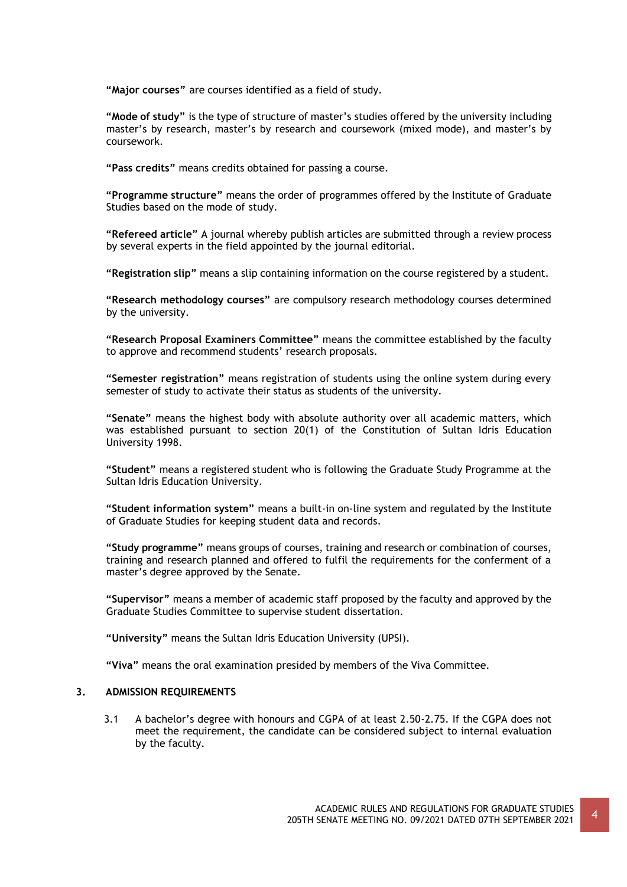**"Major courses"** are courses identified as a field of study.

**"Mode of study"** is the type of structure of master's studies offered by the university including master's by research, master's by research and coursework (mixed mode), and master's by coursework.

**"Pass credits"** means credits obtained for passing a course.

**"Programme structure"** means the order of programmes offered by the Institute of Graduate Studies based on the mode of study.

**"Refereed article"** A journal whereby publish articles are submitted through a review process by several experts in the field appointed by the journal editorial.

**"Registration slip"** means a slip containing information on the course registered by a student.

**"Research methodology courses"** are compulsory research methodology courses determined by the university.

**"Research Proposal Examiners Committee"** means the committee established by the faculty to approve and recommend students' research proposals.

**"Semester registration"** means registration of students using the online system during every semester of study to activate their status as students of the university.

**"Senate"** means the highest body with absolute authority over all academic matters, which was established pursuant to section 20(1) of the Constitution of Sultan Idris Education University 1998.

**"Student"** means a registered student who is following the Graduate Study Programme at the Sultan Idris Education University.

**"Student information system"** means a built-in on-line system and regulated by the Institute of Graduate Studies for keeping student data and records.

**"Study programme"** means groups of courses, training and research or combination of courses, training and research planned and offered to fulfil the requirements for the conferment of a master's degree approved by the Senate.

**"Supervisor"** means a member of academic staff proposed by the faculty and approved by the Graduate Studies Committee to supervise student dissertation.

**"University"** means the Sultan Idris Education University (UPSI).

**"Viva"** means the oral examination presided by members of the Viva Committee.

### **3. ADMISSION REQUIREMENTS**

3.1 A bachelor's degree with honours and CGPA of at least 2.50-2.75. If the CGPA does not meet the requirement, the candidate can be considered subject to internal evaluation by the faculty.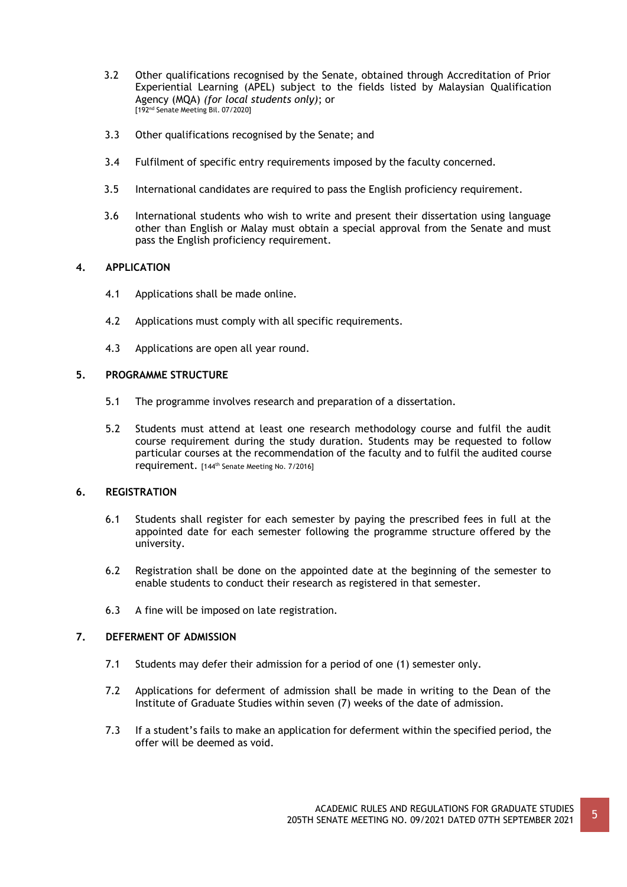- 3.2 Other qualifications recognised by the Senate, obtained through Accreditation of Prior Experiential Learning (APEL) subject to the fields listed by Malaysian Qualification Agency (MQA) *(for local students only)*; or [192nd Senate Meeting Bil. 07/2020]
- 3.3 Other qualifications recognised by the Senate; and
- 3.4 Fulfilment of specific entry requirements imposed by the faculty concerned.
- 3.5 International candidates are required to pass the English proficiency requirement.
- 3.6 International students who wish to write and present their dissertation using language other than English or Malay must obtain a special approval from the Senate and must pass the English proficiency requirement.

### **4. APPLICATION**

- 4.1 Applications shall be made online.
- 4.2 Applications must comply with all specific requirements.
- 4.3 Applications are open all year round.

## **5. PROGRAMME STRUCTURE**

- 5.1 The programme involves research and preparation of a dissertation.
- 5.2 Students must attend at least one research methodology course and fulfil the audit course requirement during the study duration. Students may be requested to follow particular courses at the recommendation of the faculty and to fulfil the audited course requirement. [144th Senate Meeting No. 7/2016]

### **6. REGISTRATION**

- 6.1 Students shall register for each semester by paying the prescribed fees in full at the appointed date for each semester following the programme structure offered by the university.
- 6.2 Registration shall be done on the appointed date at the beginning of the semester to enable students to conduct their research as registered in that semester.
- 6.3 A fine will be imposed on late registration.

## **7. DEFERMENT OF ADMISSION**

- 7.1 Students may defer their admission for a period of one (1) semester only.
- 7.2 Applications for deferment of admission shall be made in writing to the Dean of the Institute of Graduate Studies within seven (7) weeks of the date of admission.
- 7.3 If a student's fails to make an application for deferment within the specified period, the offer will be deemed as void.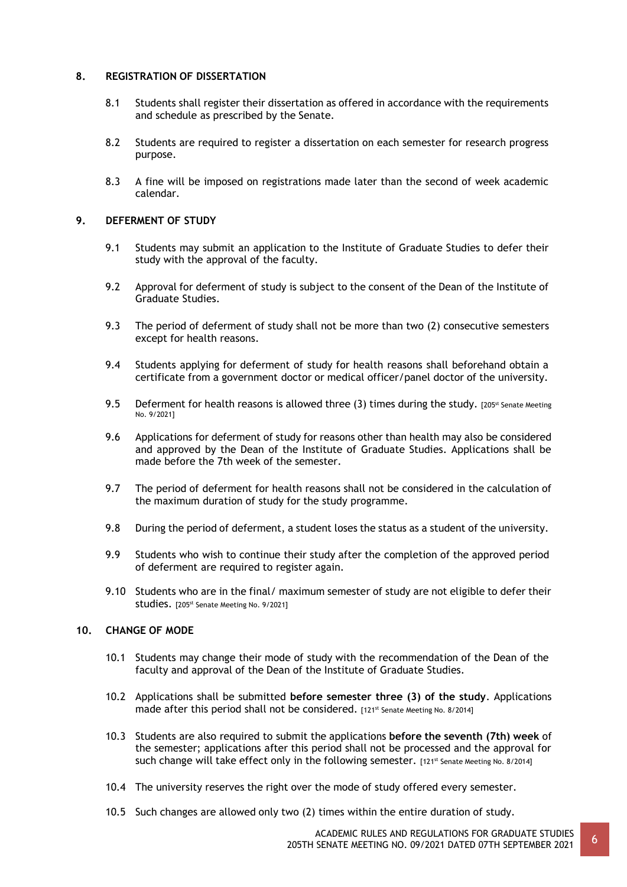### **8. REGISTRATION OF DISSERTATION**

- 8.1 Students shall register their dissertation as offered in accordance with the requirements and schedule as prescribed by the Senate.
- 8.2 Students are required to register a dissertation on each semester for research progress purpose.
- 8.3 A fine will be imposed on registrations made later than the second of week academic calendar.

### **9. DEFERMENT OF STUDY**

- 9.1 Students may submit an application to the Institute of Graduate Studies to defer their study with the approval of the faculty.
- 9.2 Approval for deferment of study is subject to the consent of the Dean of the Institute of Graduate Studies.
- 9.3 The period of deferment of study shall not be more than two (2) consecutive semesters except for health reasons.
- 9.4 Students applying for deferment of study for health reasons shall beforehand obtain a certificate from a government doctor or medical officer/panel doctor of the university.
- 9.5 Deferment for health reasons is allowed three (3) times during the study. [205<sup>st</sup> Senate Meeting No. 9/2021]
- 9.6 Applications for deferment of study for reasons other than health may also be considered and approved by the Dean of the Institute of Graduate Studies. Applications shall be made before the 7th week of the semester.
- 9.7 The period of deferment for health reasons shall not be considered in the calculation of the maximum duration of study for the study programme.
- 9.8 During the period of deferment, a student loses the status as a student of the university.
- 9.9 Students who wish to continue their study after the completion of the approved period of deferment are required to register again.
- 9.10 Students who are in the final/ maximum semester of study are not eligible to defer their studies. [205st Senate Meeting No. 9/2021]

### **10. CHANGE OF MODE**

- 10.1 Students may change their mode of study with the recommendation of the Dean of the faculty and approval of the Dean of the Institute of Graduate Studies.
- 10.2 Applications shall be submitted **before semester three (3) of the study**. Applications made after this period shall not be considered. [121st Senate Meeting No. 8/2014]
- 10.3 Students are also required to submit the applications **before the seventh (7th) week** of the semester; applications after this period shall not be processed and the approval for such change will take effect only in the following semester. [121st Senate Meeting No. 8/2014]
- 10.4 The university reserves the right over the mode of study offered every semester.
- 10.5 Such changes are allowed only two (2) times within the entire duration of study.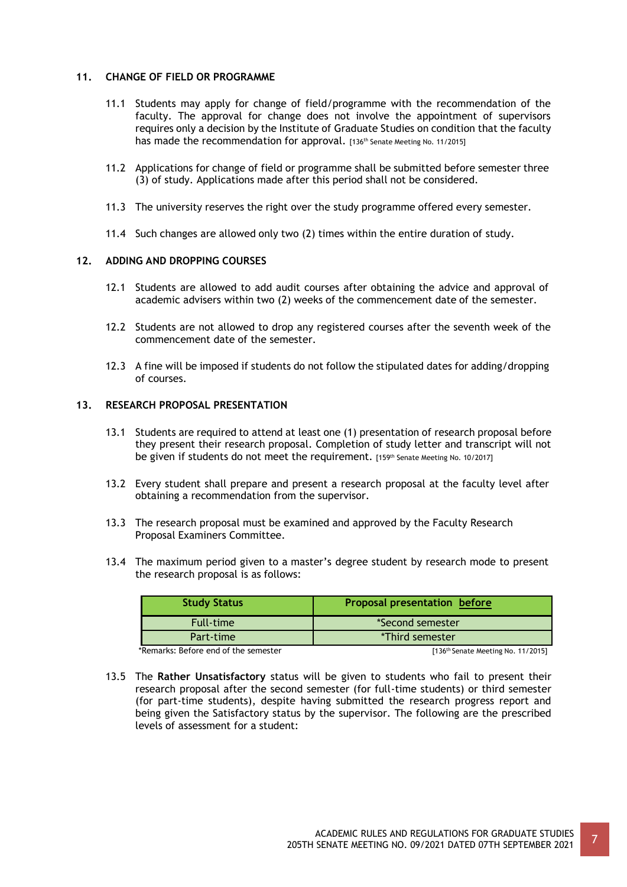### **11. CHANGE OF FIELD OR PROGRAMME**

- 11.1 Students may apply for change of field/programme with the recommendation of the faculty. The approval for change does not involve the appointment of supervisors requires only a decision by the Institute of Graduate Studies on condition that the faculty has made the recommendation for approval. [136<sup>th</sup> Senate Meeting No. 11/2015]
- 11.2 Applications for change of field or programme shall be submitted before semester three (3) of study. Applications made after this period shall not be considered.
- 11.3 The university reserves the right over the study programme offered every semester.
- 11.4 Such changes are allowed only two (2) times within the entire duration of study.

## **12. ADDING AND DROPPING COURSES**

- 12.1 Students are allowed to add audit courses after obtaining the advice and approval of academic advisers within two (2) weeks of the commencement date of the semester.
- 12.2 Students are not allowed to drop any registered courses after the seventh week of the commencement date of the semester.
- 12.3 A fine will be imposed if students do not follow the stipulated dates for adding/dropping of courses.

### **13. RESEARCH PROPOSAL PRESENTATION**

- 13.1 Students are required to attend at least one (1) presentation of research proposal before they present their research proposal. Completion of study letter and transcript will not be given if students do not meet the requirement. [159th Senate Meeting No. 10/2017]
- 13.2 Every student shall prepare and present a research proposal at the faculty level after obtaining a recommendation from the supervisor.
- 13.3 The research proposal must be examined and approved by the Faculty Research Proposal Examiners Committee.
- 13.4 The maximum period given to a master's degree student by research mode to present the research proposal is as follows:

| <b>Study Status</b>                  | <b>Proposal presentation before</b>  |
|--------------------------------------|--------------------------------------|
| <b>Full-time</b>                     | *Second semester                     |
| Part-time                            | *Third semester                      |
| *Remarks: Before end of the semester | $[136th$ Senate Meeting No. 11/2015] |

13.5 The **Rather Unsatisfactory** status will be given to students who fail to present their research proposal after the second semester (for full-time students) or third semester (for part-time students), despite having submitted the research progress report and being given the Satisfactory status by the supervisor. The following are the prescribed levels of assessment for a student: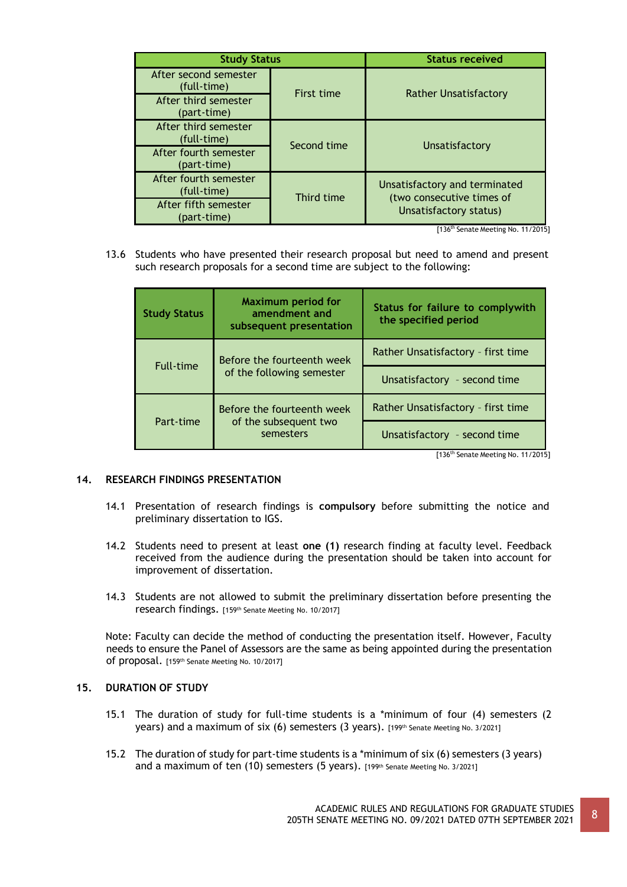| <b>Study Status</b>                  |                   | <b>Status received</b>                                     |
|--------------------------------------|-------------------|------------------------------------------------------------|
| After second semester<br>(full-time) | <b>First time</b> |                                                            |
| After third semester<br>(part-time)  |                   | <b>Rather Unsatisfactory</b>                               |
| After third semester<br>(full-time)  | Second time       |                                                            |
| After fourth semester<br>(part-time) |                   | Unsatisfactory                                             |
| After fourth semester<br>(full-time) | Third time        | Unsatisfactory and terminated<br>(two consecutive times of |
| After fifth semester<br>(part-time)  |                   | Unsatisfactory status)                                     |

[136th Senate Meeting No. 11/2015]

13.6 Students who have presented their research proposal but need to amend and present such research proposals for a second time are subject to the following:

| <b>Study Status</b> | <b>Maximum period for</b><br>amendment and<br>subsequent presentation | Status for failure to complywith<br>the specified period |
|---------------------|-----------------------------------------------------------------------|----------------------------------------------------------|
|                     | Before the fourteenth week                                            | Rather Unsatisfactory - first time                       |
| <b>Full-time</b>    | of the following semester                                             | Unsatisfactory - second time                             |
|                     | Before the fourteenth week                                            | Rather Unsatisfactory - first time                       |
| Part-time           | of the subsequent two<br>semesters                                    | Unsatisfactory - second time                             |

[136<sup>th</sup> Senate Meeting No. 11/2015]

### **14. RESEARCH FINDINGS PRESENTATION**

- 14.1 Presentation of research findings is **compulsory** before submitting the notice and preliminary dissertation to IGS.
- 14.2 Students need to present at least **one (1)** research finding at faculty level. Feedback received from the audience during the presentation should be taken into account for improvement of dissertation.
- 14.3 Students are not allowed to submit the preliminary dissertation before presenting the research findings. [159th Senate Meeting No. 10/2017]

Note: Faculty can decide the method of conducting the presentation itself. However, Faculty needs to ensure the Panel of Assessors are the same as being appointed during the presentation of proposal. [159th Senate Meeting No. 10/2017]

## **15. DURATION OF STUDY**

- 15.1 The duration of study for full-time students is a \*minimum of four (4) semesters (2 years) and a maximum of six (6) semesters (3 years). [199th Senate Meeting No. 3/2021]
- 15.2 The duration of study for part-time students is a \*minimum of six (6) semesters (3 years) and a maximum of ten (10) semesters (5 years). [199th Senate Meeting No. 3/2021]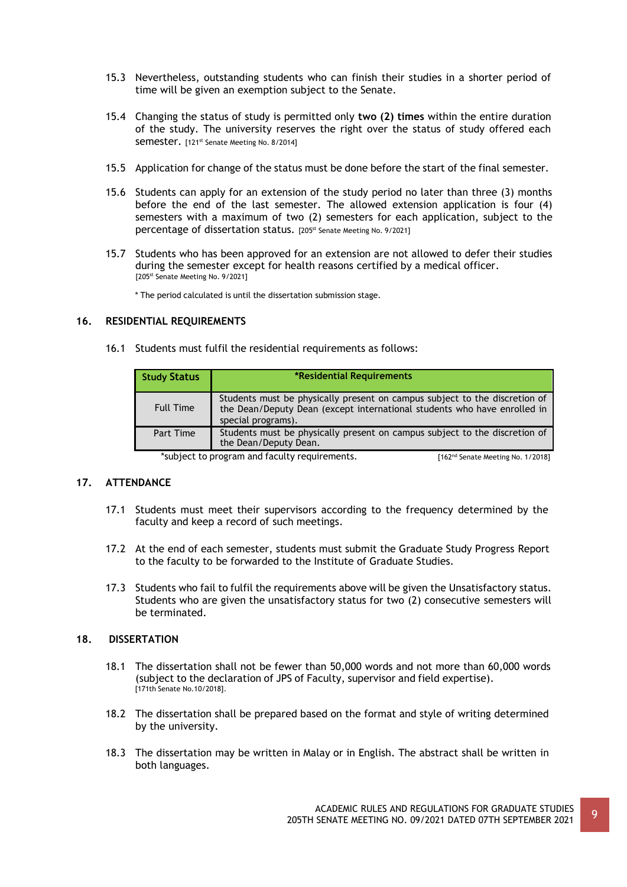- 15.3 Nevertheless, outstanding students who can finish their studies in a shorter period of time will be given an exemption subject to the Senate.
- 15.4 Changing the status of study is permitted only **two (2) times** within the entire duration of the study. The university reserves the right over the status of study offered each Semester. [121<sup>st</sup> Senate Meeting No. 8/2014]
- 15.5 Application for change of the status must be done before the start of the final semester.
- 15.6 Students can apply for an extension of the study period no later than three (3) months before the end of the last semester. The allowed extension application is four (4) semesters with a maximum of two (2) semesters for each application, subject to the percentage of dissertation status. [205st Senate Meeting No. 9/2021]
- 15.7 Students who has been approved for an extension are not allowed to defer their studies during the semester except for health reasons certified by a medical officer. [205st Senate Meeting No. 9/2021]

\* The period calculated is until the dissertation submission stage.

### **16. RESIDENTIAL REQUIREMENTS**

16.1 Students must fulfil the residential requirements as follows:

| <b>Study Status</b> | *Residential Requirements                                                                                                                                                    |
|---------------------|------------------------------------------------------------------------------------------------------------------------------------------------------------------------------|
| <b>Full Time</b>    | Students must be physically present on campus subject to the discretion of<br>the Dean/Deputy Dean (except international students who have enrolled in<br>special programs). |
| Part Time           | Students must be physically present on campus subject to the discretion of<br>the Dean/Deputy Dean.                                                                          |

\*subject to program and faculty requirements. [162<sup>nd</sup> Senate Meeting No. 1/2018]

### **17. ATTENDANCE**

- 17.1 Students must meet their supervisors according to the frequency determined by the faculty and keep a record of such meetings.
- 17.2 At the end of each semester, students must submit the Graduate Study Progress Report to the faculty to be forwarded to the Institute of Graduate Studies.
- 17.3 Students who fail to fulfil the requirements above will be given the Unsatisfactory status. Students who are given the unsatisfactory status for two (2) consecutive semesters will be terminated.

### **18. DISSERTATION**

- 18.1 The dissertation shall not be fewer than 50,000 words and not more than 60,000 words (subject to the declaration of JPS of Faculty, supervisor and field expertise). [171th Senate No.10/2018].
- 18.2 The dissertation shall be prepared based on the format and style of writing determined by the university.
- 18.3 The dissertation may be written in Malay or in English. The abstract shall be written in both languages.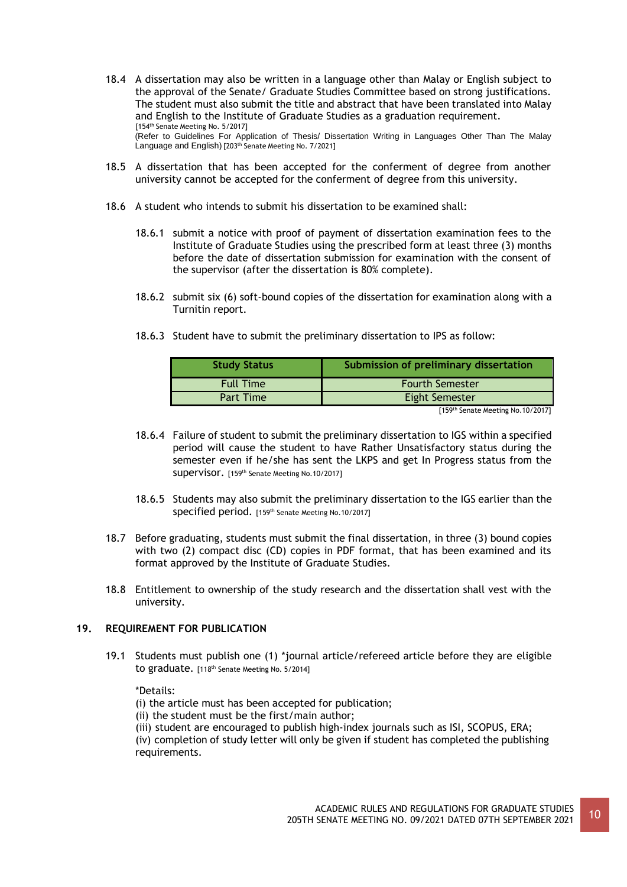- 18.4 A dissertation may also be written in a language other than Malay or English subject to the approval of the Senate/ Graduate Studies Committee based on strong justifications. The student must also submit the title and abstract that have been translated into Malay and English to the Institute of Graduate Studies as a graduation requirement. [154<sup>th</sup> Senate Meeting No. 5/2017] (Refer to Guidelines For Application of Thesis/ Dissertation Writing in Languages Other Than The Malay Language and English) [203<sup>th</sup> Senate Meeting No. 7/2021]
- 18.5 A dissertation that has been accepted for the conferment of degree from another university cannot be accepted for the conferment of degree from this university.
- 18.6 A student who intends to submit his dissertation to be examined shall:
	- 18.6.1 submit a notice with proof of payment of dissertation examination fees to the Institute of Graduate Studies using the prescribed form at least three (3) months before the date of dissertation submission for examination with the consent of the supervisor (after the dissertation is 80% complete).
	- 18.6.2 submit six (6) soft-bound copies of the dissertation for examination along with a Turnitin report.

| <b>Study Status</b> | Submission of preliminary dissertation |
|---------------------|----------------------------------------|
| <b>Full Time</b>    | <b>Fourth Semester</b>                 |
| Part Time           | <b>Eight Semester</b>                  |

18.6.3 Student have to submit the preliminary dissertation to IPS as follow:

[159th Senate Meeting No.10/2017]

- 18.6.4 Failure of student to submit the preliminary dissertation to IGS within a specified period will cause the student to have Rather Unsatisfactory status during the semester even if he/she has sent the LKPS and get In Progress status from the supervisor. [159th Senate Meeting No.10/2017]
- 18.6.5 Students may also submit the preliminary dissertation to the IGS earlier than the specified period. [159th Senate Meeting No.10/2017]
- 18.7 Before graduating, students must submit the final dissertation, in three (3) bound copies with two (2) compact disc (CD) copies in PDF format, that has been examined and its format approved by the Institute of Graduate Studies.
- 18.8 Entitlement to ownership of the study research and the dissertation shall vest with the university.

## **19. REQUIREMENT FOR PUBLICATION**

19.1 Students must publish one (1) \*journal article/refereed article before they are eligible to graduate. [118<sup>th</sup> Senate Meeting No. 5/2014]

\*Details:

- (i) the article must has been accepted for publication;
- (ii) the student must be the first/main author;
- (iii) student are encouraged to publish high-index journals such as ISI, SCOPUS, ERA;

(iv) completion of study letter will only be given if student has completed the publishing requirements.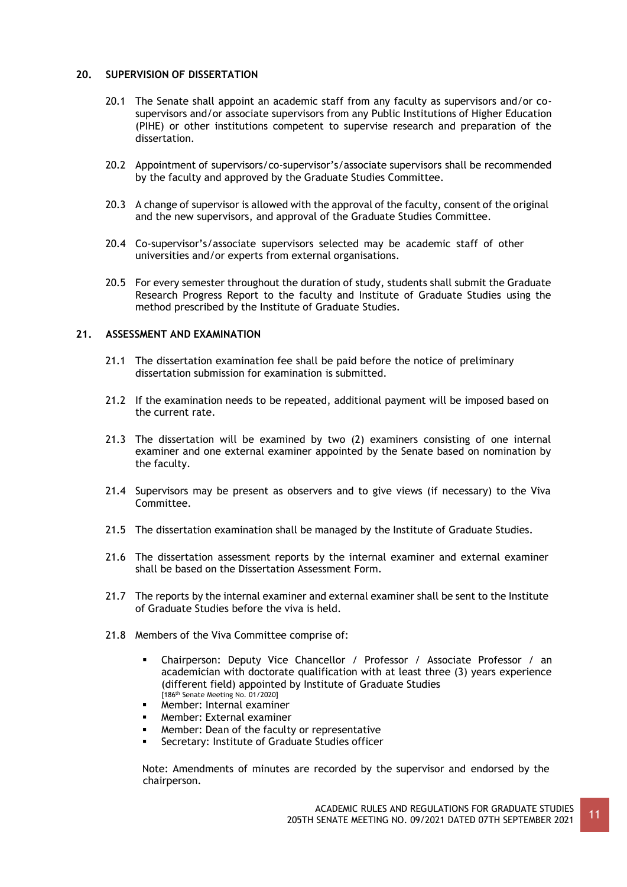## **20. SUPERVISION OF DISSERTATION**

- 20.1 The Senate shall appoint an academic staff from any faculty as supervisors and/or cosupervisors and/or associate supervisors from any Public Institutions of Higher Education (PIHE) or other institutions competent to supervise research and preparation of the dissertation.
- 20.2 Appointment of supervisors/co-supervisor's/associate supervisors shall be recommended by the faculty and approved by the Graduate Studies Committee.
- 20.3 A change of supervisor is allowed with the approval of the faculty, consent of the original and the new supervisors, and approval of the Graduate Studies Committee.
- 20.4 Co-supervisor's/associate supervisors selected may be academic staff of other universities and/or experts from external organisations.
- 20.5 For every semester throughout the duration of study, students shall submit the Graduate Research Progress Report to the faculty and Institute of Graduate Studies using the method prescribed by the Institute of Graduate Studies.

### **21. ASSESSMENT AND EXAMINATION**

- 21.1 The dissertation examination fee shall be paid before the notice of preliminary dissertation submission for examination is submitted.
- 21.2 If the examination needs to be repeated, additional payment will be imposed based on the current rate.
- 21.3 The dissertation will be examined by two (2) examiners consisting of one internal examiner and one external examiner appointed by the Senate based on nomination by the faculty.
- 21.4 Supervisors may be present as observers and to give views (if necessary) to the Viva Committee.
- 21.5 The dissertation examination shall be managed by the Institute of Graduate Studies.
- 21.6 The dissertation assessment reports by the internal examiner and external examiner shall be based on the Dissertation Assessment Form.
- 21.7 The reports by the internal examiner and external examiner shall be sent to the Institute of Graduate Studies before the viva is held.
- 21.8 Members of the Viva Committee comprise of:
	- Chairperson: Deputy Vice Chancellor / Professor / Associate Professor / an academician with doctorate qualification with at least three (3) years experience (different field) appointed by Institute of Graduate Studies [186th Senate Meeting No. 01/2020]
	- Member: Internal examiner
	- Member: External examiner
	- Member: Dean of the faculty or representative
	- **EXEC** Secretary: Institute of Graduate Studies officer

Note: Amendments of minutes are recorded by the supervisor and endorsed by the chairperson.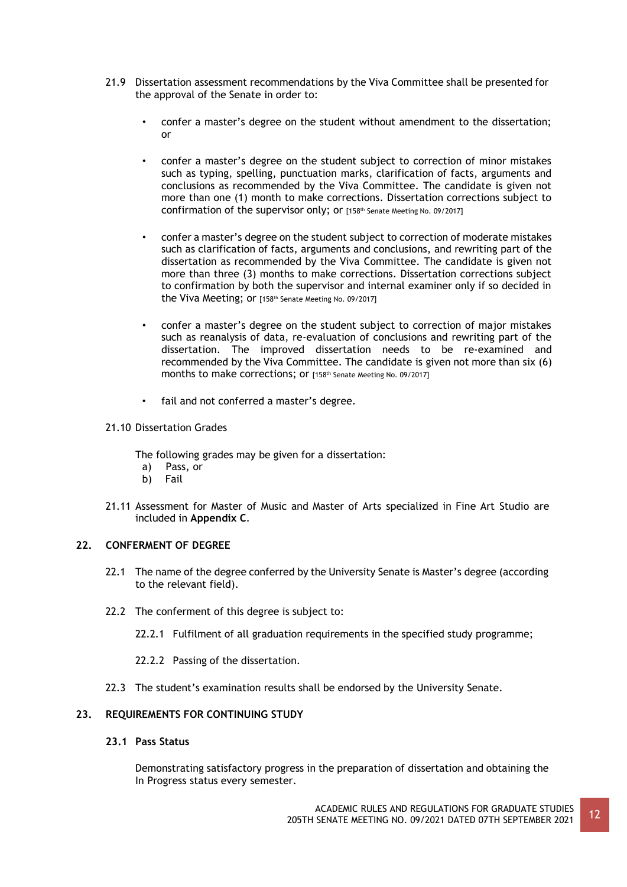- 21.9 Dissertation assessment recommendations by the Viva Committee shall be presented for the approval of the Senate in order to:
	- confer a master's degree on the student without amendment to the dissertation; or
	- confer a master's degree on the student subject to correction of minor mistakes such as typing, spelling, punctuation marks, clarification of facts, arguments and conclusions as recommended by the Viva Committee. The candidate is given not more than one (1) month to make corrections. Dissertation corrections subject to confirmation of the supervisor only; or [158th Senate Meeting No. 09/2017]
	- confer a master's degree on the student subject to correction of moderate mistakes such as clarification of facts, arguments and conclusions, and rewriting part of the dissertation as recommended by the Viva Committee. The candidate is given not more than three (3) months to make corrections. Dissertation corrections subject to confirmation by both the supervisor and internal examiner only if so decided in the Viva Meeting; or [158<sup>th</sup> Senate Meeting No. 09/2017]
	- confer a master's degree on the student subject to correction of major mistakes such as reanalysis of data, re-evaluation of conclusions and rewriting part of the dissertation. The improved dissertation needs to be re-examined and recommended by the Viva Committee. The candidate is given not more than six (6) months to make corrections; or [158<sup>th</sup> Senate Meeting No. 09/2017]
	- fail and not conferred a master's degree.
- 21.10 Dissertation Grades

The following grades may be given for a dissertation:

- a) Pass, or
- b) Fail
- 21.11 Assessment for Master of Music and Master of Arts specialized in Fine Art Studio are included in **Appendix C**.

### **22. CONFERMENT OF DEGREE**

- 22.1 The name of the degree conferred by the University Senate is Master's degree (according to the relevant field).
- 22.2 The conferment of this degree is subject to:
	- 22.2.1 Fulfilment of all graduation requirements in the specified study programme;
	- 22.2.2 Passing of the dissertation.
- 22.3 The student's examination results shall be endorsed by the University Senate.

## **23. REQUIREMENTS FOR CONTINUING STUDY**

## **23.1 Pass Status**

Demonstrating satisfactory progress in the preparation of dissertation and obtaining the In Progress status every semester.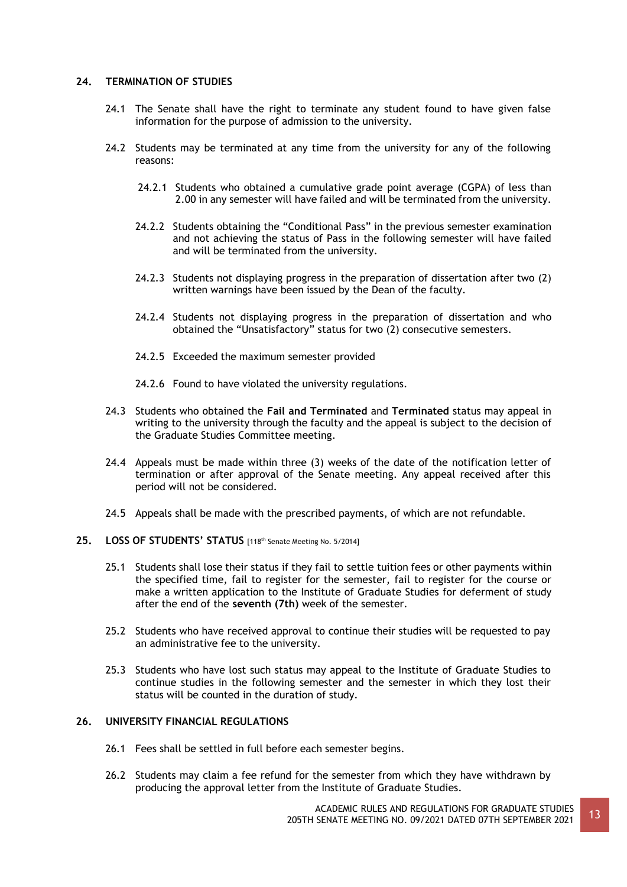### **24. TERMINATION OF STUDIES**

- 24.1 The Senate shall have the right to terminate any student found to have given false information for the purpose of admission to the university.
- 24.2 Students may be terminated at any time from the university for any of the following reasons:
	- 24.2.1 Students who obtained a cumulative grade point average (CGPA) of less than 2.00 in any semester will have failed and will be terminated from the university.
	- 24.2.2 Students obtaining the "Conditional Pass" in the previous semester examination and not achieving the status of Pass in the following semester will have failed and will be terminated from the university.
	- 24.2.3 Students not displaying progress in the preparation of dissertation after two (2) written warnings have been issued by the Dean of the faculty.
	- 24.2.4 Students not displaying progress in the preparation of dissertation and who obtained the "Unsatisfactory" status for two (2) consecutive semesters.
	- 24.2.5 Exceeded the maximum semester provided
	- 24.2.6 Found to have violated the university regulations.
- 24.3 Students who obtained the **Fail and Terminated** and **Terminated** status may appeal in writing to the university through the faculty and the appeal is subject to the decision of the Graduate Studies Committee meeting.
- 24.4 Appeals must be made within three (3) weeks of the date of the notification letter of termination or after approval of the Senate meeting. Any appeal received after this period will not be considered.
- 24.5 Appeals shall be made with the prescribed payments, of which are not refundable.
- **25. LOSS OF STUDENTS' STATUS** [118th Senate Meeting No. 5/2014]
	- 25.1 Students shall lose their status if they fail to settle tuition fees or other payments within the specified time, fail to register for the semester, fail to register for the course or make a written application to the Institute of Graduate Studies for deferment of study after the end of the **seventh (7th)** week of the semester.
	- 25.2 Students who have received approval to continue their studies will be requested to pay an administrative fee to the university.
	- 25.3 Students who have lost such status may appeal to the Institute of Graduate Studies to continue studies in the following semester and the semester in which they lost their status will be counted in the duration of study.

### **26. UNIVERSITY FINANCIAL REGULATIONS**

- 26.1 Fees shall be settled in full before each semester begins.
- 26.2 Students may claim a fee refund for the semester from which they have withdrawn by producing the approval letter from the Institute of Graduate Studies.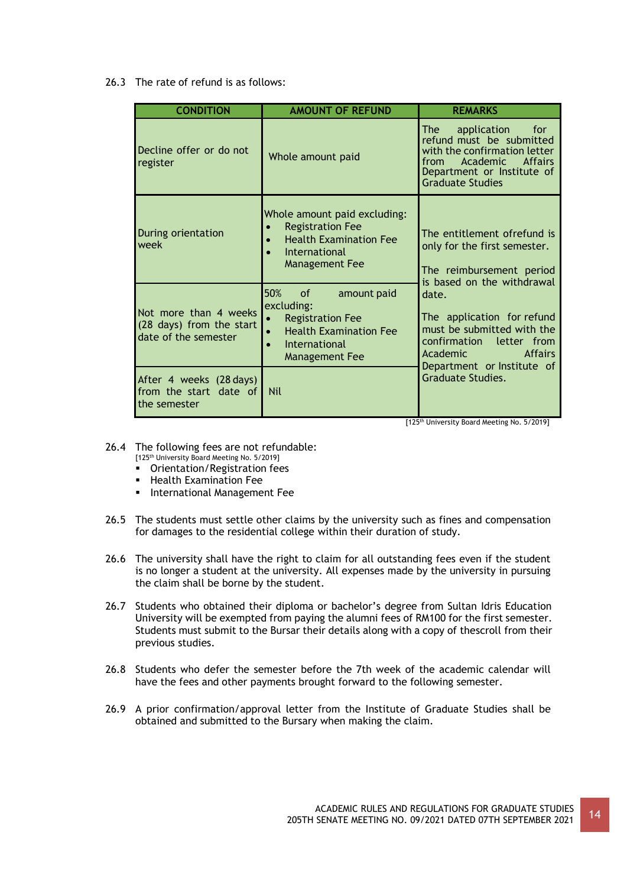26.3 The rate of refund is as follows:

| <b>CONDITION</b>                                                          | <b>AMOUNT OF REFUND</b>                                                                                                                         | <b>REMARKS</b>                                                                                                                                                                         |
|---------------------------------------------------------------------------|-------------------------------------------------------------------------------------------------------------------------------------------------|----------------------------------------------------------------------------------------------------------------------------------------------------------------------------------------|
| Decline offer or do not<br>register                                       | Whole amount paid                                                                                                                               | application<br>The I<br>for<br>refund must be submitted<br>with the confirmation letter<br>Academic<br>from<br><b>Affairs</b><br>Department or Institute of<br><b>Graduate Studies</b> |
| During orientation<br>week                                                | Whole amount paid excluding:<br><b>Registration Fee</b><br><b>Health Examination Fee</b><br>$\bullet$<br>International<br><b>Management Fee</b> | The entitlement ofrefund is<br>only for the first semester.<br>The reimbursement period<br>is based on the withdrawal                                                                  |
| Not more than 4 weeks<br>(28 days) from the start<br>date of the semester | 50%<br>of<br>amount paid<br>excluding:<br><b>Registration Fee</b><br><b>Health Examination Fee</b><br>International<br><b>Management Fee</b>    | date.<br>The application for refund<br>must be submitted with the<br>confirmation letter from<br><b>Affairs</b><br>Academic<br>Department or Institute of                              |
| After 4 weeks (28 days)<br>from the start date of<br>the semester         | <b>Nil</b>                                                                                                                                      | <b>Graduate Studies.</b>                                                                                                                                                               |

[125th University Board Meeting No. 5/2019]

- 26.4 The following fees are not refundable:
	- [125<sup>th</sup> University Board Meeting No. 5/2019]
	- Orientation/Registration fees
	- **EXAMINATION FEE**
	- **·** International Management Fee
- 26.5 The students must settle other claims by the university such as fines and compensation for damages to the residential college within their duration of study.
- 26.6 The university shall have the right to claim for all outstanding fees even if the student is no longer a student at the university. All expenses made by the university in pursuing the claim shall be borne by the student.
- 26.7 Students who obtained their diploma or bachelor's degree from Sultan Idris Education University will be exempted from paying the alumni fees of RM100 for the first semester. Students must submit to the Bursar their details along with a copy of thescroll from their previous studies.
- 26.8 Students who defer the semester before the 7th week of the academic calendar will have the fees and other payments brought forward to the following semester.
- 26.9 A prior confirmation/approval letter from the Institute of Graduate Studies shall be obtained and submitted to the Bursary when making the claim.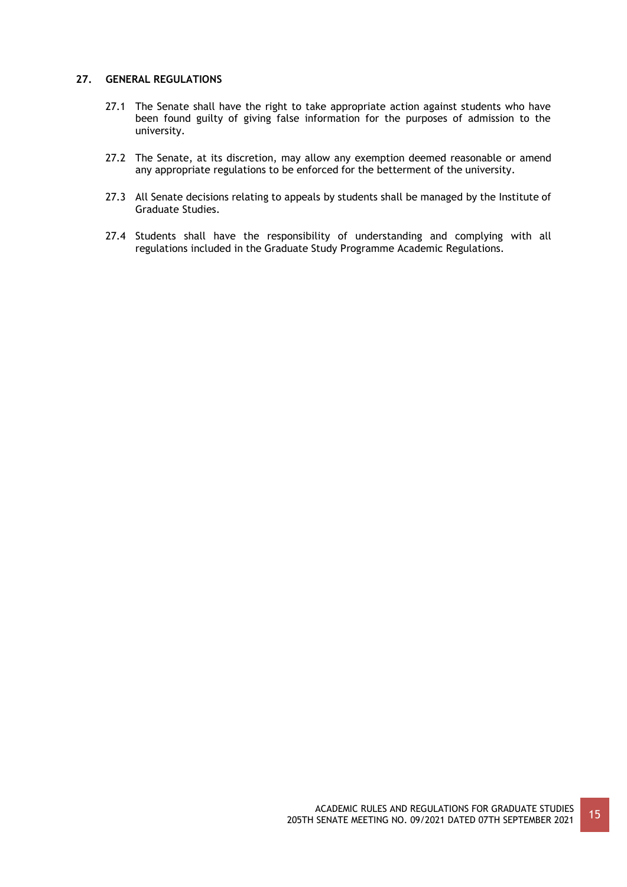## **27. GENERAL REGULATIONS**

- 27.1 The Senate shall have the right to take appropriate action against students who have been found guilty of giving false information for the purposes of admission to the university.
- 27.2 The Senate, at its discretion, may allow any exemption deemed reasonable or amend any appropriate regulations to be enforced for the betterment of the university.
- 27.3 All Senate decisions relating to appeals by students shall be managed by the Institute of Graduate Studies.
- 27.4 Students shall have the responsibility of understanding and complying with all regulations included in the Graduate Study Programme Academic Regulations.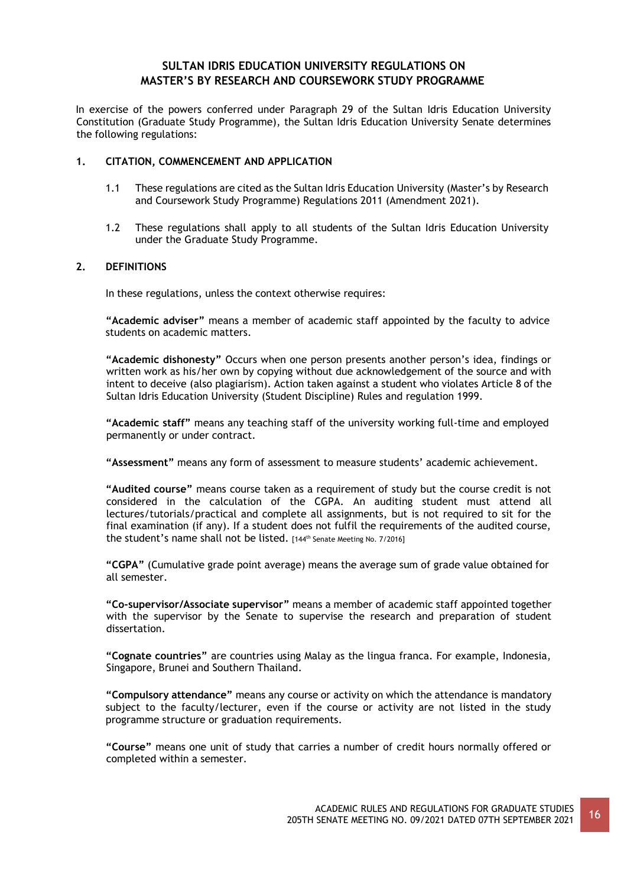## **SULTAN IDRIS EDUCATION UNIVERSITY REGULATIONS ON MASTER'S BY RESEARCH AND COURSEWORK STUDY PROGRAMME**

In exercise of the powers conferred under Paragraph 29 of the Sultan Idris Education University Constitution (Graduate Study Programme), the Sultan Idris Education University Senate determines the following regulations:

### **1. CITATION, COMMENCEMENT AND APPLICATION**

- 1.1 These regulations are cited as the Sultan Idris Education University (Master's by Research and Coursework Study Programme) Regulations 2011 (Amendment 2021).
- 1.2 These regulations shall apply to all students of the Sultan Idris Education University under the Graduate Study Programme.

### **2. DEFINITIONS**

In these regulations, unless the context otherwise requires:

**"Academic adviser"** means a member of academic staff appointed by the faculty to advice students on academic matters.

**"Academic dishonesty"** Occurs when one person presents another person's idea, findings or written work as his/her own by copying without due acknowledgement of the source and with intent to deceive (also plagiarism). Action taken against a student who violates Article 8 of the Sultan Idris Education University (Student Discipline) Rules and regulation 1999.

**"Academic staff"** means any teaching staff of the university working full-time and employed permanently or under contract.

**"Assessment"** means any form of assessment to measure students' academic achievement.

**"Audited course"** means course taken as a requirement of study but the course credit is not considered in the calculation of the CGPA. An auditing student must attend all lectures/tutorials/practical and complete all assignments, but is not required to sit for the final examination (if any). If a student does not fulfil the requirements of the audited course, the student's name shall not be listed. [144<sup>th</sup> Senate Meeting No. 7/2016]

**"CGPA"** (Cumulative grade point average) means the average sum of grade value obtained for all semester.

**"Co-supervisor/Associate supervisor"** means a member of academic staff appointed together with the supervisor by the Senate to supervise the research and preparation of student dissertation.

**"Cognate countries"** are countries using Malay as the lingua franca. For example, Indonesia, Singapore, Brunei and Southern Thailand.

**"Compulsory attendance"** means any course or activity on which the attendance is mandatory subject to the faculty/lecturer, even if the course or activity are not listed in the study programme structure or graduation requirements.

**"Course"** means one unit of study that carries a number of credit hours normally offered or completed within a semester.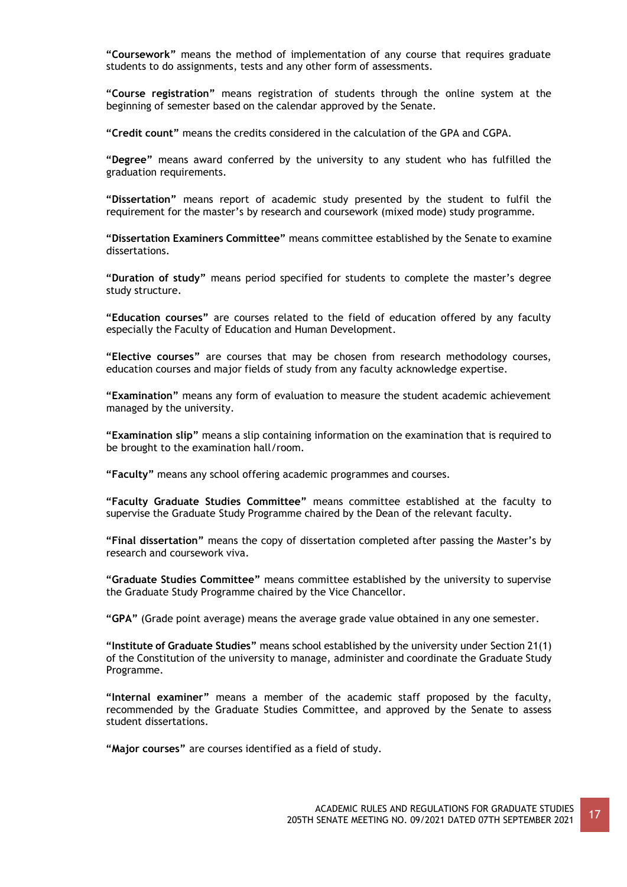**"Coursework"** means the method of implementation of any course that requires graduate students to do assignments, tests and any other form of assessments.

**"Course registration"** means registration of students through the online system at the beginning of semester based on the calendar approved by the Senate.

**"Credit count"** means the credits considered in the calculation of the GPA and CGPA.

**"Degree"** means award conferred by the university to any student who has fulfilled the graduation requirements.

**"Dissertation"** means report of academic study presented by the student to fulfil the requirement for the master's by research and coursework (mixed mode) study programme.

**"Dissertation Examiners Committee"** means committee established by the Senate to examine dissertations.

**"Duration of study"** means period specified for students to complete the master's degree study structure.

**"Education courses"** are courses related to the field of education offered by any faculty especially the Faculty of Education and Human Development.

**"Elective courses"** are courses that may be chosen from research methodology courses, education courses and major fields of study from any faculty acknowledge expertise.

**"Examination"** means any form of evaluation to measure the student academic achievement managed by the university.

**"Examination slip"** means a slip containing information on the examination that is required to be brought to the examination hall/room.

**"Faculty"** means any school offering academic programmes and courses.

**"Faculty Graduate Studies Committee"** means committee established at the faculty to supervise the Graduate Study Programme chaired by the Dean of the relevant faculty.

**"Final dissertation"** means the copy of dissertation completed after passing the Master's by research and coursework viva.

**"Graduate Studies Committee"** means committee established by the university to supervise the Graduate Study Programme chaired by the Vice Chancellor.

**"GPA"** (Grade point average) means the average grade value obtained in any one semester.

**"Institute of Graduate Studies"** means school established by the university under Section 21(1) of the Constitution of the university to manage, administer and coordinate the Graduate Study Programme.

**"Internal examiner"** means a member of the academic staff proposed by the faculty, recommended by the Graduate Studies Committee, and approved by the Senate to assess student dissertations.

**"Major courses"** are courses identified as a field of study.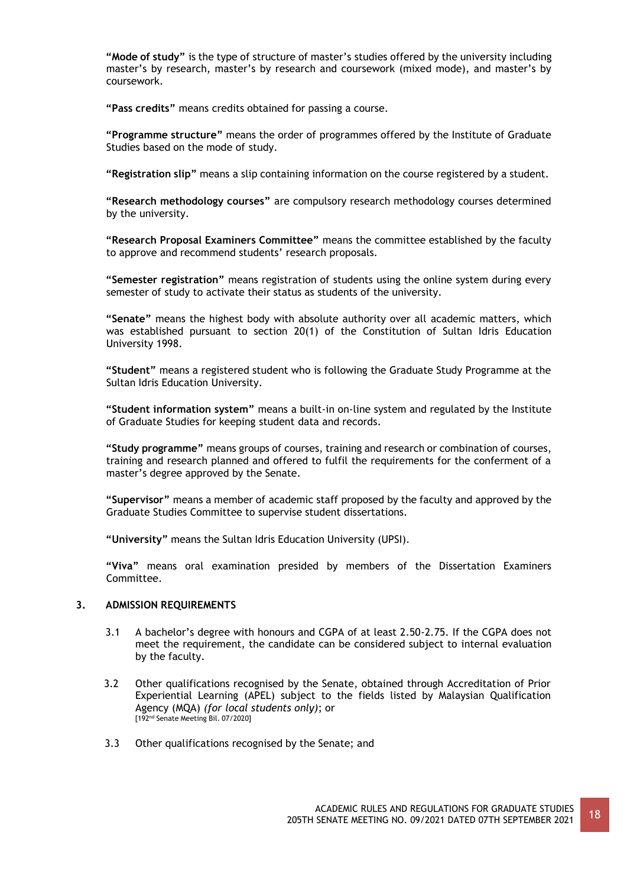**"Mode of study"** is the type of structure of master's studies offered by the university including master's by research, master's by research and coursework (mixed mode), and master's by coursework.

**"Pass credits"** means credits obtained for passing a course.

**"Programme structure"** means the order of programmes offered by the Institute of Graduate Studies based on the mode of study.

**"Registration slip"** means a slip containing information on the course registered by a student.

**"Research methodology courses"** are compulsory research methodology courses determined by the university.

**"Research Proposal Examiners Committee"** means the committee established by the faculty to approve and recommend students' research proposals.

**"Semester registration"** means registration of students using the online system during every semester of study to activate their status as students of the university.

**"Senate"** means the highest body with absolute authority over all academic matters, which was established pursuant to section 20(1) of the Constitution of Sultan Idris Education University 1998.

**"Student"** means a registered student who is following the Graduate Study Programme at the Sultan Idris Education University.

**"Student information system"** means a built-in on-line system and regulated by the Institute of Graduate Studies for keeping student data and records.

**"Study programme"** means groups of courses, training and research or combination of courses, training and research planned and offered to fulfil the requirements for the conferment of a master's degree approved by the Senate.

**"Supervisor"** means a member of academic staff proposed by the faculty and approved by the Graduate Studies Committee to supervise student dissertations.

**"University"** means the Sultan Idris Education University (UPSI).

**"Viva"** means oral examination presided by members of the Dissertation Examiners Committee.

## **3. ADMISSION REQUIREMENTS**

- 3.1 A bachelor's degree with honours and CGPA of at least 2.50-2.75. If the CGPA does not meet the requirement, the candidate can be considered subject to internal evaluation by the faculty.
- 3.2 Other qualifications recognised by the Senate, obtained through Accreditation of Prior Experiential Learning (APEL) subject to the fields listed by Malaysian Qualification Agency (MQA) *(for local students only)*; or [192nd Senate Meeting Bil. 07/2020]
- 3.3 Other qualifications recognised by the Senate; and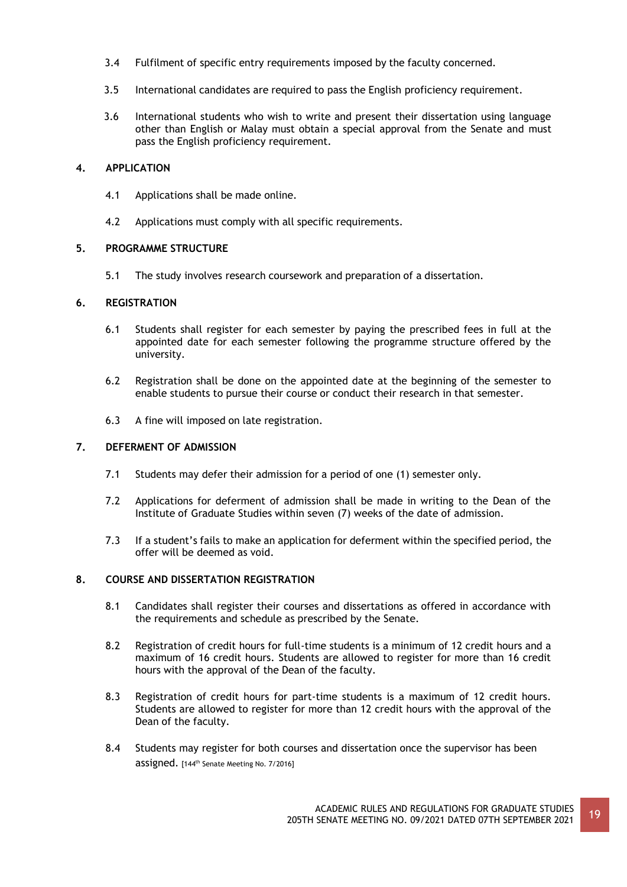- 3.4 Fulfilment of specific entry requirements imposed by the faculty concerned.
- 3.5 International candidates are required to pass the English proficiency requirement.
- 3.6 International students who wish to write and present their dissertation using language other than English or Malay must obtain a special approval from the Senate and must pass the English proficiency requirement.

## **4. APPLICATION**

- 4.1 Applications shall be made online.
- 4.2 Applications must comply with all specific requirements.

## **5. PROGRAMME STRUCTURE**

5.1 The study involves research coursework and preparation of a dissertation.

## **6. REGISTRATION**

- 6.1 Students shall register for each semester by paying the prescribed fees in full at the appointed date for each semester following the programme structure offered by the university.
- 6.2 Registration shall be done on the appointed date at the beginning of the semester to enable students to pursue their course or conduct their research in that semester.
- 6.3 A fine will imposed on late registration.

## **7. DEFERMENT OF ADMISSION**

- 7.1 Students may defer their admission for a period of one (1) semester only.
- 7.2 Applications for deferment of admission shall be made in writing to the Dean of the Institute of Graduate Studies within seven (7) weeks of the date of admission.
- 7.3 If a student's fails to make an application for deferment within the specified period, the offer will be deemed as void.

## **8. COURSE AND DISSERTATION REGISTRATION**

- 8.1 Candidates shall register their courses and dissertations as offered in accordance with the requirements and schedule as prescribed by the Senate.
- 8.2 Registration of credit hours for full-time students is a minimum of 12 credit hours and a maximum of 16 credit hours. Students are allowed to register for more than 16 credit hours with the approval of the Dean of the faculty.
- 8.3 Registration of credit hours for part-time students is a maximum of 12 credit hours. Students are allowed to register for more than 12 credit hours with the approval of the Dean of the faculty.
- 8.4 Students may register for both courses and dissertation once the supervisor has been assigned. [144th Senate Meeting No. 7/2016]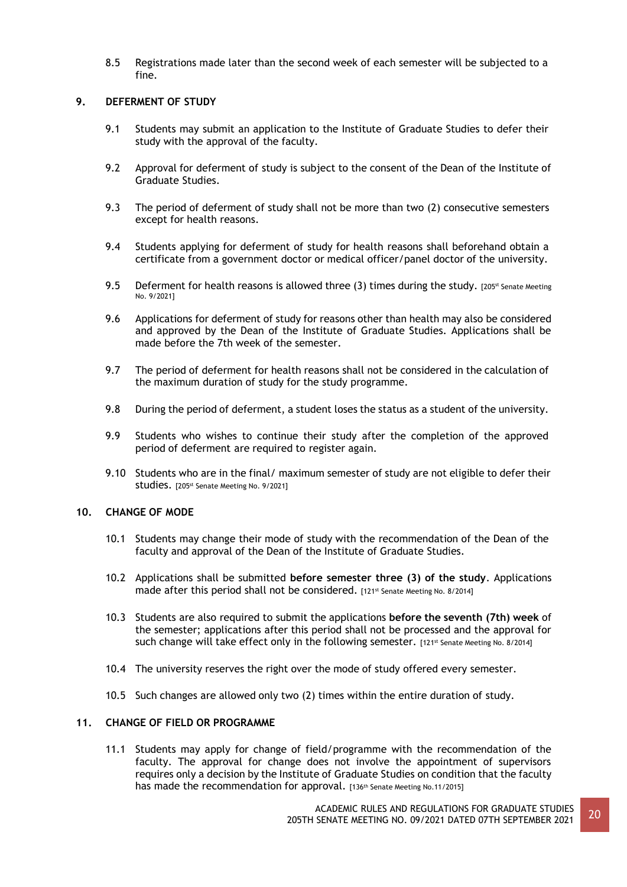8.5 Registrations made later than the second week of each semester will be subjected to a fine.

## **9. DEFERMENT OF STUDY**

- 9.1 Students may submit an application to the Institute of Graduate Studies to defer their study with the approval of the faculty.
- 9.2 Approval for deferment of study is subject to the consent of the Dean of the Institute of Graduate Studies.
- 9.3 The period of deferment of study shall not be more than two (2) consecutive semesters except for health reasons.
- 9.4 Students applying for deferment of study for health reasons shall beforehand obtain a certificate from a government doctor or medical officer/panel doctor of the university.
- 9.5 Deferment for health reasons is allowed three (3) times during the study. [205<sup>st</sup> Senate Meeting No. 9/2021]
- 9.6 Applications for deferment of study for reasons other than health may also be considered and approved by the Dean of the Institute of Graduate Studies. Applications shall be made before the 7th week of the semester.
- 9.7 The period of deferment for health reasons shall not be considered in the calculation of the maximum duration of study for the study programme.
- 9.8 During the period of deferment, a student loses the status as a student of the university.
- 9.9 Students who wishes to continue their study after the completion of the approved period of deferment are required to register again.
- 9.10 Students who are in the final/ maximum semester of study are not eligible to defer their Studies. [205<sup>st</sup> Senate Meeting No. 9/2021]

## **10. CHANGE OF MODE**

- 10.1 Students may change their mode of study with the recommendation of the Dean of the faculty and approval of the Dean of the Institute of Graduate Studies.
- 10.2 Applications shall be submitted **before semester three (3) of the study**. Applications made after this period shall not be considered. [121st Senate Meeting No. 8/2014]
- 10.3 Students are also required to submit the applications **before the seventh (7th) week** of the semester; applications after this period shall not be processed and the approval for such change will take effect only in the following semester. [121st Senate Meeting No. 8/2014]
- 10.4 The university reserves the right over the mode of study offered every semester.
- 10.5 Such changes are allowed only two (2) times within the entire duration of study.

## **11. CHANGE OF FIELD OR PROGRAMME**

11.1 Students may apply for change of field/programme with the recommendation of the faculty. The approval for change does not involve the appointment of supervisors requires only a decision by the Institute of Graduate Studies on condition that the faculty has made the recommendation for approval. [136th Senate Meeting No.11/2015]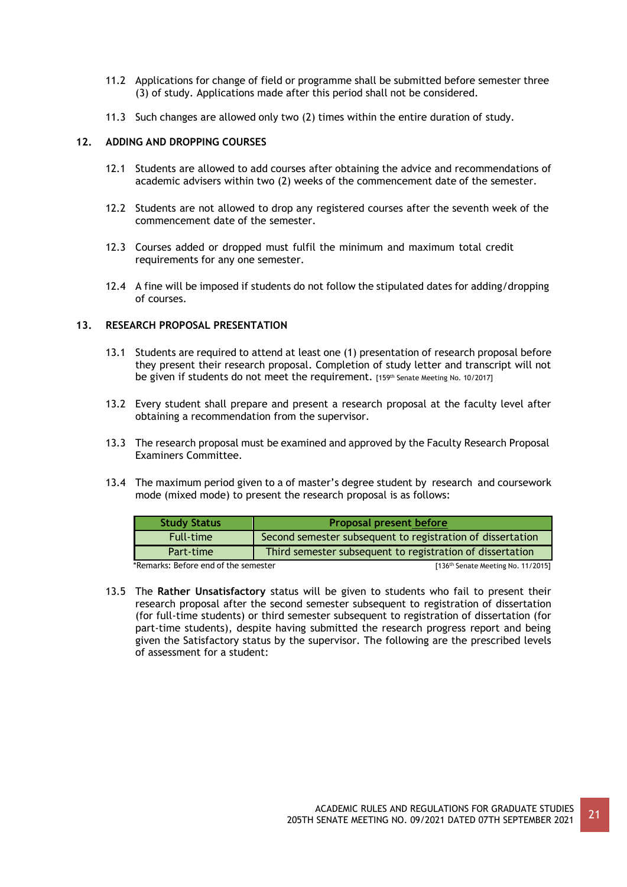- 11.2 Applications for change of field or programme shall be submitted before semester three (3) of study. Applications made after this period shall not be considered.
- 11.3 Such changes are allowed only two (2) times within the entire duration of study.

### **12. ADDING AND DROPPING COURSES**

- 12.1 Students are allowed to add courses after obtaining the advice and recommendations of academic advisers within two (2) weeks of the commencement date of the semester.
- 12.2 Students are not allowed to drop any registered courses after the seventh week of the commencement date of the semester.
- 12.3 Courses added or dropped must fulfil the minimum and maximum total credit requirements for any one semester.
- 12.4 A fine will be imposed if students do not follow the stipulated dates for adding/dropping of courses.

### **13. RESEARCH PROPOSAL PRESENTATION**

- 13.1 Students are required to attend at least one (1) presentation of research proposal before they present their research proposal. Completion of study letter and transcript will not be given if students do not meet the requirement. [159th Senate Meeting No. 10/2017]
- 13.2 Every student shall prepare and present a research proposal at the faculty level after obtaining a recommendation from the supervisor.
- 13.3 The research proposal must be examined and approved by the Faculty Research Proposal Examiners Committee.
- 13.4 The maximum period given to a of master's degree student by research and coursework mode (mixed mode) to present the research proposal is as follows:

| <b>Study Status</b> | <b>Proposal present before</b>                             |
|---------------------|------------------------------------------------------------|
| <b>Full-time</b>    | Second semester subsequent to registration of dissertation |
| Part-time           | Third semester subsequent to registration of dissertation  |

\*Remarks: Before end of the semester **and the semester and the senate Meeting No. 11/2015** 

13.5 The **Rather Unsatisfactory** status will be given to students who fail to present their research proposal after the second semester subsequent to registration of dissertation (for full-time students) or third semester subsequent to registration of dissertation (for part-time students), despite having submitted the research progress report and being given the Satisfactory status by the supervisor. The following are the prescribed levels of assessment for a student: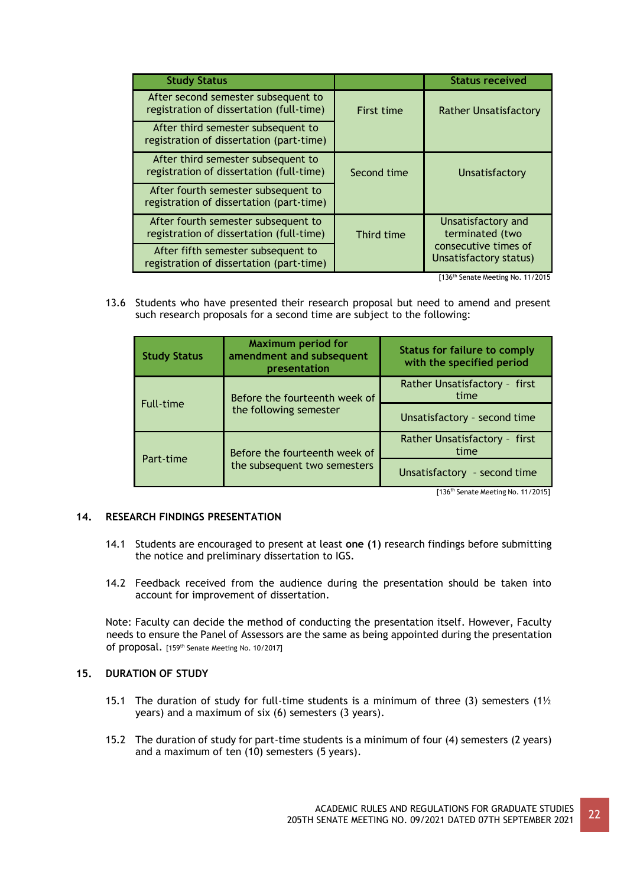| <b>Study Status</b>                                                             |             | <b>Status received</b>                         |
|---------------------------------------------------------------------------------|-------------|------------------------------------------------|
| After second semester subsequent to<br>registration of dissertation (full-time) | First time  | <b>Rather Unsatisfactory</b>                   |
| After third semester subsequent to<br>registration of dissertation (part-time)  |             |                                                |
| After third semester subsequent to<br>registration of dissertation (full-time)  | Second time | Unsatisfactory                                 |
| After fourth semester subsequent to<br>registration of dissertation (part-time) |             |                                                |
| After fourth semester subsequent to<br>registration of dissertation (full-time) | Third time  | Unsatisfactory and<br>terminated (two          |
| After fifth semester subsequent to<br>registration of dissertation (part-time)  |             | consecutive times of<br>Unsatisfactory status) |

[136th Senate Meeting No. 11/2015

13.6 Students who have presented their research proposal but need to amend and present such research proposals for a second time are subject to the following:

| <b>Study Status</b>           | <b>Maximum period for</b><br>amendment and subsequent<br>presentation | <b>Status for failure to comply</b><br>with the specified period |
|-------------------------------|-----------------------------------------------------------------------|------------------------------------------------------------------|
| Before the fourteenth week of |                                                                       | Rather Unsatisfactory - first<br>time                            |
| <b>Full-time</b>              | the following semester                                                | Unsatisfactory - second time                                     |
| Before the fourteenth week of |                                                                       | Rather Unsatisfactory - first<br>time                            |
| Part-time                     | the subsequent two semesters                                          | Unsatisfactory - second time                                     |

[136<sup>th</sup> Senate Meeting No. 11/2015]

## **14. RESEARCH FINDINGS PRESENTATION**

- 14.1 Students are encouraged to present at least **one (1)** research findings before submitting the notice and preliminary dissertation to IGS.
- 14.2 Feedback received from the audience during the presentation should be taken into account for improvement of dissertation.

Note: Faculty can decide the method of conducting the presentation itself. However, Faculty needs to ensure the Panel of Assessors are the same as being appointed during the presentation of proposal. [159th Senate Meeting No. 10/2017]

## **15. DURATION OF STUDY**

- 15.1 The duration of study for full-time students is a minimum of three (3) semesters (1 $\frac{1}{2}$ years) and a maximum of six (6) semesters (3 years).
- 15.2 The duration of study for part-time students is a minimum of four (4) semesters (2 years) and a maximum of ten (10) semesters (5 years).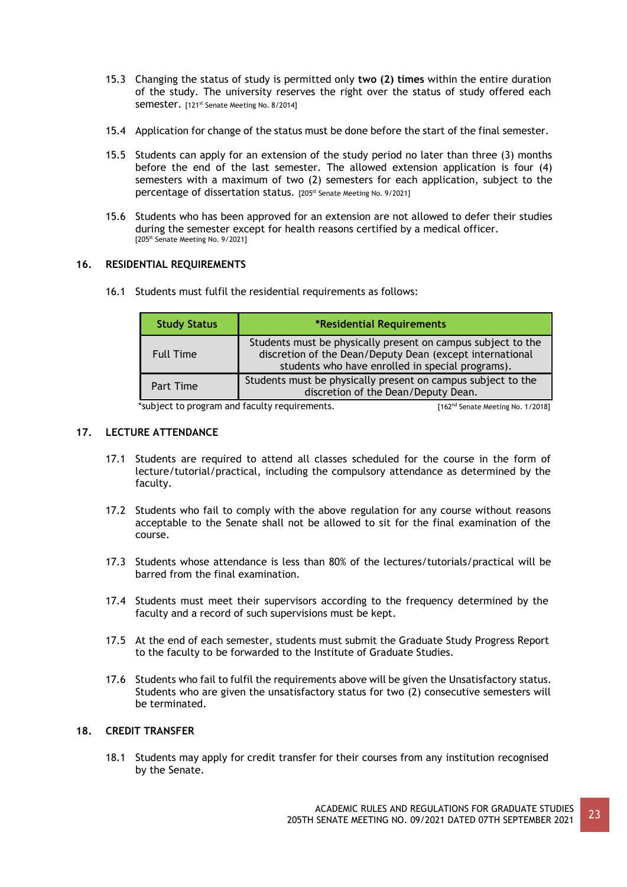- 15.3 Changing the status of study is permitted only **two (2) times** within the entire duration of the study. The university reserves the right over the status of study offered each Semester. [121<sup>st</sup> Senate Meeting No. 8/2014]
- 15.4 Application for change of the status must be done before the start of the final semester.
- 15.5 Students can apply for an extension of the study period no later than three (3) months before the end of the last semester. The allowed extension application is four (4) semesters with a maximum of two (2) semesters for each application, subject to the percentage of dissertation status. [205st Senate Meeting No. 9/2021]
- 15.6 Students who has been approved for an extension are not allowed to defer their studies during the semester except for health reasons certified by a medical officer. [205<sup>st</sup> Senate Meeting No. 9/2021]

### **16. RESIDENTIAL REQUIREMENTS**

16.1 Students must fulfil the residential requirements as follows:

| <b>Study Status</b> | *Residential Requirements                                                                                                                                                    |
|---------------------|------------------------------------------------------------------------------------------------------------------------------------------------------------------------------|
| <b>Full Time</b>    | Students must be physically present on campus subject to the<br>discretion of the Dean/Deputy Dean (except international<br>students who have enrolled in special programs). |
| Part Time           | Students must be physically present on campus subject to the<br>discretion of the Dean/Deputy Dean.                                                                          |

\*subject to program and faculty requirements. [162<sup>nd</sup> Senate Meeting No. 1/2018]

## **17. LECTURE ATTENDANCE**

- 17.1 Students are required to attend all classes scheduled for the course in the form of lecture/tutorial/practical, including the compulsory attendance as determined by the faculty.
- 17.2 Students who fail to comply with the above regulation for any course without reasons acceptable to the Senate shall not be allowed to sit for the final examination of the course.
- 17.3 Students whose attendance is less than 80% of the lectures/tutorials/practical will be barred from the final examination.
- 17.4 Students must meet their supervisors according to the frequency determined by the faculty and a record of such supervisions must be kept.
- 17.5 At the end of each semester, students must submit the Graduate Study Progress Report to the faculty to be forwarded to the Institute of Graduate Studies.
- 17.6 Students who fail to fulfil the requirements above will be given the Unsatisfactory status. Students who are given the unsatisfactory status for two (2) consecutive semesters will be terminated.

## **18. CREDIT TRANSFER**

18.1 Students may apply for credit transfer for their courses from any institution recognised by the Senate.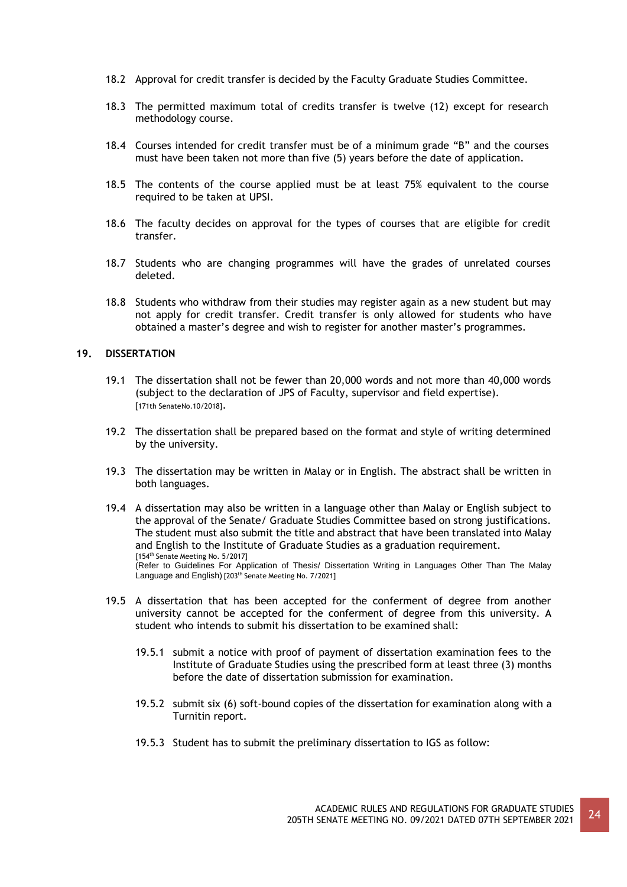- 18.2 Approval for credit transfer is decided by the Faculty Graduate Studies Committee.
- 18.3 The permitted maximum total of credits transfer is twelve (12) except for research methodology course.
- 18.4 Courses intended for credit transfer must be of a minimum grade "B" and the courses must have been taken not more than five (5) years before the date of application.
- 18.5 The contents of the course applied must be at least 75% equivalent to the course required to be taken at UPSI.
- 18.6 The faculty decides on approval for the types of courses that are eligible for credit transfer.
- 18.7 Students who are changing programmes will have the grades of unrelated courses deleted.
- 18.8 Students who withdraw from their studies may register again as a new student but may not apply for credit transfer. Credit transfer is only allowed for students who have obtained a master's degree and wish to register for another master's programmes.

### **19. DISSERTATION**

- 19.1 The dissertation shall not be fewer than 20,000 words and not more than 40,000 words (subject to the declaration of JPS of Faculty, supervisor and field expertise). [171th SenateNo.10/2018].
- 19.2 The dissertation shall be prepared based on the format and style of writing determined by the university.
- 19.3 The dissertation may be written in Malay or in English. The abstract shall be written in both languages.
- 19.4 A dissertation may also be written in a language other than Malay or English subject to the approval of the Senate/ Graduate Studies Committee based on strong justifications. The student must also submit the title and abstract that have been translated into Malay and English to the Institute of Graduate Studies as a graduation requirement. [154<sup>th</sup> Senate Meeting No. 5/2017] (Refer to Guidelines For Application of Thesis/ Dissertation Writing in Languages Other Than The Malay Language and English) [203th Senate Meeting No. 7/2021]
- 19.5 A dissertation that has been accepted for the conferment of degree from another university cannot be accepted for the conferment of degree from this university. A student who intends to submit his dissertation to be examined shall:
	- 19.5.1 submit a notice with proof of payment of dissertation examination fees to the Institute of Graduate Studies using the prescribed form at least three (3) months before the date of dissertation submission for examination.
	- 19.5.2 submit six (6) soft-bound copies of the dissertation for examination along with a Turnitin report.
	- 19.5.3 Student has to submit the preliminary dissertation to IGS as follow: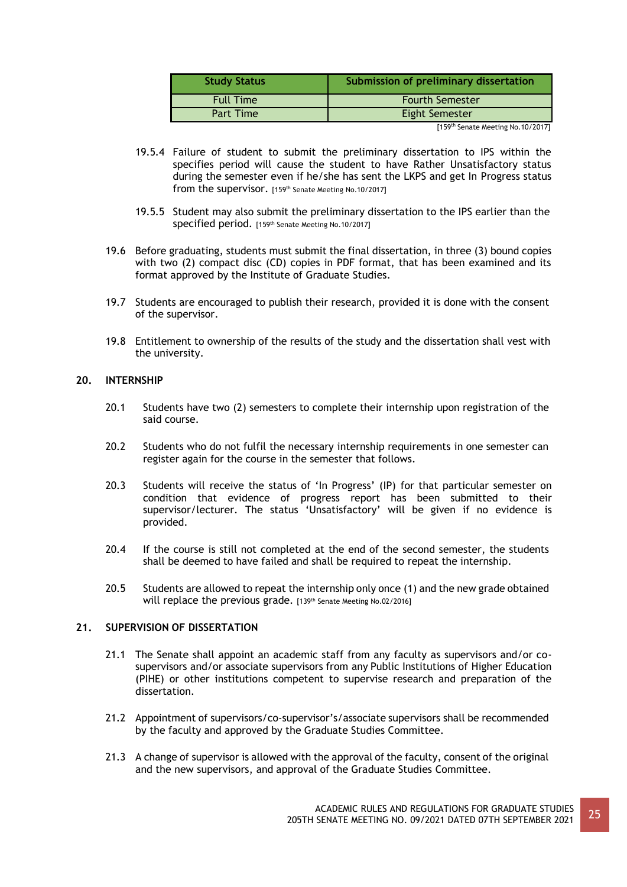| Submission of preliminary dissertation |
|----------------------------------------|
| <b>Fourth Semester</b>                 |
| <b>Eight Semester</b>                  |
|                                        |

[159th Senate Meeting No.10/2017]

- 19.5.4 Failure of student to submit the preliminary dissertation to IPS within the specifies period will cause the student to have Rather Unsatisfactory status during the semester even if he/she has sent the LKPS and get In Progress status from the supervisor. [159th Senate Meeting No.10/2017]
- 19.5.5 Student may also submit the preliminary dissertation to the IPS earlier than the specified period. [159th Senate Meeting No.10/2017]
- 19.6 Before graduating, students must submit the final dissertation, in three (3) bound copies with two (2) compact disc (CD) copies in PDF format, that has been examined and its format approved by the Institute of Graduate Studies.
- 19.7 Students are encouraged to publish their research, provided it is done with the consent of the supervisor.
- 19.8 Entitlement to ownership of the results of the study and the dissertation shall vest with the university.

## **20. INTERNSHIP**

- 20.1 Students have two (2) semesters to complete their internship upon registration of the said course.
- 20.2 Students who do not fulfil the necessary internship requirements in one semester can register again for the course in the semester that follows.
- 20.3 Students will receive the status of 'In Progress' (IP) for that particular semester on condition that evidence of progress report has been submitted to their supervisor/lecturer. The status 'Unsatisfactory' will be given if no evidence is provided.
- 20.4 If the course is still not completed at the end of the second semester, the students shall be deemed to have failed and shall be required to repeat the internship.
- 20.5 Students are allowed to repeat the internship only once (1) and the new grade obtained will replace the previous grade. [139th Senate Meeting No.02/2016]

## **21. SUPERVISION OF DISSERTATION**

- 21.1 The Senate shall appoint an academic staff from any faculty as supervisors and/or cosupervisors and/or associate supervisors from any Public Institutions of Higher Education (PIHE) or other institutions competent to supervise research and preparation of the dissertation.
- 21.2 Appointment of supervisors/co-supervisor's/associate supervisors shall be recommended by the faculty and approved by the Graduate Studies Committee.
- 21.3 A change of supervisor is allowed with the approval of the faculty, consent of the original and the new supervisors, and approval of the Graduate Studies Committee.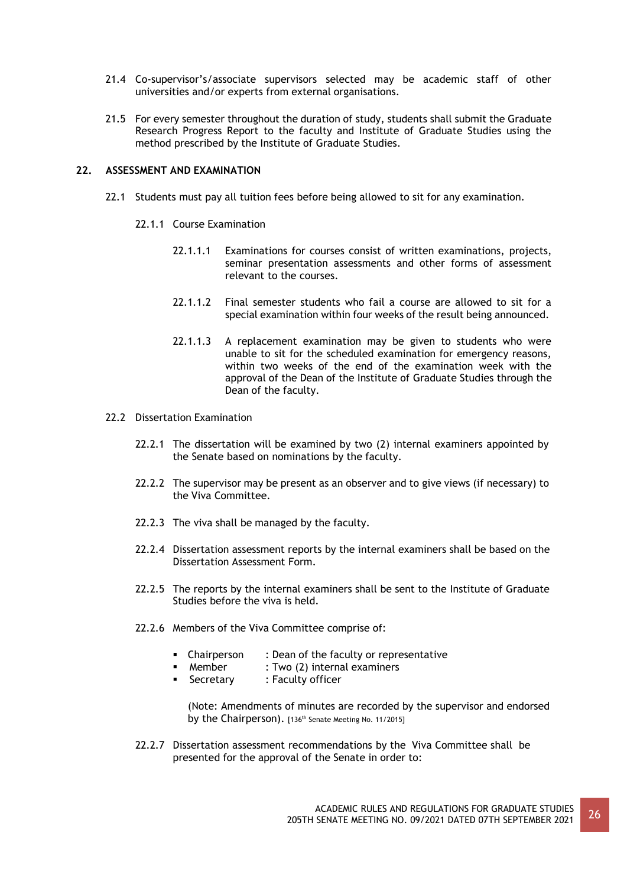- 21.4 Co-supervisor's/associate supervisors selected may be academic staff of other universities and/or experts from external organisations.
- 21.5 For every semester throughout the duration of study, students shall submit the Graduate Research Progress Report to the faculty and Institute of Graduate Studies using the method prescribed by the Institute of Graduate Studies.

### **22. ASSESSMENT AND EXAMINATION**

- 22.1 Students must pay all tuition fees before being allowed to sit for any examination.
	- 22.1.1 Course Examination
		- 22.1.1.1 Examinations for courses consist of written examinations, projects, seminar presentation assessments and other forms of assessment relevant to the courses.
		- 22.1.1.2 Final semester students who fail a course are allowed to sit for a special examination within four weeks of the result being announced.
		- 22.1.1.3 A replacement examination may be given to students who were unable to sit for the scheduled examination for emergency reasons, within two weeks of the end of the examination week with the approval of the Dean of the Institute of Graduate Studies through the Dean of the faculty.
- 22.2 Dissertation Examination
	- 22.2.1 The dissertation will be examined by two (2) internal examiners appointed by the Senate based on nominations by the faculty.
	- 22.2.2 The supervisor may be present as an observer and to give views (if necessary) to the Viva Committee.
	- 22.2.3 The viva shall be managed by the faculty.
	- 22.2.4 Dissertation assessment reports by the internal examiners shall be based on the Dissertation Assessment Form.
	- 22.2.5 The reports by the internal examiners shall be sent to the Institute of Graduate Studies before the viva is held.
	- 22.2.6 Members of the Viva Committee comprise of:
		- Chairperson : Dean of the faculty or representative
		- Member : Two (2) internal examiners
		- Secretary : Faculty officer
			- (Note: Amendments of minutes are recorded by the supervisor and endorsed by the Chairperson). [136<sup>th</sup> Senate Meeting No. 11/2015]
	- 22.2.7 Dissertation assessment recommendations by the Viva Committee shall be presented for the approval of the Senate in order to: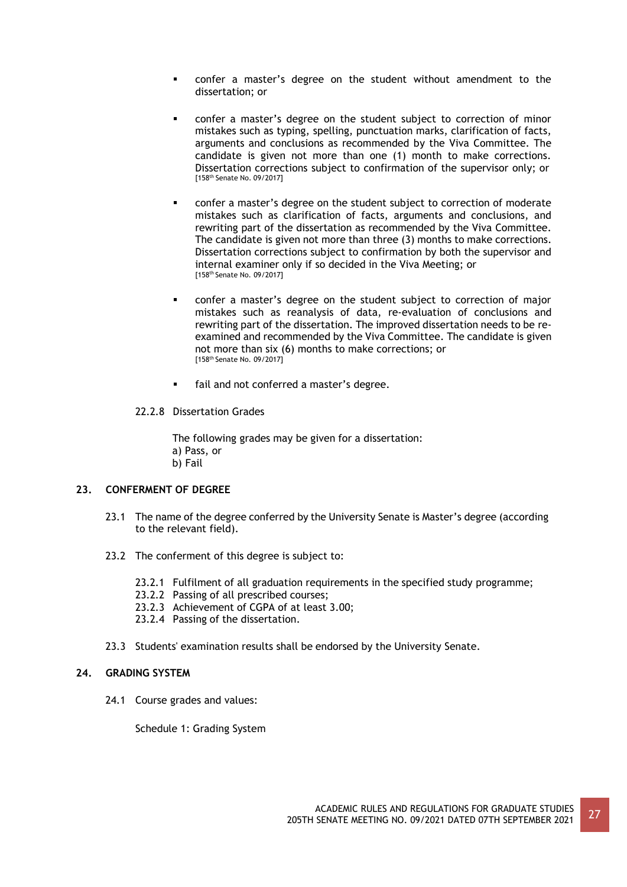- confer a master's degree on the student without amendment to the dissertation; or
- confer a master's degree on the student subject to correction of minor mistakes such as typing, spelling, punctuation marks, clarification of facts, arguments and conclusions as recommended by the Viva Committee. The candidate is given not more than one (1) month to make corrections. Dissertation corrections subject to confirmation of the supervisor only; or [158th Senate No. 09/2017]
- confer a master's degree on the student subject to correction of moderate mistakes such as clarification of facts, arguments and conclusions, and rewriting part of the dissertation as recommended by the Viva Committee. The candidate is given not more than three (3) months to make corrections. Dissertation corrections subject to confirmation by both the supervisor and internal examiner only if so decided in the Viva Meeting; or [158th Senate No. 09/2017]
- confer a master's degree on the student subject to correction of major mistakes such as reanalysis of data, re-evaluation of conclusions and rewriting part of the dissertation. The improved dissertation needs to be reexamined and recommended by the Viva Committee. The candidate is given not more than six (6) months to make corrections; or [158th Senate No. 09/2017]
- fail and not conferred a master's degree.
- 22.2.8 Dissertation Grades

The following grades may be given for a dissertation: a) Pass, or b) Fail

### **23. CONFERMENT OF DEGREE**

- 23.1 The name of the degree conferred by the University Senate is Master's degree (according to the relevant field).
- 23.2 The conferment of this degree is subject to:
	- 23.2.1 Fulfilment of all graduation requirements in the specified study programme;
	- 23.2.2 Passing of all prescribed courses;
	- 23.2.3 Achievement of CGPA of at least 3.00;
	- 23.2.4 Passing of the dissertation.
- 23.3 Students' examination results shall be endorsed by the University Senate.

### **24. GRADING SYSTEM**

24.1 Course grades and values:

Schedule 1: Grading System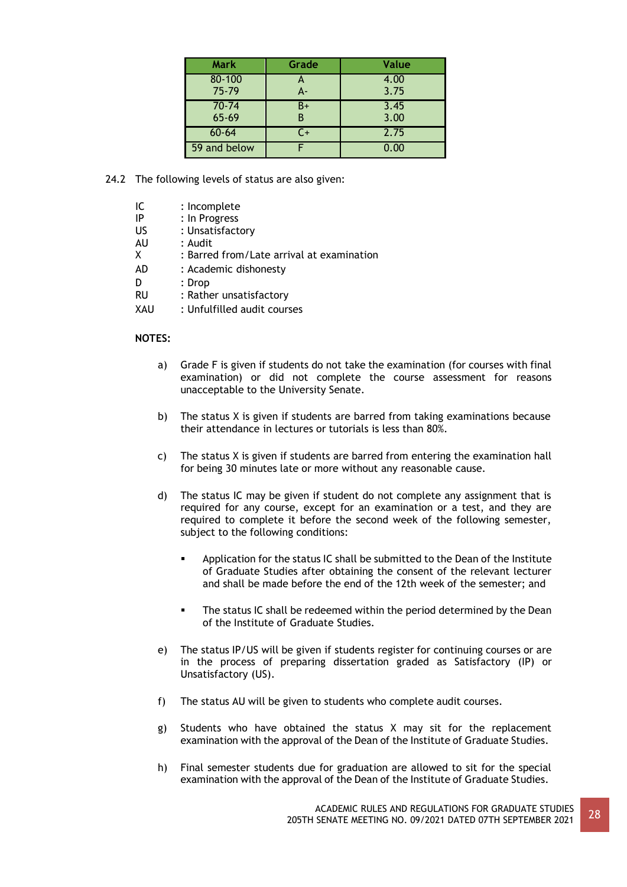| <b>Mark</b>  | Grade | Value |
|--------------|-------|-------|
| 80-100       |       | 4.00  |
| $75 - 79$    | $A -$ | 3.75  |
| $70 - 74$    | B+    | 3.45  |
| 65-69        |       | 3.00  |
| $60 - 64$    | C+    | 2.75  |
| 59 and below |       | 0.00  |

24.2 The following levels of status are also given:

| ΙC | : Incomplete |
|----|--------------|
|    |              |

- IP : In Progress
- US : Unsatisfactory<br>AU : Audit
- AU : Audit
- X : Barred from/Late arrival at examination
- AD : Academic dishonesty
- D : Drop
- RU : Rather unsatisfactory
- XAU : Unfulfilled audit courses

### **NOTES:**

- a) Grade F is given if students do not take the examination (for courses with final examination) or did not complete the course assessment for reasons unacceptable to the University Senate.
- b) The status X is given if students are barred from taking examinations because their attendance in lectures or tutorials is less than 80%.
- c) The status X is given if students are barred from entering the examination hall for being 30 minutes late or more without any reasonable cause.
- d) The status IC may be given if student do not complete any assignment that is required for any course, except for an examination or a test, and they are required to complete it before the second week of the following semester, subject to the following conditions:
	- Application for the status IC shall be submitted to the Dean of the Institute of Graduate Studies after obtaining the consent of the relevant lecturer and shall be made before the end of the 12th week of the semester; and
	- The status IC shall be redeemed within the period determined by the Dean of the Institute of Graduate Studies.
- e) The status IP/US will be given if students register for continuing courses or are in the process of preparing dissertation graded as Satisfactory (IP) or Unsatisfactory (US).
- f) The status AU will be given to students who complete audit courses.
- g) Students who have obtained the status X may sit for the replacement examination with the approval of the Dean of the Institute of Graduate Studies.
- h) Final semester students due for graduation are allowed to sit for the special examination with the approval of the Dean of the Institute of Graduate Studies.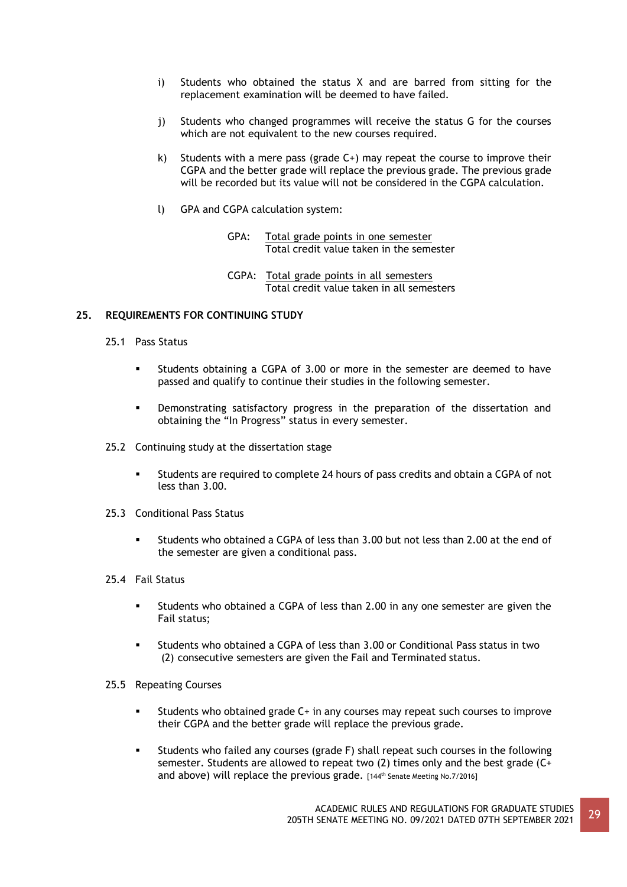- i) Students who obtained the status X and are barred from sitting for the replacement examination will be deemed to have failed.
- j) Students who changed programmes will receive the status G for the courses which are not equivalent to the new courses required.
- k) Students with a mere pass (grade  $C+$ ) may repeat the course to improve their CGPA and the better grade will replace the previous grade. The previous grade will be recorded but its value will not be considered in the CGPA calculation.
- l) GPA and CGPA calculation system:
	- GPA: Total grade points in one semester Total credit value taken in the semester
	- CGPA: Total grade points in all semesters Total credit value taken in all semesters

### **25. REQUIREMENTS FOR CONTINUING STUDY**

- 25.1 Pass Status
	- Students obtaining a CGPA of 3.00 or more in the semester are deemed to have passed and qualify to continue their studies in the following semester.
	- Demonstrating satisfactory progress in the preparation of the dissertation and obtaining the "In Progress" status in every semester.
- 25.2 Continuing study at the dissertation stage
	- Students are required to complete 24 hours of pass credits and obtain a CGPA of not less than 3.00.
- 25.3 Conditional Pass Status
	- Students who obtained a CGPA of less than 3.00 but not less than 2.00 at the end of the semester are given a conditional pass.
- 25.4 Fail Status
	- Students who obtained a CGPA of less than 2.00 in any one semester are given the Fail status;
	- Students who obtained a CGPA of less than 3.00 or Conditional Pass status in two (2) consecutive semesters are given the Fail and Terminated status.
- 25.5 Repeating Courses
	- Students who obtained grade C+ in any courses may repeat such courses to improve their CGPA and the better grade will replace the previous grade.
	- Students who failed any courses (grade F) shall repeat such courses in the following semester. Students are allowed to repeat two (2) times only and the best grade (C+ and above) will replace the previous grade. [144th Senate Meeting No.7/2016]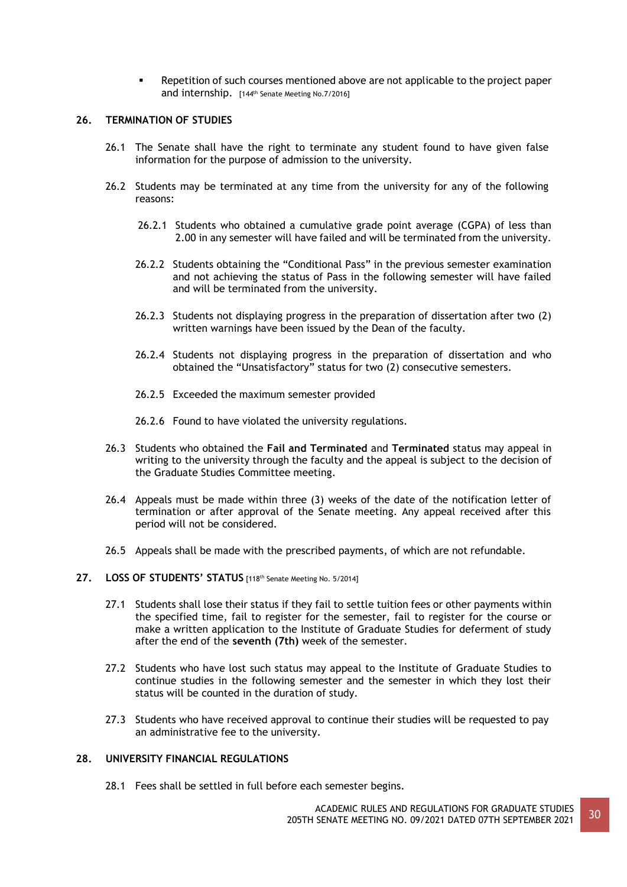Repetition of such courses mentioned above are not applicable to the project paper and internship. [144<sup>th</sup> Senate Meeting No.7/2016]

### **26. TERMINATION OF STUDIES**

- 26.1 The Senate shall have the right to terminate any student found to have given false information for the purpose of admission to the university.
- 26.2 Students may be terminated at any time from the university for any of the following reasons:
	- 26.2.1 Students who obtained a cumulative grade point average (CGPA) of less than 2.00 in any semester will have failed and will be terminated from the university.
	- 26.2.2 Students obtaining the "Conditional Pass" in the previous semester examination and not achieving the status of Pass in the following semester will have failed and will be terminated from the university.
	- 26.2.3 Students not displaying progress in the preparation of dissertation after two (2) written warnings have been issued by the Dean of the faculty.
	- 26.2.4 Students not displaying progress in the preparation of dissertation and who obtained the "Unsatisfactory" status for two (2) consecutive semesters.
	- 26.2.5 Exceeded the maximum semester provided
	- 26.2.6 Found to have violated the university regulations.
- 26.3 Students who obtained the **Fail and Terminated** and **Terminated** status may appeal in writing to the university through the faculty and the appeal is subject to the decision of the Graduate Studies Committee meeting.
- 26.4 Appeals must be made within three (3) weeks of the date of the notification letter of termination or after approval of the Senate meeting. Any appeal received after this period will not be considered.
- 26.5 Appeals shall be made with the prescribed payments, of which are not refundable.
- **27. LOSS OF STUDENTS' STATUS** [118th Senate Meeting No. 5/2014]
	- 27.1 Students shall lose their status if they fail to settle tuition fees or other payments within the specified time, fail to register for the semester, fail to register for the course or make a written application to the Institute of Graduate Studies for deferment of study after the end of the **seventh (7th)** week of the semester.
	- 27.2 Students who have lost such status may appeal to the Institute of Graduate Studies to continue studies in the following semester and the semester in which they lost their status will be counted in the duration of study.
	- 27.3 Students who have received approval to continue their studies will be requested to pay an administrative fee to the university.

## **28. UNIVERSITY FINANCIAL REGULATIONS**

28.1 Fees shall be settled in full before each semester begins.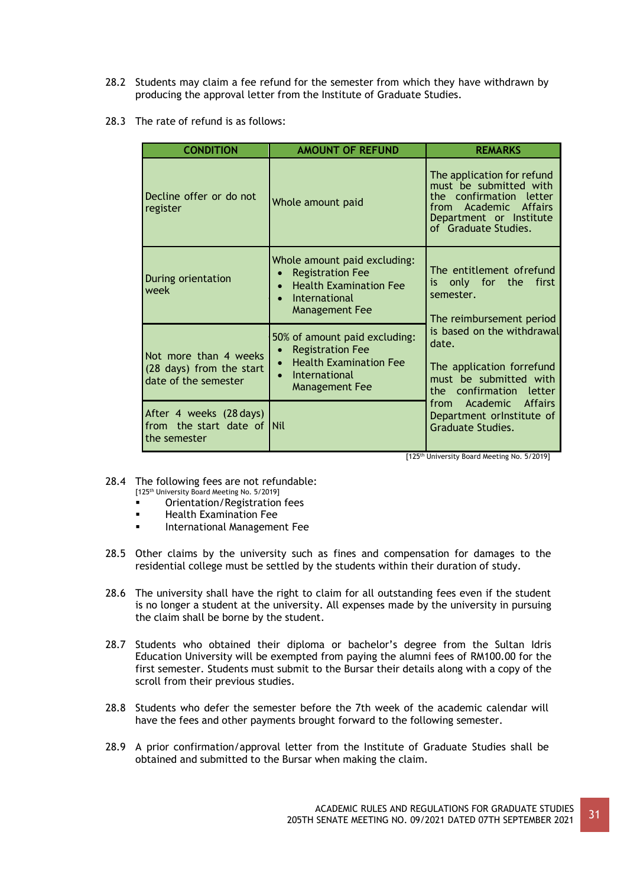- 28.2 Students may claim a fee refund for the semester from which they have withdrawn by producing the approval letter from the Institute of Graduate Studies.
- 28.3 The rate of refund is as follows:

| <b>CONDITION</b>                                                          | <b>AMOUNT OF REFUND</b>                                                                                                                         | <b>REMARKS</b>                                                                                                                                                 |  |
|---------------------------------------------------------------------------|-------------------------------------------------------------------------------------------------------------------------------------------------|----------------------------------------------------------------------------------------------------------------------------------------------------------------|--|
| Decline offer or do not<br>register                                       | Whole amount paid                                                                                                                               | The application for refund<br>must be submitted with<br>the confirmation letter<br>Academic Affairs<br>from<br>Department or Institute<br>of Graduate Studies. |  |
| During orientation<br>week                                                | Whole amount paid excluding:<br><b>Registration Fee</b><br><b>Health Examination Fee</b><br>$\bullet$<br>International<br><b>Management Fee</b> | The entitlement ofrefund<br>is only for the first<br>semester.<br>The reimbursement period                                                                     |  |
| Not more than 4 weeks<br>(28 days) from the start<br>date of the semester | 50% of amount paid excluding:<br><b>Registration Fee</b><br><b>Health Examination Fee</b><br>International<br>$\bullet$<br>Management Fee       | is based on the withdrawal<br>date.<br>The application forrefund<br>must be submitted with<br>the confirmation letter                                          |  |
| After 4 weeks (28 days)<br>from the start date of Nil<br>the semester     |                                                                                                                                                 | from Academic Affairs<br>Department orlnstitute of<br>Graduate Studies.                                                                                        |  |

[125th University Board Meeting No. 5/2019]

- 28.4 The following fees are not refundable:
	- [125th University Board Meeting No. 5/2019]
	- Orientation/Registration fees
	- Health Examination Fee
	- **International Management Fee**
- 28.5 Other claims by the university such as fines and compensation for damages to the residential college must be settled by the students within their duration of study.
- 28.6 The university shall have the right to claim for all outstanding fees even if the student is no longer a student at the university. All expenses made by the university in pursuing the claim shall be borne by the student.
- 28.7 Students who obtained their diploma or bachelor's degree from the Sultan Idris Education University will be exempted from paying the alumni fees of RM100.00 for the first semester. Students must submit to the Bursar their details along with a copy of the scroll from their previous studies.
- 28.8 Students who defer the semester before the 7th week of the academic calendar will have the fees and other payments brought forward to the following semester.
- 28.9 A prior confirmation/approval letter from the Institute of Graduate Studies shall be obtained and submitted to the Bursar when making the claim.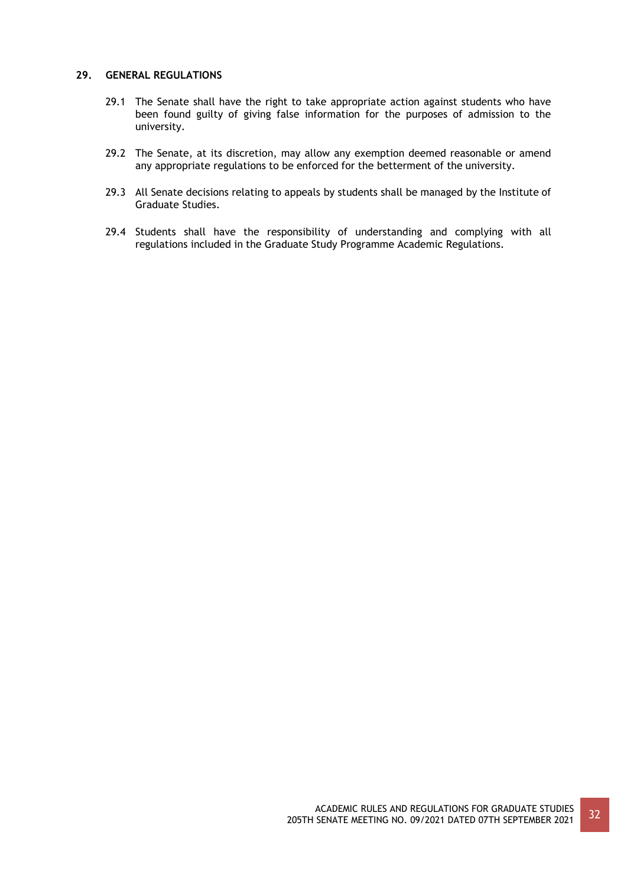## **29. GENERAL REGULATIONS**

- 29.1 The Senate shall have the right to take appropriate action against students who have been found guilty of giving false information for the purposes of admission to the university.
- 29.2 The Senate, at its discretion, may allow any exemption deemed reasonable or amend any appropriate regulations to be enforced for the betterment of the university.
- 29.3 All Senate decisions relating to appeals by students shall be managed by the Institute of Graduate Studies.
- 29.4 Students shall have the responsibility of understanding and complying with all regulations included in the Graduate Study Programme Academic Regulations.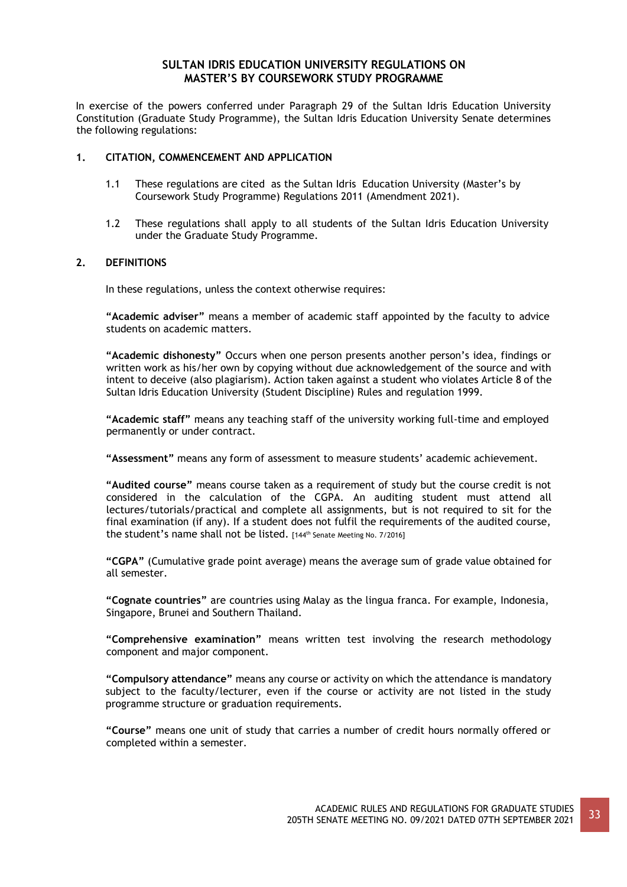## **SULTAN IDRIS EDUCATION UNIVERSITY REGULATIONS ON MASTER'S BY COURSEWORK STUDY PROGRAMME**

In exercise of the powers conferred under Paragraph 29 of the Sultan Idris Education University Constitution (Graduate Study Programme), the Sultan Idris Education University Senate determines the following regulations:

## **1. CITATION, COMMENCEMENT AND APPLICATION**

- 1.1 These regulations are cited as the Sultan Idris Education University (Master's by Coursework Study Programme) Regulations 2011 (Amendment 2021).
- 1.2 These regulations shall apply to all students of the Sultan Idris Education University under the Graduate Study Programme.

### **2. DEFINITIONS**

In these regulations, unless the context otherwise requires:

**"Academic adviser"** means a member of academic staff appointed by the faculty to advice students on academic matters.

**"Academic dishonesty"** Occurs when one person presents another person's idea, findings or written work as his/her own by copying without due acknowledgement of the source and with intent to deceive (also plagiarism). Action taken against a student who violates Article 8 of the Sultan Idris Education University (Student Discipline) Rules and regulation 1999.

**"Academic staff"** means any teaching staff of the university working full-time and employed permanently or under contract.

**"Assessment"** means any form of assessment to measure students' academic achievement.

**"Audited course"** means course taken as a requirement of study but the course credit is not considered in the calculation of the CGPA. An auditing student must attend all lectures/tutorials/practical and complete all assignments, but is not required to sit for the final examination (if any). If a student does not fulfil the requirements of the audited course, the student's name shall not be listed. [144<sup>th</sup> Senate Meeting No. 7/2016]

**"CGPA"** (Cumulative grade point average) means the average sum of grade value obtained for all semester.

**"Cognate countries"** are countries using Malay as the lingua franca. For example, Indonesia, Singapore, Brunei and Southern Thailand.

**"Comprehensive examination"** means written test involving the research methodology component and major component.

**"Compulsory attendance"** means any course or activity on which the attendance is mandatory subject to the faculty/lecturer, even if the course or activity are not listed in the study programme structure or graduation requirements.

**"Course"** means one unit of study that carries a number of credit hours normally offered or completed within a semester.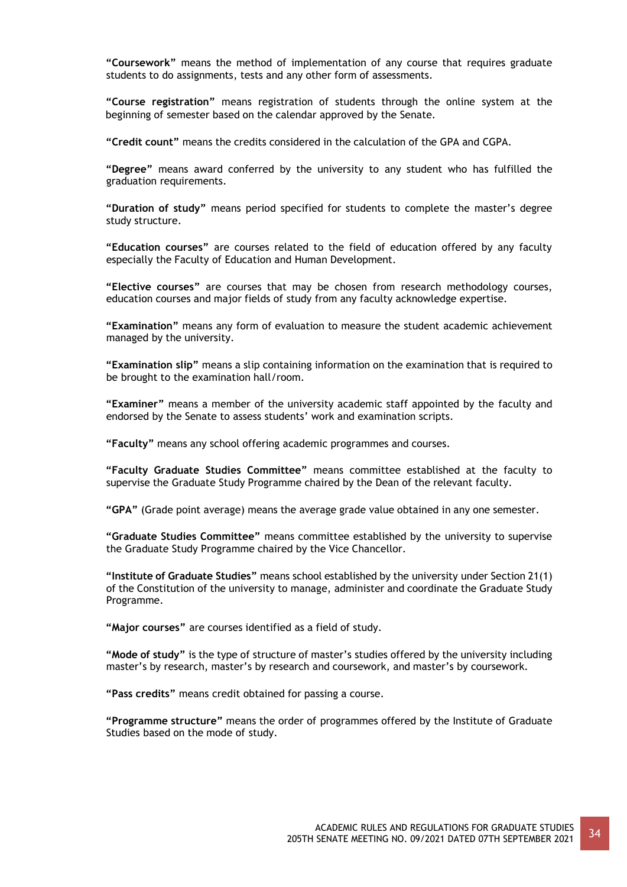**"Coursework"** means the method of implementation of any course that requires graduate students to do assignments, tests and any other form of assessments.

**"Course registration"** means registration of students through the online system at the beginning of semester based on the calendar approved by the Senate.

**"Credit count"** means the credits considered in the calculation of the GPA and CGPA.

**"Degree"** means award conferred by the university to any student who has fulfilled the graduation requirements.

**"Duration of study"** means period specified for students to complete the master's degree study structure.

**"Education courses"** are courses related to the field of education offered by any faculty especially the Faculty of Education and Human Development.

**"Elective courses"** are courses that may be chosen from research methodology courses, education courses and major fields of study from any faculty acknowledge expertise.

**"Examination"** means any form of evaluation to measure the student academic achievement managed by the university.

**"Examination slip"** means a slip containing information on the examination that is required to be brought to the examination hall/room.

**"Examiner"** means a member of the university academic staff appointed by the faculty and endorsed by the Senate to assess students' work and examination scripts.

**"Faculty"** means any school offering academic programmes and courses.

**"Faculty Graduate Studies Committee"** means committee established at the faculty to supervise the Graduate Study Programme chaired by the Dean of the relevant faculty.

**"GPA"** (Grade point average) means the average grade value obtained in any one semester.

**"Graduate Studies Committee"** means committee established by the university to supervise the Graduate Study Programme chaired by the Vice Chancellor.

**"Institute of Graduate Studies"** means school established by the university under Section 21(1) of the Constitution of the university to manage, administer and coordinate the Graduate Study Programme.

**"Major courses"** are courses identified as a field of study.

**"Mode of study"** is the type of structure of master's studies offered by the university including master's by research, master's by research and coursework, and master's by coursework.

**"Pass credits"** means credit obtained for passing a course.

**"Programme structure"** means the order of programmes offered by the Institute of Graduate Studies based on the mode of study.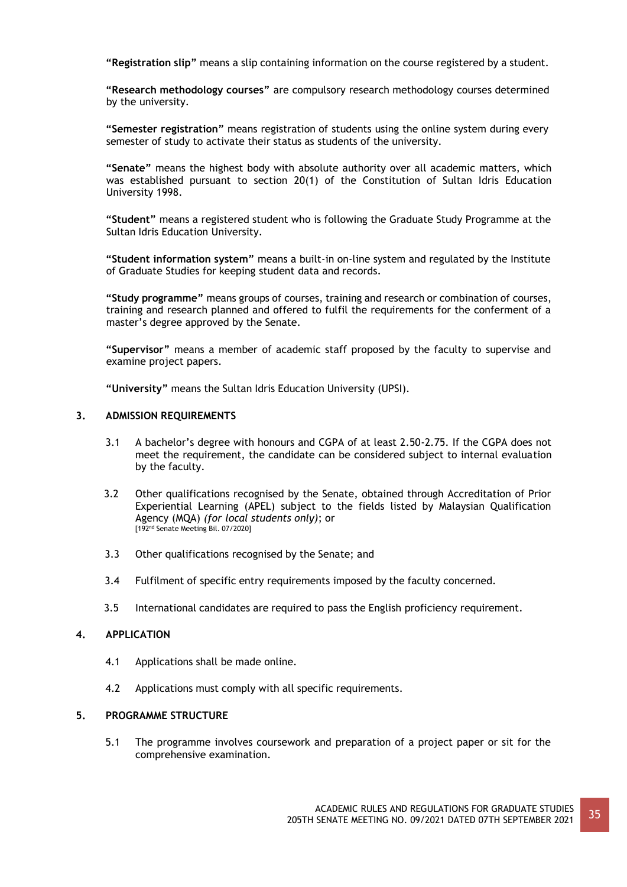**"Registration slip"** means a slip containing information on the course registered by a student.

**"Research methodology courses"** are compulsory research methodology courses determined by the university.

**"Semester registration"** means registration of students using the online system during every semester of study to activate their status as students of the university.

**"Senate"** means the highest body with absolute authority over all academic matters, which was established pursuant to section 20(1) of the Constitution of Sultan Idris Education University 1998.

**"Student"** means a registered student who is following the Graduate Study Programme at the Sultan Idris Education University.

**"Student information system"** means a built-in on-line system and regulated by the Institute of Graduate Studies for keeping student data and records.

**"Study programme"** means groups of courses, training and research or combination of courses, training and research planned and offered to fulfil the requirements for the conferment of a master's degree approved by the Senate.

**"Supervisor"** means a member of academic staff proposed by the faculty to supervise and examine project papers.

**"University"** means the Sultan Idris Education University (UPSI).

### **3. ADMISSION REQUIREMENTS**

- 3.1 A bachelor's degree with honours and CGPA of at least 2.50-2.75. If the CGPA does not meet the requirement, the candidate can be considered subject to internal evaluation by the faculty.
- 3.2 Other qualifications recognised by the Senate, obtained through Accreditation of Prior Experiential Learning (APEL) subject to the fields listed by Malaysian Qualification Agency (MQA) *(for local students only)*; or [192nd Senate Meeting Bil. 07/2020]
- 3.3 Other qualifications recognised by the Senate; and
- 3.4 Fulfilment of specific entry requirements imposed by the faculty concerned.
- 3.5 International candidates are required to pass the English proficiency requirement.

### **4. APPLICATION**

- 4.1 Applications shall be made online.
- 4.2 Applications must comply with all specific requirements.

#### **5. PROGRAMME STRUCTURE**

5.1 The programme involves coursework and preparation of a project paper or sit for the comprehensive examination.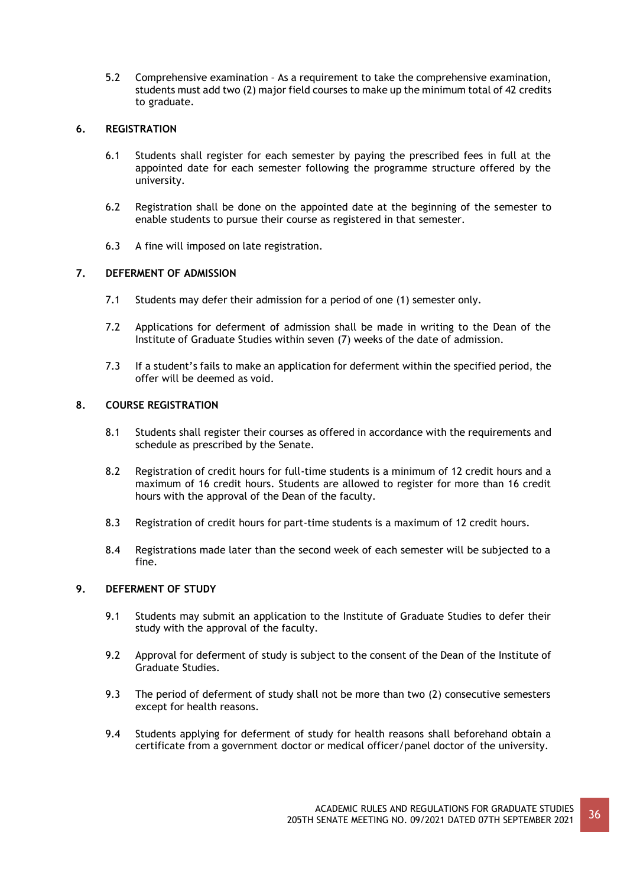5.2 Comprehensive examination – As a requirement to take the comprehensive examination, students must add two (2) major field courses to make up the minimum total of 42 credits to graduate.

## **6. REGISTRATION**

- 6.1 Students shall register for each semester by paying the prescribed fees in full at the appointed date for each semester following the programme structure offered by the university.
- 6.2 Registration shall be done on the appointed date at the beginning of the semester to enable students to pursue their course as registered in that semester.
- 6.3 A fine will imposed on late registration.

## **7. DEFERMENT OF ADMISSION**

- 7.1 Students may defer their admission for a period of one (1) semester only.
- 7.2 Applications for deferment of admission shall be made in writing to the Dean of the Institute of Graduate Studies within seven (7) weeks of the date of admission.
- 7.3 If a student's fails to make an application for deferment within the specified period, the offer will be deemed as void.

## **8. COURSE REGISTRATION**

- 8.1 Students shall register their courses as offered in accordance with the requirements and schedule as prescribed by the Senate.
- 8.2 Registration of credit hours for full-time students is a minimum of 12 credit hours and a maximum of 16 credit hours. Students are allowed to register for more than 16 credit hours with the approval of the Dean of the faculty.
- 8.3 Registration of credit hours for part-time students is a maximum of 12 credit hours.
- 8.4 Registrations made later than the second week of each semester will be subjected to a fine.

## **9. DEFERMENT OF STUDY**

- 9.1 Students may submit an application to the Institute of Graduate Studies to defer their study with the approval of the faculty.
- 9.2 Approval for deferment of study is subject to the consent of the Dean of the Institute of Graduate Studies.
- 9.3 The period of deferment of study shall not be more than two (2) consecutive semesters except for health reasons.
- 9.4 Students applying for deferment of study for health reasons shall beforehand obtain a certificate from a government doctor or medical officer/panel doctor of the university.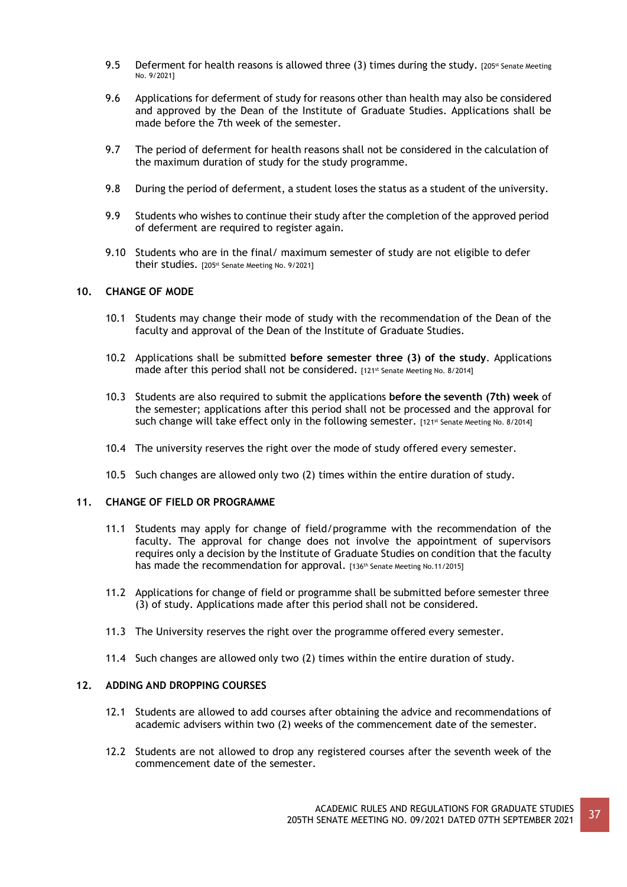- 9.5 Deferment for health reasons is allowed three (3) times during the study. [205st Senate Meeting No. 9/2021]
- 9.6 Applications for deferment of study for reasons other than health may also be considered and approved by the Dean of the Institute of Graduate Studies. Applications shall be made before the 7th week of the semester.
- 9.7 The period of deferment for health reasons shall not be considered in the calculation of the maximum duration of study for the study programme.
- 9.8 During the period of deferment, a student loses the status as a student of the university.
- 9.9 Students who wishes to continue their study after the completion of the approved period of deferment are required to register again.
- 9.10 Students who are in the final/ maximum semester of study are not eligible to defer their studies. [205<sup>st</sup> Senate Meeting No. 9/2021]

# **10. CHANGE OF MODE**

- 10.1 Students may change their mode of study with the recommendation of the Dean of the faculty and approval of the Dean of the Institute of Graduate Studies.
- 10.2 Applications shall be submitted **before semester three (3) of the study**. Applications made after this period shall not be considered. [121st Senate Meeting No. 8/2014]
- 10.3 Students are also required to submit the applications **before the seventh (7th) week** of the semester; applications after this period shall not be processed and the approval for such change will take effect only in the following semester. [121st Senate Meeting No. 8/2014]
- 10.4 The university reserves the right over the mode of study offered every semester.
- 10.5 Such changes are allowed only two (2) times within the entire duration of study.

# **11. CHANGE OF FIELD OR PROGRAMME**

- 11.1 Students may apply for change of field/programme with the recommendation of the faculty. The approval for change does not involve the appointment of supervisors requires only a decision by the Institute of Graduate Studies on condition that the faculty has made the recommendation for approval. [136<sup>th</sup> Senate Meeting No.11/2015]
- 11.2 Applications for change of field or programme shall be submitted before semester three (3) of study. Applications made after this period shall not be considered.
- 11.3 The University reserves the right over the programme offered every semester.
- 11.4 Such changes are allowed only two (2) times within the entire duration of study.

## **12. ADDING AND DROPPING COURSES**

- 12.1 Students are allowed to add courses after obtaining the advice and recommendations of academic advisers within two (2) weeks of the commencement date of the semester.
- 12.2 Students are not allowed to drop any registered courses after the seventh week of the commencement date of the semester.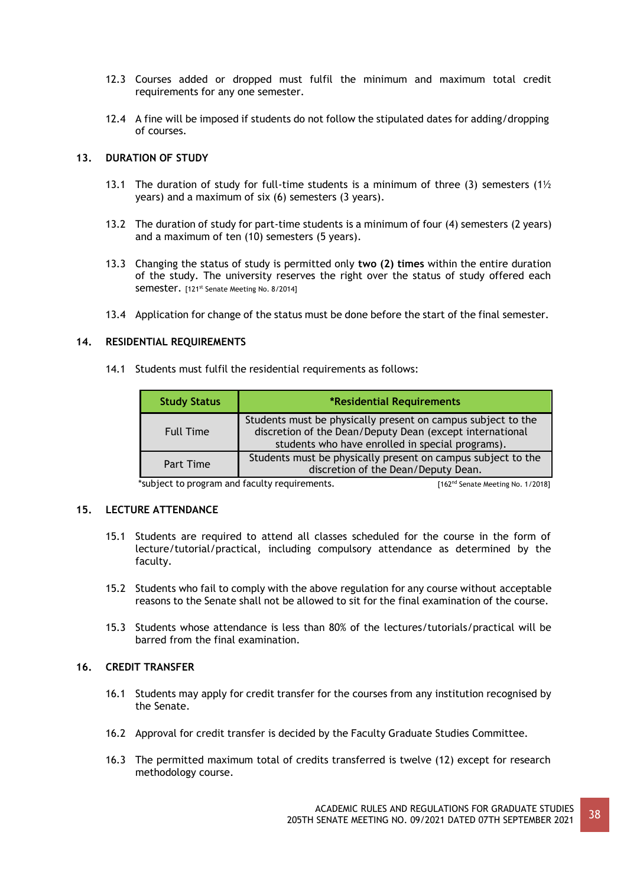- 12.3 Courses added or dropped must fulfil the minimum and maximum total credit requirements for any one semester.
- 12.4 A fine will be imposed if students do not follow the stipulated dates for adding/dropping of courses.

# **13. DURATION OF STUDY**

- 13.1 The duration of study for full-time students is a minimum of three (3) semesters (1 $\frac{1}{2}$ years) and a maximum of six (6) semesters (3 years).
- 13.2 The duration of study for part-time students is a minimum of four (4) semesters (2 years) and a maximum of ten (10) semesters (5 years).
- 13.3 Changing the status of study is permitted only **two (2) times** within the entire duration of the study. The university reserves the right over the status of study offered each Semester. [121<sup>st</sup> Senate Meeting No. 8/2014]
- 13.4 Application for change of the status must be done before the start of the final semester.

# **14. RESIDENTIAL REQUIREMENTS**

14.1 Students must fulfil the residential requirements as follows:

| <b>Study Status</b> | *Residential Requirements                                                                                                                                                    |
|---------------------|------------------------------------------------------------------------------------------------------------------------------------------------------------------------------|
| <b>Full Time</b>    | Students must be physically present on campus subject to the<br>discretion of the Dean/Deputy Dean (except international<br>students who have enrolled in special programs). |
| Part Time           | Students must be physically present on campus subject to the<br>discretion of the Dean/Deputy Dean.                                                                          |

\*subject to program and faculty requirements. [162<sup>nd</sup> Senate Meeting No. 1/2018]

# **15. LECTURE ATTENDANCE**

- 15.1 Students are required to attend all classes scheduled for the course in the form of lecture/tutorial/practical, including compulsory attendance as determined by the faculty.
- 15.2 Students who fail to comply with the above regulation for any course without acceptable reasons to the Senate shall not be allowed to sit for the final examination of the course.
- 15.3 Students whose attendance is less than 80% of the lectures/tutorials/practical will be barred from the final examination.

# **16. CREDIT TRANSFER**

- 16.1 Students may apply for credit transfer for the courses from any institution recognised by the Senate.
- 16.2 Approval for credit transfer is decided by the Faculty Graduate Studies Committee.
- 16.3 The permitted maximum total of credits transferred is twelve (12) except for research methodology course.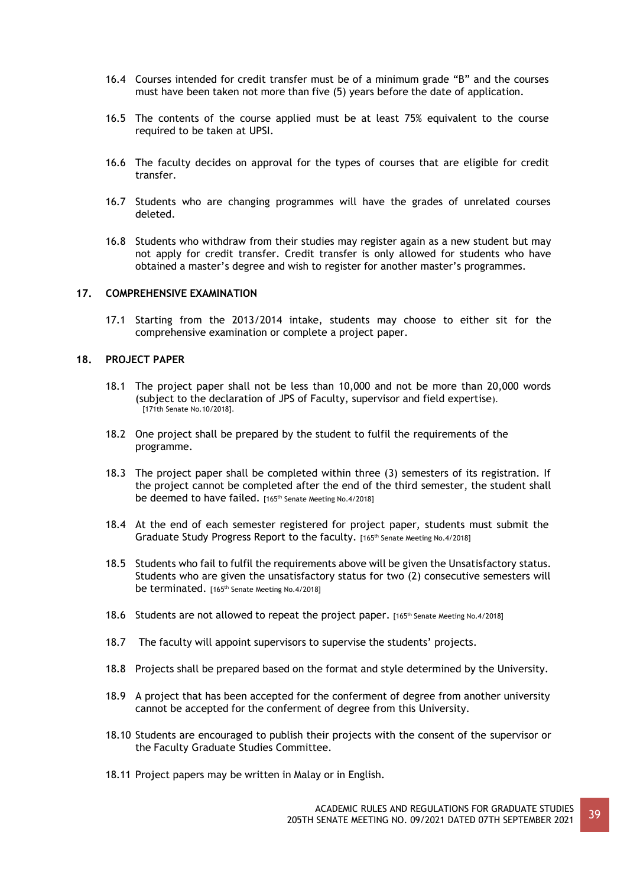- 16.4 Courses intended for credit transfer must be of a minimum grade "B" and the courses must have been taken not more than five (5) years before the date of application.
- 16.5 The contents of the course applied must be at least 75% equivalent to the course required to be taken at UPSI.
- 16.6 The faculty decides on approval for the types of courses that are eligible for credit transfer.
- 16.7 Students who are changing programmes will have the grades of unrelated courses deleted.
- 16.8 Students who withdraw from their studies may register again as a new student but may not apply for credit transfer. Credit transfer is only allowed for students who have obtained a master's degree and wish to register for another master's programmes.

## **17. COMPREHENSIVE EXAMINATION**

17.1 Starting from the 2013/2014 intake, students may choose to either sit for the comprehensive examination or complete a project paper.

#### **18. PROJECT PAPER**

- 18.1 The project paper shall not be less than 10,000 and not be more than 20,000 words (subject to the declaration of JPS of Faculty, supervisor and field expertise). [171th Senate No.10/2018].
- 18.2 One project shall be prepared by the student to fulfil the requirements of the programme.
- 18.3 The project paper shall be completed within three (3) semesters of its registration. If the project cannot be completed after the end of the third semester, the student shall be deemed to have failed. [165<sup>th</sup> Senate Meeting No.4/2018]
- 18.4 At the end of each semester registered for project paper, students must submit the Graduate Study Progress Report to the faculty. [165th Senate Meeting No.4/2018]
- 18.5 Students who fail to fulfil the requirements above will be given the Unsatisfactory status. Students who are given the unsatisfactory status for two (2) consecutive semesters will be terminated. [165<sup>th</sup> Senate Meeting No.4/2018]
- 18.6 Students are not allowed to repeat the project paper. [165th Senate Meeting No.4/2018]
- 18.7 The faculty will appoint supervisors to supervise the students' projects.
- 18.8 Projects shall be prepared based on the format and style determined by the University.
- 18.9 A project that has been accepted for the conferment of degree from another university cannot be accepted for the conferment of degree from this University.
- 18.10 Students are encouraged to publish their projects with the consent of the supervisor or the Faculty Graduate Studies Committee.
- 18.11 Project papers may be written in Malay or in English.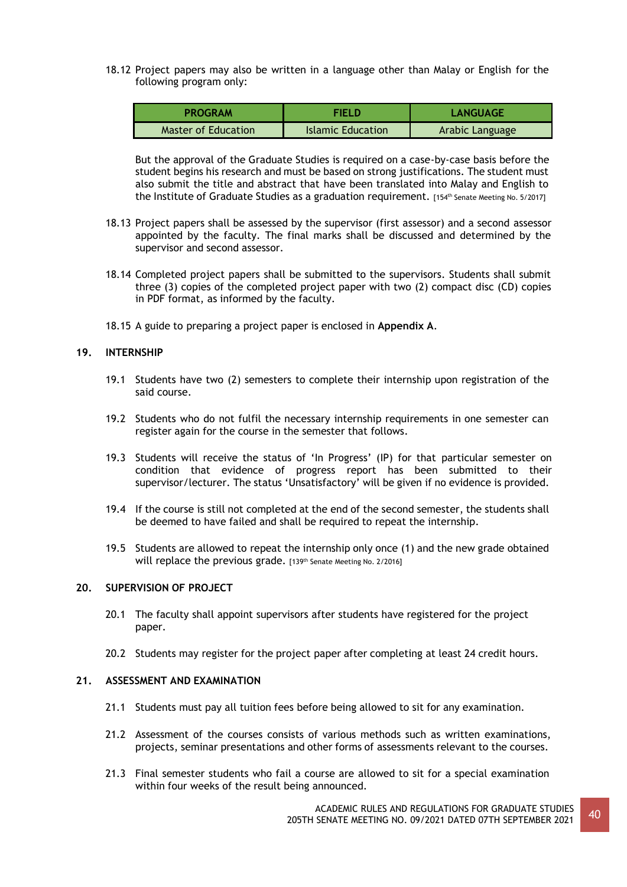18.12 Project papers may also be written in a language other than Malay or English for the following program only:

| <b>PROGRAM</b>      | SELD.             | LANGUAGE        |
|---------------------|-------------------|-----------------|
| Master of Education | Islamic Education | Arabic Language |

But the approval of the Graduate Studies is required on a case-by-case basis before the student begins his research and must be based on strong justifications. The student must also submit the title and abstract that have been translated into Malay and English to the Institute of Graduate Studies as a graduation requirement. [154<sup>th</sup> Senate Meeting No. 5/2017]

- 18.13 Project papers shall be assessed by the supervisor (first assessor) and a second assessor appointed by the faculty. The final marks shall be discussed and determined by the supervisor and second assessor.
- 18.14 Completed project papers shall be submitted to the supervisors. Students shall submit three (3) copies of the completed project paper with two (2) compact disc (CD) copies in PDF format, as informed by the faculty.
- 18.15 A guide to preparing a project paper is enclosed in **Appendix A**.

## **19. INTERNSHIP**

- 19.1 Students have two (2) semesters to complete their internship upon registration of the said course.
- 19.2 Students who do not fulfil the necessary internship requirements in one semester can register again for the course in the semester that follows.
- 19.3 Students will receive the status of 'In Progress' (IP) for that particular semester on condition that evidence of progress report has been submitted to their supervisor/lecturer. The status 'Unsatisfactory' will be given if no evidence is provided.
- 19.4 If the course is still not completed at the end of the second semester, the students shall be deemed to have failed and shall be required to repeat the internship.
- 19.5 Students are allowed to repeat the internship only once (1) and the new grade obtained will replace the previous grade. [139th Senate Meeting No. 2/2016]

## **20. SUPERVISION OF PROJECT**

- 20.1 The faculty shall appoint supervisors after students have registered for the project paper.
- 20.2 Students may register for the project paper after completing at least 24 credit hours.

## **21. ASSESSMENT AND EXAMINATION**

- 21.1 Students must pay all tuition fees before being allowed to sit for any examination.
- 21.2 Assessment of the courses consists of various methods such as written examinations, projects, seminar presentations and other forms of assessments relevant to the courses.
- 21.3 Final semester students who fail a course are allowed to sit for a special examination within four weeks of the result being announced.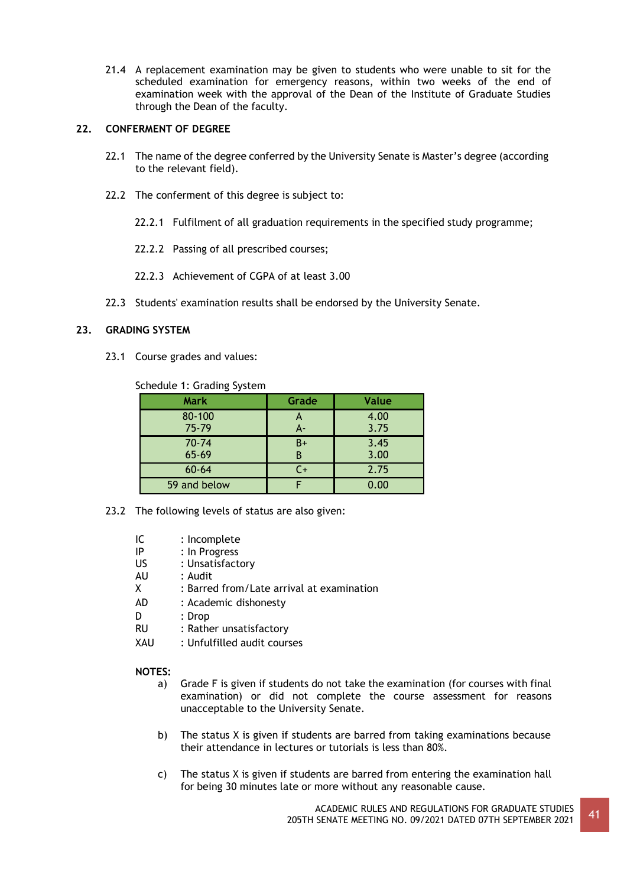21.4 A replacement examination may be given to students who were unable to sit for the scheduled examination for emergency reasons, within two weeks of the end of examination week with the approval of the Dean of the Institute of Graduate Studies through the Dean of the faculty.

# **22. CONFERMENT OF DEGREE**

- 22.1 The name of the degree conferred by the University Senate is Master's degree (according to the relevant field).
- 22.2 The conferment of this degree is subject to:
	- 22.2.1 Fulfilment of all graduation requirements in the specified study programme;
	- 22.2.2 Passing of all prescribed courses;
	- 22.2.3 Achievement of CGPA of at least 3.00
- 22.3 Students' examination results shall be endorsed by the University Senate.

# **23. GRADING SYSTEM**

23.1 Course grades and values:

Schedule 1: Grading System

| <b>Mark</b>  | Grade | <b>Value</b> |
|--------------|-------|--------------|
| $80 - 100$   |       | 4.00         |
| $75 - 79$    | $A -$ | 3.75         |
| $70 - 74$    | $B+$  | 3.45         |
| $65 - 69$    | R     | 3.00         |
| $60 - 64$    | $C+$  | 2.75         |
| 59 and below |       | 0.00         |

- 23.2 The following levels of status are also given:
	- IC : Incomplete<br>IP : In Progress
	-
	- IP : In Progress<br>US : Unsatisfact : Unsatisfactory
	- AU : Audit
	- X : Barred from/Late arrival at examination
	- AD : Academic dishonesty
	- D : Drop
	- RU : Rather unsatisfactory
	- XAU : Unfulfilled audit courses

## **NOTES:**

- a) Grade F is given if students do not take the examination (for courses with final examination) or did not complete the course assessment for reasons unacceptable to the University Senate.
- b) The status X is given if students are barred from taking examinations because their attendance in lectures or tutorials is less than 80%.
- c) The status X is given if students are barred from entering the examination hall for being 30 minutes late or more without any reasonable cause.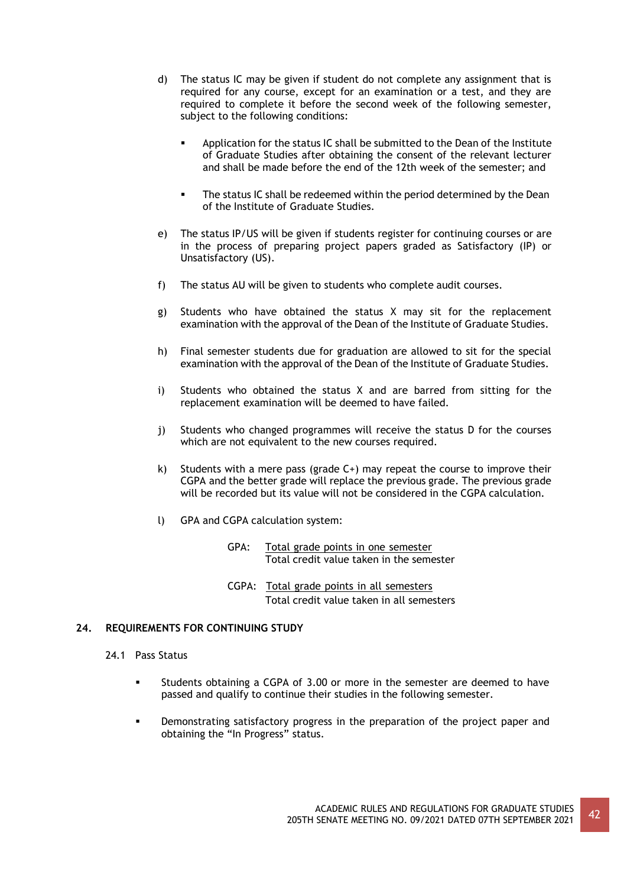- d) The status IC may be given if student do not complete any assignment that is required for any course, except for an examination or a test, and they are required to complete it before the second week of the following semester, subject to the following conditions:
	- Application for the status IC shall be submitted to the Dean of the Institute of Graduate Studies after obtaining the consent of the relevant lecturer and shall be made before the end of the 12th week of the semester; and
	- **•** The status IC shall be redeemed within the period determined by the Dean of the Institute of Graduate Studies.
- e) The status IP/US will be given if students register for continuing courses or are in the process of preparing project papers graded as Satisfactory (IP) or Unsatisfactory (US).
- f) The status AU will be given to students who complete audit courses.
- g) Students who have obtained the status X may sit for the replacement examination with the approval of the Dean of the Institute of Graduate Studies.
- h) Final semester students due for graduation are allowed to sit for the special examination with the approval of the Dean of the Institute of Graduate Studies.
- i) Students who obtained the status X and are barred from sitting for the replacement examination will be deemed to have failed.
- j) Students who changed programmes will receive the status D for the courses which are not equivalent to the new courses required.
- k) Students with a mere pass (grade  $C+$ ) may repeat the course to improve their CGPA and the better grade will replace the previous grade. The previous grade will be recorded but its value will not be considered in the CGPA calculation.
- l) GPA and CGPA calculation system:
	- GPA: Total grade points in one semester Total credit value taken in the semester
	- CGPA: Total grade points in all semesters Total credit value taken in all semesters

# **24. REQUIREMENTS FOR CONTINUING STUDY**

- 24.1 Pass Status
	- Students obtaining a CGPA of 3.00 or more in the semester are deemed to have passed and qualify to continue their studies in the following semester.
	- Demonstrating satisfactory progress in the preparation of the project paper and obtaining the "In Progress" status.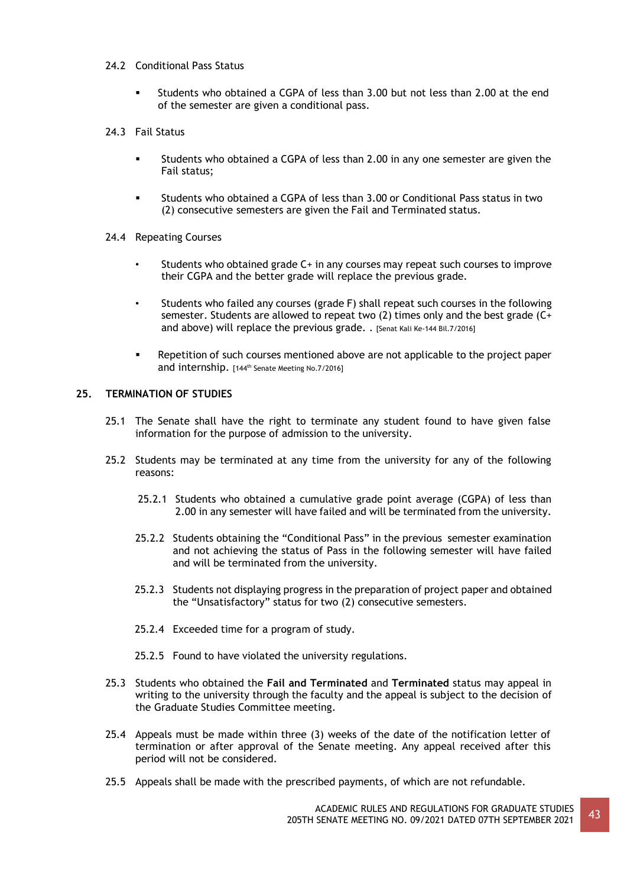# 24.2 Conditional Pass Status

- Students who obtained a CGPA of less than 3.00 but not less than 2.00 at the end of the semester are given a conditional pass.
- 24.3 Fail Status
	- Students who obtained a CGPA of less than 2.00 in any one semester are given the Fail status;
	- Students who obtained a CGPA of less than 3.00 or Conditional Pass status in two (2) consecutive semesters are given the Fail and Terminated status.
- 24.4 Repeating Courses
	- Students who obtained grade C+ in any courses may repeat such courses to improve their CGPA and the better grade will replace the previous grade.
	- Students who failed any courses (grade F) shall repeat such courses in the following semester. Students are allowed to repeat two (2) times only and the best grade (C+ and above) will replace the previous grade. . [Senat Kali Ke-144 Bil.7/2016]
	- Repetition of such courses mentioned above are not applicable to the project paper and internship. [144<sup>th</sup> Senate Meeting No.7/2016]

# **25. TERMINATION OF STUDIES**

- 25.1 The Senate shall have the right to terminate any student found to have given false information for the purpose of admission to the university.
- 25.2 Students may be terminated at any time from the university for any of the following reasons:
	- 25.2.1 Students who obtained a cumulative grade point average (CGPA) of less than 2.00 in any semester will have failed and will be terminated from the university.
	- 25.2.2 Students obtaining the "Conditional Pass" in the previous semester examination and not achieving the status of Pass in the following semester will have failed and will be terminated from the university.
	- 25.2.3 Students not displaying progress in the preparation of project paper and obtained the "Unsatisfactory" status for two (2) consecutive semesters.
	- 25.2.4 Exceeded time for a program of study.
	- 25.2.5 Found to have violated the university regulations.
- 25.3 Students who obtained the **Fail and Terminated** and **Terminated** status may appeal in writing to the university through the faculty and the appeal is subject to the decision of the Graduate Studies Committee meeting.
- 25.4 Appeals must be made within three (3) weeks of the date of the notification letter of termination or after approval of the Senate meeting. Any appeal received after this period will not be considered.
- 25.5 Appeals shall be made with the prescribed payments, of which are not refundable.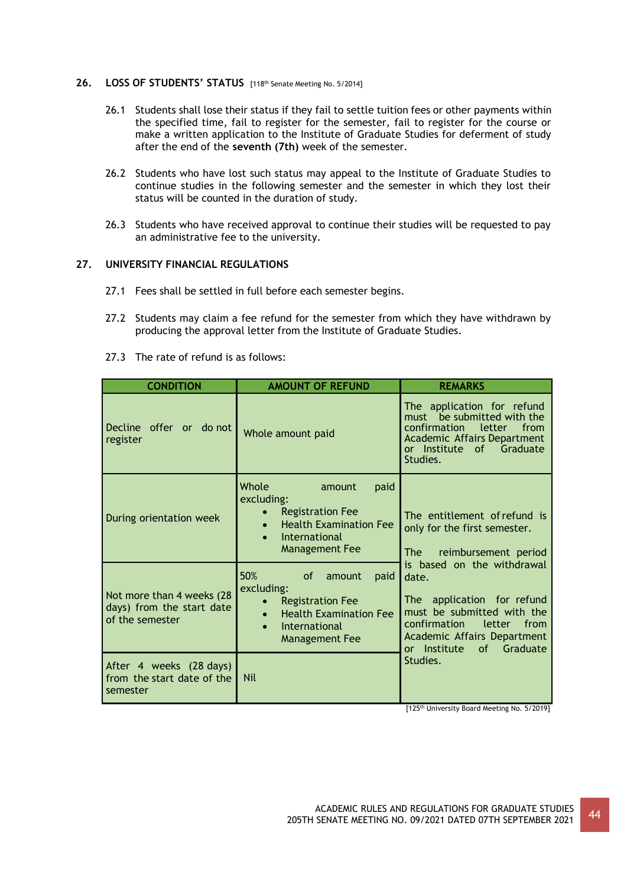## **26. LOSS OF STUDENTS' STATUS** [118th Senate Meeting No. 5/2014]

- 26.1 Students shall lose their status if they fail to settle tuition fees or other payments within the specified time, fail to register for the semester, fail to register for the course or make a written application to the Institute of Graduate Studies for deferment of study after the end of the **seventh (7th)** week of the semester.
- 26.2 Students who have lost such status may appeal to the Institute of Graduate Studies to continue studies in the following semester and the semester in which they lost their status will be counted in the duration of study.
- 26.3 Students who have received approval to continue their studies will be requested to pay an administrative fee to the university.

# **27. UNIVERSITY FINANCIAL REGULATIONS**

- 27.1 Fees shall be settled in full before each semester begins.
- 27.2 Students may claim a fee refund for the semester from which they have withdrawn by producing the approval letter from the Institute of Graduate Studies.
- 27.3 The rate of refund is as follows:

| <b>CONDITION</b>                                                          | <b>AMOUNT OF REFUND</b>                                                                                                                                               | <b>REMARKS</b>                                                                                                                                                                                     |
|---------------------------------------------------------------------------|-----------------------------------------------------------------------------------------------------------------------------------------------------------------------|----------------------------------------------------------------------------------------------------------------------------------------------------------------------------------------------------|
| Decline offer or do not<br>register                                       | Whole amount paid                                                                                                                                                     | The application for refund<br>must be submitted with the<br>letter<br>confirmation<br>from<br><b>Academic Affairs Department</b><br>or Institute<br>Graduate<br>of<br>Studies.                     |
| During orientation week                                                   | Whole<br>paid<br>amount<br>excluding:<br><b>Registration Fee</b><br><b>Health Examination Fee</b><br>$\bullet$<br>International<br>$\bullet$<br><b>Management Fee</b> | The entitlement of refund is<br>only for the first semester.<br>reimbursement period<br>The l                                                                                                      |
| Not more than 4 weeks (28<br>days) from the start date<br>of the semester | 50%<br><sub>of</sub><br>paid<br>amount<br>excluding:<br><b>Registration Fee</b><br><b>Health Examination Fee</b><br>$\bullet$<br>International<br>Management Fee      | is based on the withdrawal<br>date.<br>The application for refund<br>must be submitted with the<br>confirmation<br>from<br>letter<br>Academic Affairs Department<br>or Institute<br>of<br>Graduate |
| After 4 weeks (28 days)<br>from the start date of the<br>semester         | <b>Nil</b>                                                                                                                                                            | Studies.                                                                                                                                                                                           |

[125<sup>th</sup> University Board Meeting No. 5/2019]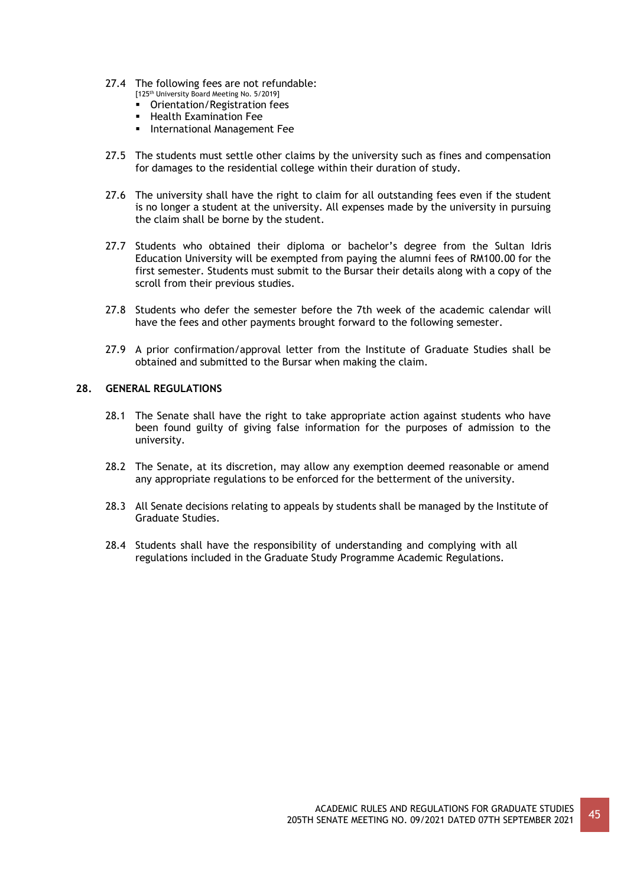- 27.4 The following fees are not refundable:
	- [125<sup>th</sup> University Board Meeting No. 5/2019] ■ Orientation/Registration fees
	- **EXAMINATION FEE**
	- **·** International Management Fee
- 27.5 The students must settle other claims by the university such as fines and compensation for damages to the residential college within their duration of study.
- 27.6 The university shall have the right to claim for all outstanding fees even if the student is no longer a student at the university. All expenses made by the university in pursuing the claim shall be borne by the student.
- 27.7 Students who obtained their diploma or bachelor's degree from the Sultan Idris Education University will be exempted from paying the alumni fees of RM100.00 for the first semester. Students must submit to the Bursar their details along with a copy of the scroll from their previous studies.
- 27.8 Students who defer the semester before the 7th week of the academic calendar will have the fees and other payments brought forward to the following semester.
- 27.9 A prior confirmation/approval letter from the Institute of Graduate Studies shall be obtained and submitted to the Bursar when making the claim.

# **28. GENERAL REGULATIONS**

- 28.1 The Senate shall have the right to take appropriate action against students who have been found guilty of giving false information for the purposes of admission to the university.
- 28.2 The Senate, at its discretion, may allow any exemption deemed reasonable or amend any appropriate regulations to be enforced for the betterment of the university.
- 28.3 All Senate decisions relating to appeals by students shall be managed by the Institute of Graduate Studies.
- 28.4 Students shall have the responsibility of understanding and complying with all regulations included in the Graduate Study Programme Academic Regulations.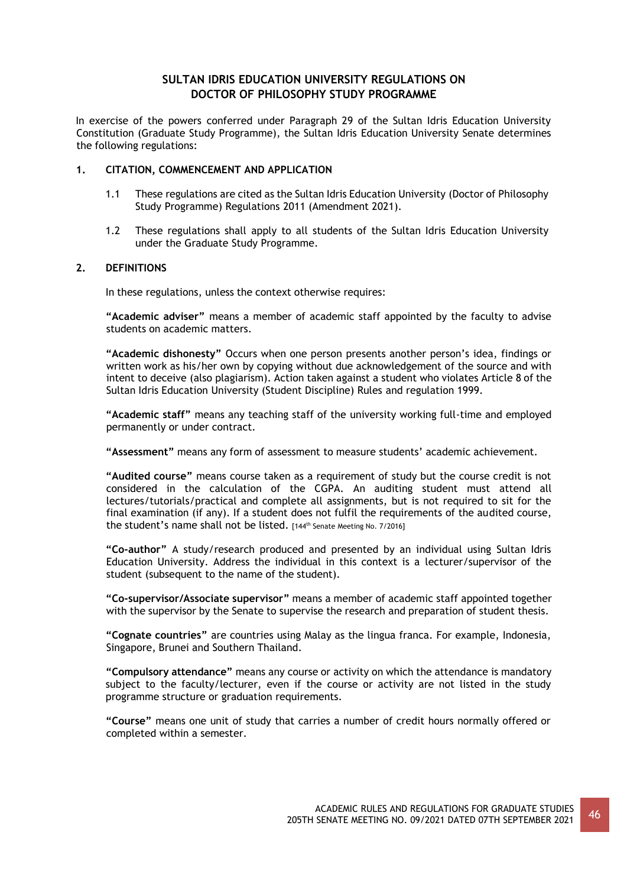# **SULTAN IDRIS EDUCATION UNIVERSITY REGULATIONS ON DOCTOR OF PHILOSOPHY STUDY PROGRAMME**

In exercise of the powers conferred under Paragraph 29 of the Sultan Idris Education University Constitution (Graduate Study Programme), the Sultan Idris Education University Senate determines the following regulations:

# **1. CITATION, COMMENCEMENT AND APPLICATION**

- 1.1 These regulations are cited as the Sultan Idris Education University (Doctor of Philosophy Study Programme) Regulations 2011 (Amendment 2021).
- 1.2 These regulations shall apply to all students of the Sultan Idris Education University under the Graduate Study Programme.

# **2. DEFINITIONS**

In these regulations, unless the context otherwise requires:

**"Academic adviser"** means a member of academic staff appointed by the faculty to advise students on academic matters.

**"Academic dishonesty"** Occurs when one person presents another person's idea, findings or written work as his/her own by copying without due acknowledgement of the source and with intent to deceive (also plagiarism). Action taken against a student who violates Article 8 of the Sultan Idris Education University (Student Discipline) Rules and regulation 1999.

**"Academic staff"** means any teaching staff of the university working full-time and employed permanently or under contract.

**"Assessment"** means any form of assessment to measure students' academic achievement.

**"Audited course"** means course taken as a requirement of study but the course credit is not considered in the calculation of the CGPA. An auditing student must attend all lectures/tutorials/practical and complete all assignments, but is not required to sit for the final examination (if any). If a student does not fulfil the requirements of the audited course, the student's name shall not be listed. [144<sup>th</sup> Senate Meeting No. 7/2016]

**"Co-author"** A study/research produced and presented by an individual using Sultan Idris Education University. Address the individual in this context is a lecturer/supervisor of the student (subsequent to the name of the student).

**"Co-supervisor/Associate supervisor"** means a member of academic staff appointed together with the supervisor by the Senate to supervise the research and preparation of student thesis.

**"Cognate countries"** are countries using Malay as the lingua franca. For example, Indonesia, Singapore, Brunei and Southern Thailand.

**"Compulsory attendance"** means any course or activity on which the attendance is mandatory subject to the faculty/lecturer, even if the course or activity are not listed in the study programme structure or graduation requirements.

**"Course"** means one unit of study that carries a number of credit hours normally offered or completed within a semester.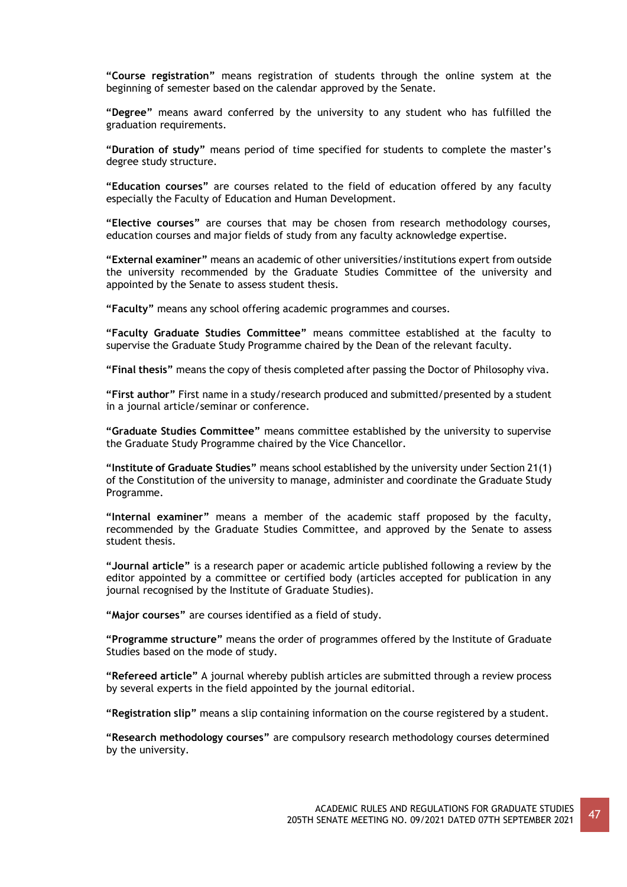**"Course registration"** means registration of students through the online system at the beginning of semester based on the calendar approved by the Senate.

**"Degree"** means award conferred by the university to any student who has fulfilled the graduation requirements.

**"Duration of study"** means period of time specified for students to complete the master's degree study structure.

**"Education courses"** are courses related to the field of education offered by any faculty especially the Faculty of Education and Human Development.

**"Elective courses"** are courses that may be chosen from research methodology courses, education courses and major fields of study from any faculty acknowledge expertise.

**"External examiner"** means an academic of other universities/institutions expert from outside the university recommended by the Graduate Studies Committee of the university and appointed by the Senate to assess student thesis.

**"Faculty"** means any school offering academic programmes and courses.

**"Faculty Graduate Studies Committee"** means committee established at the faculty to supervise the Graduate Study Programme chaired by the Dean of the relevant faculty.

**"Final thesis"** means the copy of thesis completed after passing the Doctor of Philosophy viva.

**"First author"** First name in a study/research produced and submitted/presented by a student in a journal article/seminar or conference.

**"Graduate Studies Committee"** means committee established by the university to supervise the Graduate Study Programme chaired by the Vice Chancellor.

**"Institute of Graduate Studies"** means school established by the university under Section 21(1) of the Constitution of the university to manage, administer and coordinate the Graduate Study Programme.

**"Internal examiner"** means a member of the academic staff proposed by the faculty, recommended by the Graduate Studies Committee, and approved by the Senate to assess student thesis.

**"Journal article"** is a research paper or academic article published following a review by the editor appointed by a committee or certified body (articles accepted for publication in any journal recognised by the Institute of Graduate Studies).

**"Major courses"** are courses identified as a field of study.

**"Programme structure"** means the order of programmes offered by the Institute of Graduate Studies based on the mode of study.

**"Refereed article"** A journal whereby publish articles are submitted through a review process by several experts in the field appointed by the journal editorial.

**"Registration slip"** means a slip containing information on the course registered by a student.

**"Research methodology courses"** are compulsory research methodology courses determined by the university.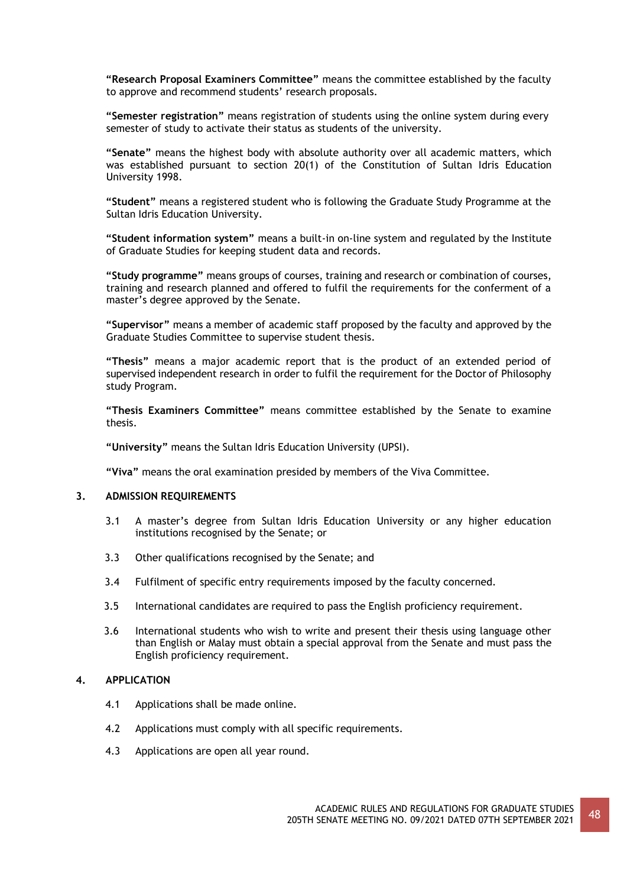**"Research Proposal Examiners Committee"** means the committee established by the faculty to approve and recommend students' research proposals.

**"Semester registration"** means registration of students using the online system during every semester of study to activate their status as students of the university.

**"Senate"** means the highest body with absolute authority over all academic matters, which was established pursuant to section 20(1) of the Constitution of Sultan Idris Education University 1998.

**"Student"** means a registered student who is following the Graduate Study Programme at the Sultan Idris Education University.

**"Student information system"** means a built-in on-line system and regulated by the Institute of Graduate Studies for keeping student data and records.

**"Study programme"** means groups of courses, training and research or combination of courses, training and research planned and offered to fulfil the requirements for the conferment of a master's degree approved by the Senate.

**"Supervisor"** means a member of academic staff proposed by the faculty and approved by the Graduate Studies Committee to supervise student thesis.

**"Thesis"** means a major academic report that is the product of an extended period of supervised independent research in order to fulfil the requirement for the Doctor of Philosophy study Program.

**"Thesis Examiners Committee"** means committee established by the Senate to examine thesis.

**"University"** means the Sultan Idris Education University (UPSI).

**"Viva"** means the oral examination presided by members of the Viva Committee.

## **3. ADMISSION REQUIREMENTS**

- 3.1 A master's degree from Sultan Idris Education University or any higher education institutions recognised by the Senate; or
- 3.3 Other qualifications recognised by the Senate; and
- 3.4 Fulfilment of specific entry requirements imposed by the faculty concerned.
- 3.5 International candidates are required to pass the English proficiency requirement.
- 3.6 International students who wish to write and present their thesis using language other than English or Malay must obtain a special approval from the Senate and must pass the English proficiency requirement.

# **4. APPLICATION**

- 4.1 Applications shall be made online.
- 4.2 Applications must comply with all specific requirements.
- 4.3 Applications are open all year round.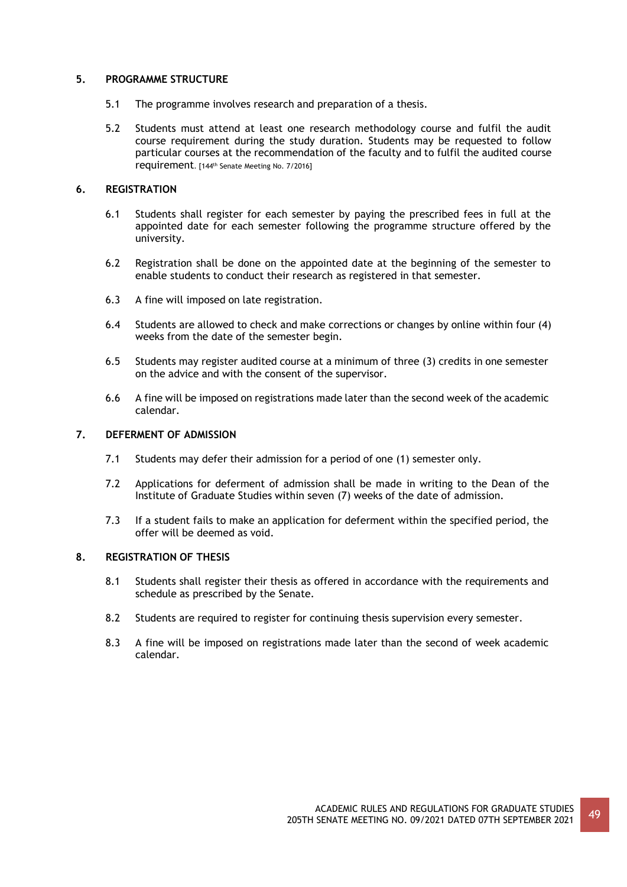# **5. PROGRAMME STRUCTURE**

- 5.1 The programme involves research and preparation of a thesis.
- 5.2 Students must attend at least one research methodology course and fulfil the audit course requirement during the study duration. Students may be requested to follow particular courses at the recommendation of the faculty and to fulfil the audited course requirement. [144th Senate Meeting No. 7/2016]

# **6. REGISTRATION**

- 6.1 Students shall register for each semester by paying the prescribed fees in full at the appointed date for each semester following the programme structure offered by the university.
- 6.2 Registration shall be done on the appointed date at the beginning of the semester to enable students to conduct their research as registered in that semester.
- 6.3 A fine will imposed on late registration.
- 6.4 Students are allowed to check and make corrections or changes by online within four (4) weeks from the date of the semester begin.
- 6.5 Students may register audited course at a minimum of three (3) credits in one semester on the advice and with the consent of the supervisor.
- 6.6 A fine will be imposed on registrations made later than the second week of the academic calendar.

# **7. DEFERMENT OF ADMISSION**

- 7.1 Students may defer their admission for a period of one (1) semester only.
- 7.2 Applications for deferment of admission shall be made in writing to the Dean of the Institute of Graduate Studies within seven (7) weeks of the date of admission.
- 7.3 If a student fails to make an application for deferment within the specified period, the offer will be deemed as void.

# **8. REGISTRATION OF THESIS**

- 8.1 Students shall register their thesis as offered in accordance with the requirements and schedule as prescribed by the Senate.
- 8.2 Students are required to register for continuing thesis supervision every semester.
- 8.3 A fine will be imposed on registrations made later than the second of week academic calendar.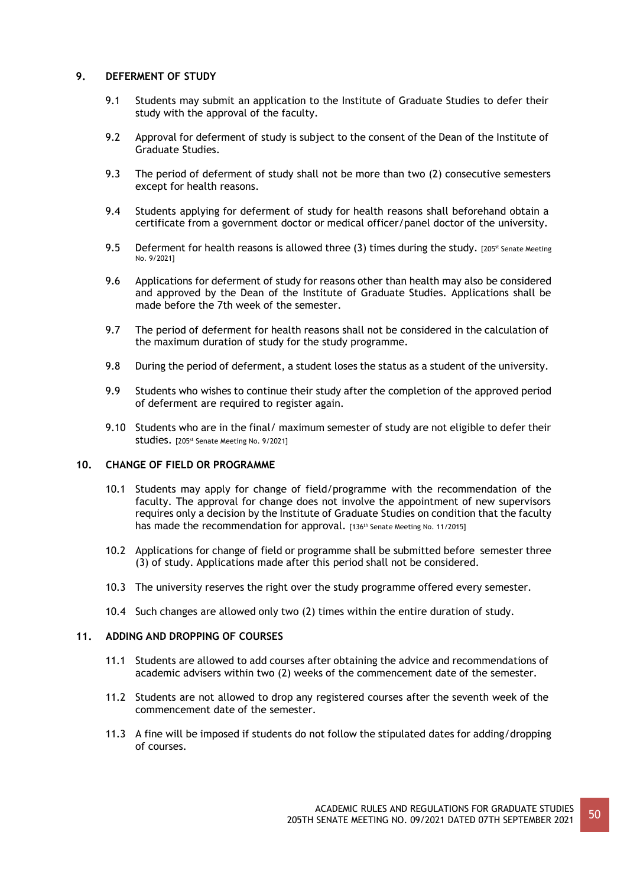# **9. DEFERMENT OF STUDY**

- 9.1 Students may submit an application to the Institute of Graduate Studies to defer their study with the approval of the faculty.
- 9.2 Approval for deferment of study is subject to the consent of the Dean of the Institute of Graduate Studies.
- 9.3 The period of deferment of study shall not be more than two (2) consecutive semesters except for health reasons.
- 9.4 Students applying for deferment of study for health reasons shall beforehand obtain a certificate from a government doctor or medical officer/panel doctor of the university.
- 9.5 Deferment for health reasons is allowed three (3) times during the study. [205<sup>st</sup> Senate Meeting No. 9/2021]
- 9.6 Applications for deferment of study for reasons other than health may also be considered and approved by the Dean of the Institute of Graduate Studies. Applications shall be made before the 7th week of the semester.
- 9.7 The period of deferment for health reasons shall not be considered in the calculation of the maximum duration of study for the study programme.
- 9.8 During the period of deferment, a student loses the status as a student of the university.
- 9.9 Students who wishes to continue their study after the completion of the approved period of deferment are required to register again.
- 9.10 Students who are in the final/ maximum semester of study are not eligible to defer their Studies. [205<sup>st</sup> Senate Meeting No. 9/2021]

# **10. CHANGE OF FIELD OR PROGRAMME**

- 10.1 Students may apply for change of field/programme with the recommendation of the faculty. The approval for change does not involve the appointment of new supervisors requires only a decision by the Institute of Graduate Studies on condition that the faculty has made the recommendation for approval. [136<sup>th</sup> Senate Meeting No. 11/2015]
- 10.2 Applications for change of field or programme shall be submitted before semester three (3) of study. Applications made after this period shall not be considered.
- 10.3 The university reserves the right over the study programme offered every semester.
- 10.4 Such changes are allowed only two (2) times within the entire duration of study.

# **11. ADDING AND DROPPING OF COURSES**

- 11.1 Students are allowed to add courses after obtaining the advice and recommendations of academic advisers within two (2) weeks of the commencement date of the semester.
- 11.2 Students are not allowed to drop any registered courses after the seventh week of the commencement date of the semester.
- 11.3 A fine will be imposed if students do not follow the stipulated dates for adding/dropping of courses.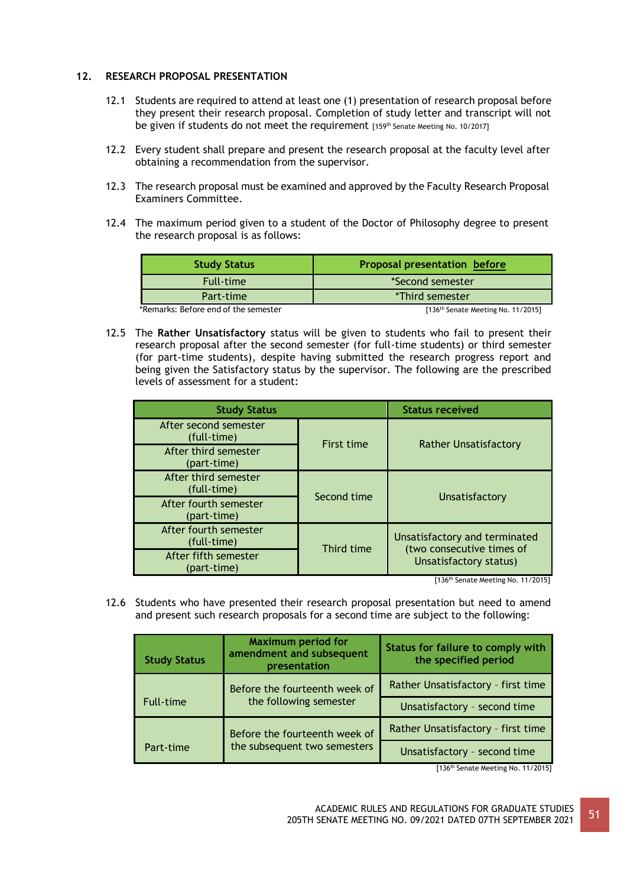# **12. RESEARCH PROPOSAL PRESENTATION**

- 12.1 Students are required to attend at least one (1) presentation of research proposal before they present their research proposal. Completion of study letter and transcript will not be given if students do not meet the requirement [159<sup>th</sup> Senate Meeting No. 10/2017]
- 12.2 Every student shall prepare and present the research proposal at the faculty level after obtaining a recommendation from the supervisor.
- 12.3 The research proposal must be examined and approved by the Faculty Research Proposal Examiners Committee.
- 12.4 The maximum period given to a student of the Doctor of Philosophy degree to present the research proposal is as follows:

| <b>Study Status</b>                  | <b>Proposal presentation before</b>            |  |
|--------------------------------------|------------------------------------------------|--|
| <b>Full-time</b>                     | *Second semester                               |  |
| Part-time                            | *Third semester                                |  |
| *Remarks: Before end of the semester | [136 <sup>th</sup> Senate Meeting No. 11/2015] |  |

12.5 The **Rather Unsatisfactory** status will be given to students who fail to present their research proposal after the second semester (for full-time students) or third semester (for part-time students), despite having submitted the research progress report and being given the Satisfactory status by the supervisor. The following are the prescribed levels of assessment for a student:

| <b>Study Status</b>                  |                   | <b>Status received</b>                                     |
|--------------------------------------|-------------------|------------------------------------------------------------|
| After second semester<br>(full-time) | <b>First time</b> | <b>Rather Unsatisfactory</b>                               |
| After third semester<br>(part-time)  |                   |                                                            |
| After third semester<br>(full-time)  | Second time       | Unsatisfactory                                             |
| After fourth semester<br>(part-time) |                   |                                                            |
| After fourth semester<br>(full-time) | Third time        | Unsatisfactory and terminated                              |
| After fifth semester<br>(part-time)  |                   | (two consecutive times of<br><b>Unsatisfactory status)</b> |

[136<sup>th</sup> Senate Meeting No. 11/2015]

12.6 Students who have presented their research proposal presentation but need to amend and present such research proposals for a second time are subject to the following:

| <b>Study Status</b> | <b>Maximum period for</b><br>amendment and subsequent<br>presentation | Status for failure to comply with<br>the specified period |
|---------------------|-----------------------------------------------------------------------|-----------------------------------------------------------|
|                     | Before the fourteenth week of                                         | Rather Unsatisfactory - first time                        |
| Full-time           | the following semester                                                | Unsatisfactory - second time                              |
|                     | Before the fourteenth week of                                         | Rather Unsatisfactory - first time                        |
| Part-time           | the subsequent two semesters                                          | Unsatisfactory - second time                              |

[136<sup>th</sup> Senate Meeting No. 11/2015]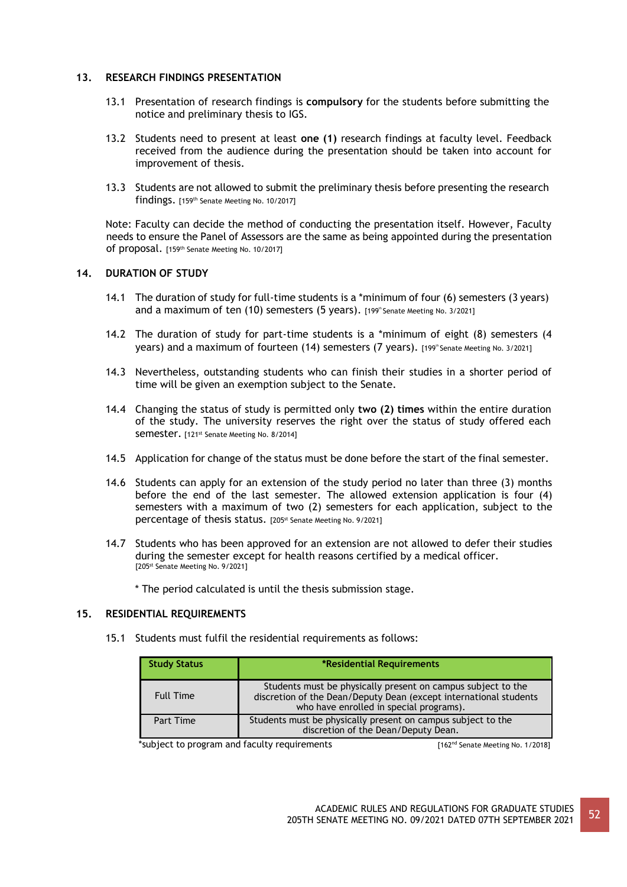# **13. RESEARCH FINDINGS PRESENTATION**

- 13.1 Presentation of research findings is **compulsory** for the students before submitting the notice and preliminary thesis to IGS.
- 13.2 Students need to present at least **one (1)** research findings at faculty level. Feedback received from the audience during the presentation should be taken into account for improvement of thesis.
- 13.3 Students are not allowed to submit the preliminary thesis before presenting the research findings. [159th Senate Meeting No. 10/2017]

Note: Faculty can decide the method of conducting the presentation itself. However, Faculty needs to ensure the Panel of Assessors are the same as being appointed during the presentation of proposal. [159th Senate Meeting No. 10/2017]

# **14. DURATION OF STUDY**

- 14.1 The duration of study for full-time students is a \*minimum of four (6) semesters (3 years) and a maximum of ten  $(10)$  semesters  $(5 \text{ years})$ .  $[199^{\circ}$  Senate Meeting No. 3/2021]
- 14.2 The duration of study for part-time students is a \*minimum of eight (8) semesters (4 years) and a maximum of fourteen (14) semesters (7 years). [199th Senate Meeting No. 3/2021]
- 14.3 Nevertheless, outstanding students who can finish their studies in a shorter period of time will be given an exemption subject to the Senate.
- 14.4 Changing the status of study is permitted only **two (2) times** within the entire duration of the study. The university reserves the right over the status of study offered each Semester. [121<sup>st</sup> Senate Meeting No. 8/2014]
- 14.5 Application for change of the status must be done before the start of the final semester.
- 14.6 Students can apply for an extension of the study period no later than three (3) months before the end of the last semester. The allowed extension application is four (4) semesters with a maximum of two (2) semesters for each application, subject to the percentage of thesis status. [205<sup>st</sup> Senate Meeting No. 9/2021]
- 14.7 Students who has been approved for an extension are not allowed to defer their studies during the semester except for health reasons certified by a medical officer. [205<sup>st</sup> Senate Meeting No. 9/2021]
	- \* The period calculated is until the thesis submission stage.

# **15. RESIDENTIAL REQUIREMENTS**

15.1 Students must fulfil the residential requirements as follows:

| <b>Study Status</b> | *Residential Requirements                                                                                                                                                    |
|---------------------|------------------------------------------------------------------------------------------------------------------------------------------------------------------------------|
| <b>Full Time</b>    | Students must be physically present on campus subject to the<br>discretion of the Dean/Deputy Dean (except international students<br>who have enrolled in special programs). |
| Part Time           | Students must be physically present on campus subject to the<br>discretion of the Dean/Deputy Dean.                                                                          |

\*subject to program and faculty requirements [162<sup>nd</sup> Senate Meeting No. 1/2018]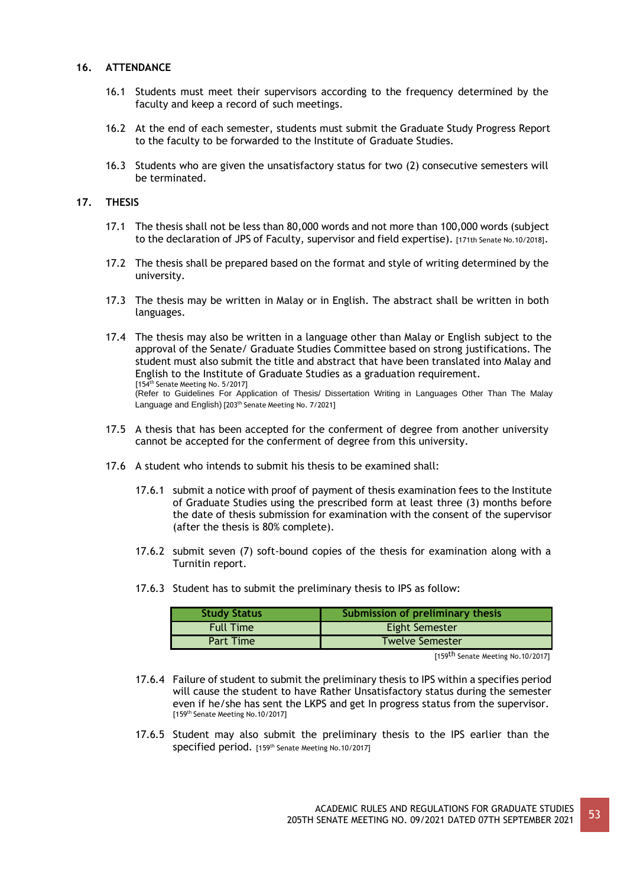# **16. ATTENDANCE**

- 16.1 Students must meet their supervisors according to the frequency determined by the faculty and keep a record of such meetings.
- 16.2 At the end of each semester, students must submit the Graduate Study Progress Report to the faculty to be forwarded to the Institute of Graduate Studies.
- 16.3 Students who are given the unsatisfactory status for two (2) consecutive semesters will be terminated.

# **17. THESIS**

- 17.1 The thesis shall not be less than 80,000 words and not more than 100,000 words (subject to the declaration of JPS of Faculty, supervisor and field expertise). [171th Senate No.10/2018].
- 17.2 The thesis shall be prepared based on the format and style of writing determined by the university.
- 17.3 The thesis may be written in Malay or in English. The abstract shall be written in both languages.
- 17.4 The thesis may also be written in a language other than Malay or English subject to the approval of the Senate/ Graduate Studies Committee based on strong justifications. The student must also submit the title and abstract that have been translated into Malay and English to the Institute of Graduate Studies as a graduation requirement. [154<sup>th</sup> Senate Meeting No. 5/2017] (Refer to Guidelines For Application of Thesis/ Dissertation Writing in Languages Other Than The Malay Language and English) [203<sup>th</sup> Senate Meeting No. 7/2021]
- 17.5 A thesis that has been accepted for the conferment of degree from another university cannot be accepted for the conferment of degree from this university.
- 17.6 A student who intends to submit his thesis to be examined shall:
	- 17.6.1 submit a notice with proof of payment of thesis examination fees to the Institute of Graduate Studies using the prescribed form at least three (3) months before the date of thesis submission for examination with the consent of the supervisor (after the thesis is 80% complete).
	- 17.6.2 submit seven (7) soft-bound copies of the thesis for examination along with a Turnitin report.
	- 17.6.3 Student has to submit the preliminary thesis to IPS as follow:

| <b>Study Status</b> | Submission of preliminary thesis |  |
|---------------------|----------------------------------|--|
| <b>Full Time</b>    | <b>Eight Semester</b>            |  |
| Part Time           | <b>Twelve Semester</b>           |  |

[159<sup>th</sup> Senate Meeting No.10/2017]

- 17.6.4 Failure of student to submit the preliminary thesis to IPS within a specifies period will cause the student to have Rather Unsatisfactory status during the semester even if he/she has sent the LKPS and get In progress status from the supervisor. [159th Senate Meeting No.10/2017]
- 17.6.5 Student may also submit the preliminary thesis to the IPS earlier than the SDecified period. [159<sup>th</sup> Senate Meeting No.10/2017]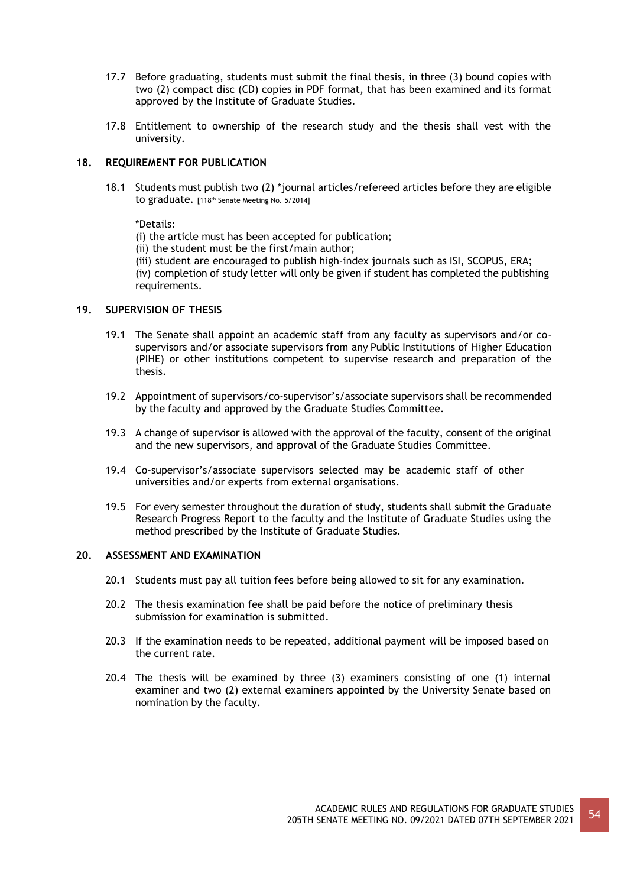- 17.7 Before graduating, students must submit the final thesis, in three (3) bound copies with two (2) compact disc (CD) copies in PDF format, that has been examined and its format approved by the Institute of Graduate Studies.
- 17.8 Entitlement to ownership of the research study and the thesis shall vest with the university.

# **18. REQUIREMENT FOR PUBLICATION**

18.1 Students must publish two (2) \*journal articles/refereed articles before they are eligible to graduate. [118<sup>th</sup> Senate Meeting No. 5/2014]

\*Details:

(i) the article must has been accepted for publication;

- (ii) the student must be the first/main author;
- (iii) student are encouraged to publish high-index journals such as ISI, SCOPUS, ERA;

(iv) completion of study letter will only be given if student has completed the publishing requirements.

# **19. SUPERVISION OF THESIS**

- 19.1 The Senate shall appoint an academic staff from any faculty as supervisors and/or cosupervisors and/or associate supervisors from any Public Institutions of Higher Education (PIHE) or other institutions competent to supervise research and preparation of the thesis.
- 19.2 Appointment of supervisors/co-supervisor's/associate supervisors shall be recommended by the faculty and approved by the Graduate Studies Committee.
- 19.3 A change of supervisor is allowed with the approval of the faculty, consent of the original and the new supervisors, and approval of the Graduate Studies Committee.
- 19.4 Co-supervisor's/associate supervisors selected may be academic staff of other universities and/or experts from external organisations.
- 19.5 For every semester throughout the duration of study, students shall submit the Graduate Research Progress Report to the faculty and the Institute of Graduate Studies using the method prescribed by the Institute of Graduate Studies.

## **20. ASSESSMENT AND EXAMINATION**

- 20.1 Students must pay all tuition fees before being allowed to sit for any examination.
- 20.2 The thesis examination fee shall be paid before the notice of preliminary thesis submission for examination is submitted.
- 20.3 If the examination needs to be repeated, additional payment will be imposed based on the current rate.
- 20.4 The thesis will be examined by three (3) examiners consisting of one (1) internal examiner and two (2) external examiners appointed by the University Senate based on nomination by the faculty.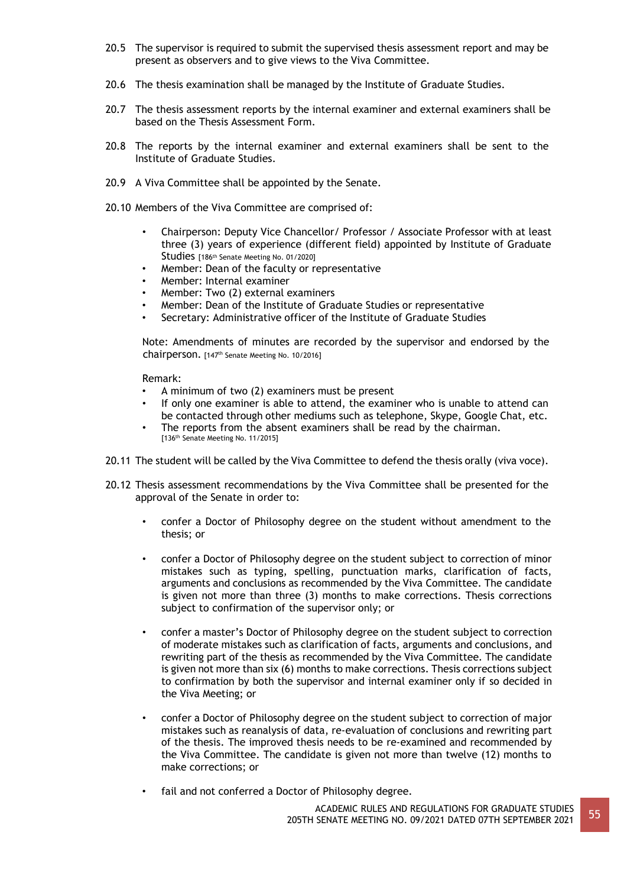- 20.5 The supervisor is required to submit the supervised thesis assessment report and may be present as observers and to give views to the Viva Committee.
- 20.6 The thesis examination shall be managed by the Institute of Graduate Studies.
- 20.7 The thesis assessment reports by the internal examiner and external examiners shall be based on the Thesis Assessment Form.
- 20.8 The reports by the internal examiner and external examiners shall be sent to the Institute of Graduate Studies.
- 20.9 A Viva Committee shall be appointed by the Senate.
- 20.10 Members of the Viva Committee are comprised of:
	- Chairperson: Deputy Vice Chancellor/ Professor / Associate Professor with at least three (3) years of experience (different field) appointed by Institute of Graduate Studies [186th Senate Meeting No. 01/2020]
	- Member: Dean of the faculty or representative
	- Member: Internal examiner
	- Member: Two (2) external examiners
	- Member: Dean of the Institute of Graduate Studies or representative
	- Secretary: Administrative officer of the Institute of Graduate Studies

Note: Amendments of minutes are recorded by the supervisor and endorsed by the chairperson. [147th Senate Meeting No. 10/2016]

Remark:

- A minimum of two (2) examiners must be present
- If only one examiner is able to attend, the examiner who is unable to attend can be contacted through other mediums such as telephone, Skype, Google Chat, etc.
- The reports from the absent examiners shall be read by the chairman. [136th Senate Meeting No. 11/2015]
- 20.11 The student will be called by the Viva Committee to defend the thesis orally (viva voce).
- 20.12 Thesis assessment recommendations by the Viva Committee shall be presented for the approval of the Senate in order to:
	- confer a Doctor of Philosophy degree on the student without amendment to the thesis; or
	- confer a Doctor of Philosophy degree on the student subject to correction of minor mistakes such as typing, spelling, punctuation marks, clarification of facts, arguments and conclusions as recommended by the Viva Committee. The candidate is given not more than three (3) months to make corrections. Thesis corrections subject to confirmation of the supervisor only; or
	- confer a master's Doctor of Philosophy degree on the student subject to correction of moderate mistakes such as clarification of facts, arguments and conclusions, and rewriting part of the thesis as recommended by the Viva Committee. The candidate is given not more than six (6) months to make corrections. Thesis corrections subject to confirmation by both the supervisor and internal examiner only if so decided in the Viva Meeting; or
	- confer a Doctor of Philosophy degree on the student subject to correction of major mistakes such as reanalysis of data, re-evaluation of conclusions and rewriting part of the thesis. The improved thesis needs to be re-examined and recommended by the Viva Committee. The candidate is given not more than twelve (12) months to make corrections; or
	- fail and not conferred a Doctor of Philosophy degree.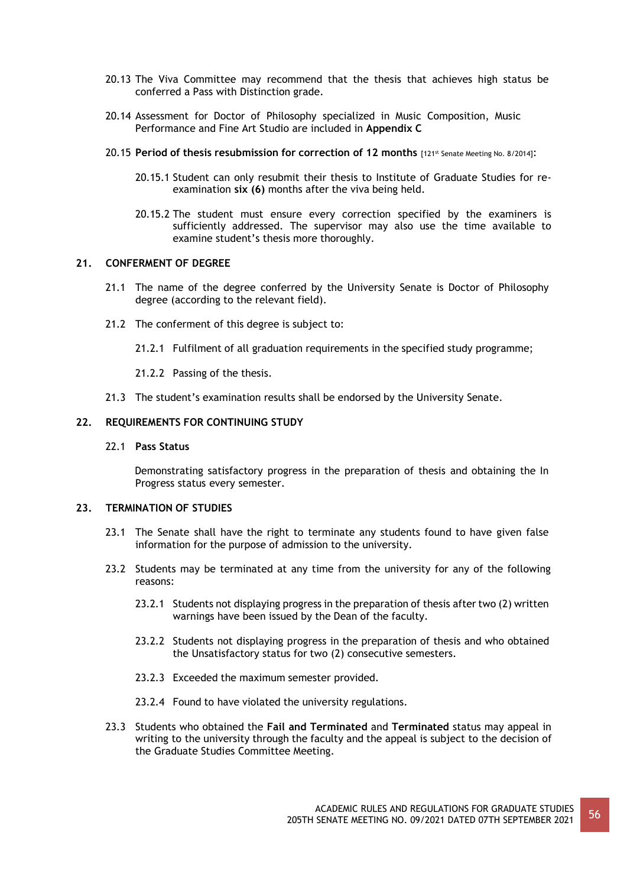- 20.13 The Viva Committee may recommend that the thesis that achieves high status be conferred a Pass with Distinction grade.
- 20.14 Assessment for Doctor of Philosophy specialized in Music Composition, Music Performance and Fine Art Studio are included in **Appendix C**
- 20.15 **Period of thesis resubmission for correction of 12 months** [121st Senate Meeting No. 8/2014]:
	- 20.15.1 Student can only resubmit their thesis to Institute of Graduate Studies for reexamination **six (6)** months after the viva being held.
	- 20.15.2 The student must ensure every correction specified by the examiners is sufficiently addressed. The supervisor may also use the time available to examine student's thesis more thoroughly.

## **21. CONFERMENT OF DEGREE**

- 21.1 The name of the degree conferred by the University Senate is Doctor of Philosophy degree (according to the relevant field).
- 21.2 The conferment of this degree is subject to:
	- 21.2.1 Fulfilment of all graduation requirements in the specified study programme;
	- 21.2.2 Passing of the thesis.
- 21.3 The student's examination results shall be endorsed by the University Senate.

#### **22. REQUIREMENTS FOR CONTINUING STUDY**

#### 22.1 **Pass Status**

Demonstrating satisfactory progress in the preparation of thesis and obtaining the In Progress status every semester.

#### **23. TERMINATION OF STUDIES**

- 23.1 The Senate shall have the right to terminate any students found to have given false information for the purpose of admission to the university.
- 23.2 Students may be terminated at any time from the university for any of the following reasons:
	- 23.2.1 Students not displaying progress in the preparation of thesis after two (2) written warnings have been issued by the Dean of the faculty.
	- 23.2.2 Students not displaying progress in the preparation of thesis and who obtained the Unsatisfactory status for two (2) consecutive semesters.
	- 23.2.3 Exceeded the maximum semester provided.
	- 23.2.4 Found to have violated the university regulations.
- 23.3 Students who obtained the **Fail and Terminated** and **Terminated** status may appeal in writing to the university through the faculty and the appeal is subject to the decision of the Graduate Studies Committee Meeting.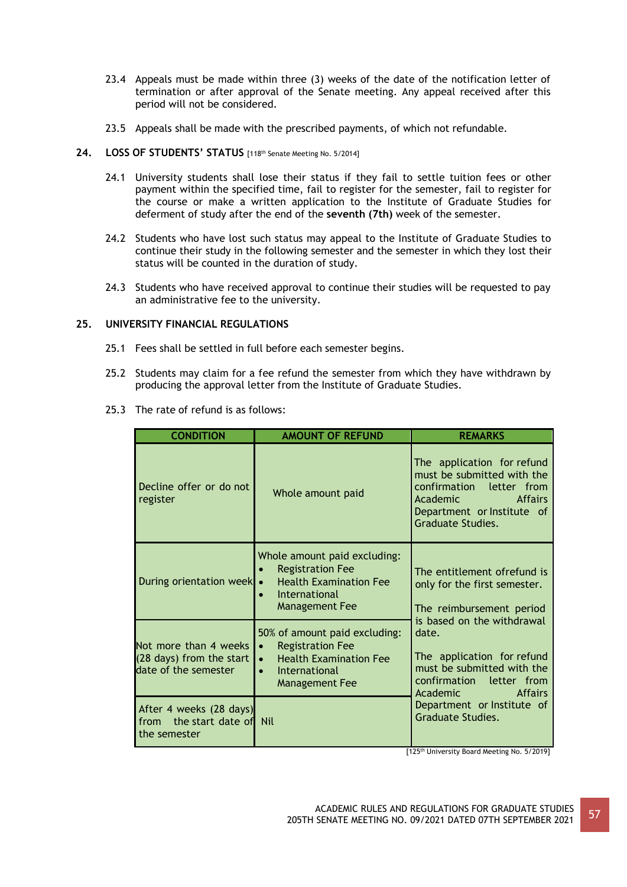- 23.4 Appeals must be made within three (3) weeks of the date of the notification letter of termination or after approval of the Senate meeting. Any appeal received after this period will not be considered.
- 23.5 Appeals shall be made with the prescribed payments, of which not refundable.

## **24. LOSS OF STUDENTS' STATUS** [118th Senate Meeting No. 5/2014]

- 24.1 University students shall lose their status if they fail to settle tuition fees or other payment within the specified time, fail to register for the semester, fail to register for the course or make a written application to the Institute of Graduate Studies for deferment of study after the end of the **seventh (7th)** week of the semester.
- 24.2 Students who have lost such status may appeal to the Institute of Graduate Studies to continue their study in the following semester and the semester in which they lost their status will be counted in the duration of study.
- 24.3 Students who have received approval to continue their studies will be requested to pay an administrative fee to the university.

# **25. UNIVERSITY FINANCIAL REGULATIONS**

- 25.1 Fees shall be settled in full before each semester begins.
- 25.2 Students may claim for a fee refund the semester from which they have withdrawn by producing the approval letter from the Institute of Graduate Studies.
- 25.3 The rate of refund is as follows:

| <b>CONDITION</b>                                                          | <b>AMOUNT OF REFUND</b>                                                                                                                                             | <b>REMARKS</b>                                                                                                                                                                               |
|---------------------------------------------------------------------------|---------------------------------------------------------------------------------------------------------------------------------------------------------------------|----------------------------------------------------------------------------------------------------------------------------------------------------------------------------------------------|
| Decline offer or do not<br>register                                       | Whole amount paid                                                                                                                                                   | The application for refund<br>must be submitted with the<br>confirmation letter from<br>Academic <b>Academic</b><br><b>Affairs</b><br>Department or Institute of<br><b>Graduate Studies.</b> |
| During orientation week                                                   | Whole amount paid excluding:<br><b>Registration Fee</b><br><b>Health Examination Fee</b><br>International<br>$\bullet$<br>Management Fee                            | The entitlement ofrefund is<br>only for the first semester.<br>The reimbursement period                                                                                                      |
| Not more than 4 weeks<br>(28 days) from the start<br>date of the semester | 50% of amount paid excluding:<br><b>Registration Fee</b><br>$\bullet$<br><b>Health Examination Fee</b><br>$\bullet$<br>International<br>$\bullet$<br>Management Fee | is based on the withdrawal<br>date.<br>The application for refund<br>must be submitted with the<br>confirmation letter from<br>Academic<br><b>Affairs</b>                                    |
| After 4 weeks (28 days)<br>from the start date of Nil<br>the semester     |                                                                                                                                                                     | Department or Institute of<br>Graduate Studies.<br>$\sim$ there is a set of $\sim$                                                                                                           |

[125<sup>th</sup> University Board Meeting No. 5/2019]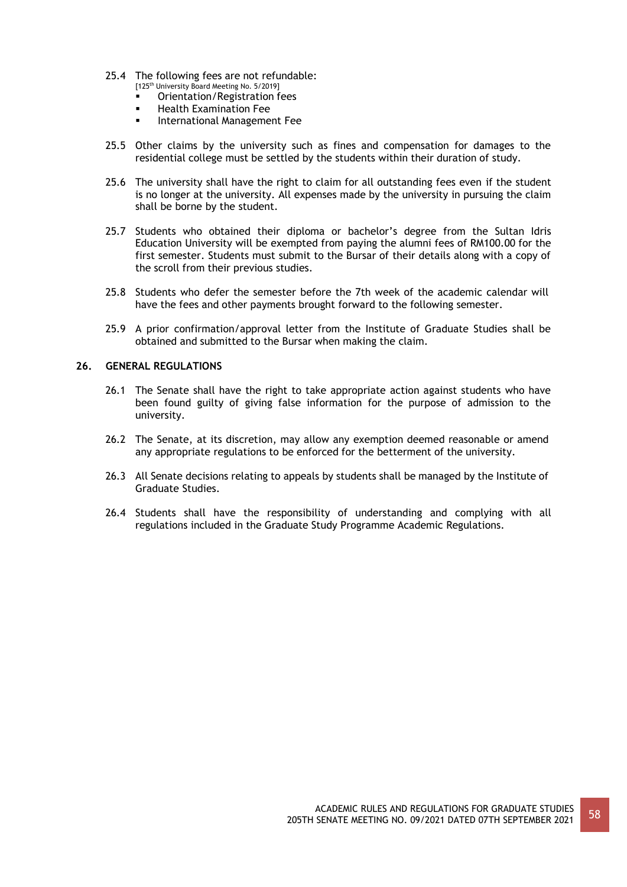- 25.4 The following fees are not refundable:
	- [125<sup>th</sup> University Board Meeting No. 5/2019]
	- Orientation/Registration fees
	- Health Examination Fee<br>■ International Manageme
	- International Management Fee
- 25.5 Other claims by the university such as fines and compensation for damages to the residential college must be settled by the students within their duration of study.
- 25.6 The university shall have the right to claim for all outstanding fees even if the student is no longer at the university. All expenses made by the university in pursuing the claim shall be borne by the student.
- 25.7 Students who obtained their diploma or bachelor's degree from the Sultan Idris Education University will be exempted from paying the alumni fees of RM100.00 for the first semester. Students must submit to the Bursar of their details along with a copy of the scroll from their previous studies.
- 25.8 Students who defer the semester before the 7th week of the academic calendar will have the fees and other payments brought forward to the following semester.
- 25.9 A prior confirmation/approval letter from the Institute of Graduate Studies shall be obtained and submitted to the Bursar when making the claim.

# **26. GENERAL REGULATIONS**

- 26.1 The Senate shall have the right to take appropriate action against students who have been found guilty of giving false information for the purpose of admission to the university.
- 26.2 The Senate, at its discretion, may allow any exemption deemed reasonable or amend any appropriate regulations to be enforced for the betterment of the university.
- 26.3 All Senate decisions relating to appeals by students shall be managed by the Institute of Graduate Studies.
- 26.4 Students shall have the responsibility of understanding and complying with all regulations included in the Graduate Study Programme Academic Regulations.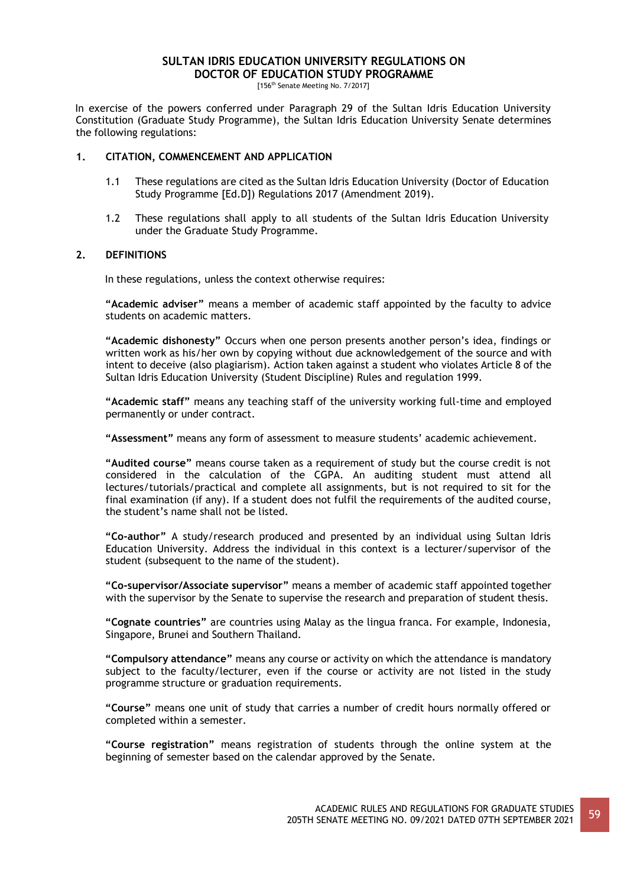# **SULTAN IDRIS EDUCATION UNIVERSITY REGULATIONS ON DOCTOR OF EDUCATION STUDY PROGRAMME**

[156<sup>th</sup> Senate Meeting No. 7/2017]

In exercise of the powers conferred under Paragraph 29 of the Sultan Idris Education University Constitution (Graduate Study Programme), the Sultan Idris Education University Senate determines the following regulations:

## **1. CITATION, COMMENCEMENT AND APPLICATION**

- 1.1 These regulations are cited as the Sultan Idris Education University (Doctor of Education Study Programme [Ed.D]) Regulations 2017 (Amendment 2019).
- 1.2 These regulations shall apply to all students of the Sultan Idris Education University under the Graduate Study Programme.

# **2. DEFINITIONS**

In these regulations, unless the context otherwise requires:

**"Academic adviser"** means a member of academic staff appointed by the faculty to advice students on academic matters.

**"Academic dishonesty"** Occurs when one person presents another person's idea, findings or written work as his/her own by copying without due acknowledgement of the source and with intent to deceive (also plagiarism). Action taken against a student who violates Article 8 of the Sultan Idris Education University (Student Discipline) Rules and regulation 1999.

**"Academic staff"** means any teaching staff of the university working full-time and employed permanently or under contract.

**"Assessment"** means any form of assessment to measure students' academic achievement.

**"Audited course"** means course taken as a requirement of study but the course credit is not considered in the calculation of the CGPA. An auditing student must attend all lectures/tutorials/practical and complete all assignments, but is not required to sit for the final examination (if any). If a student does not fulfil the requirements of the audited course, the student's name shall not be listed.

**"Co-author"** A study/research produced and presented by an individual using Sultan Idris Education University. Address the individual in this context is a lecturer/supervisor of the student (subsequent to the name of the student).

**"Co-supervisor/Associate supervisor"** means a member of academic staff appointed together with the supervisor by the Senate to supervise the research and preparation of student thesis.

**"Cognate countries"** are countries using Malay as the lingua franca. For example, Indonesia, Singapore, Brunei and Southern Thailand.

**"Compulsory attendance"** means any course or activity on which the attendance is mandatory subject to the faculty/lecturer, even if the course or activity are not listed in the study programme structure or graduation requirements.

**"Course"** means one unit of study that carries a number of credit hours normally offered or completed within a semester.

**"Course registration"** means registration of students through the online system at the beginning of semester based on the calendar approved by the Senate.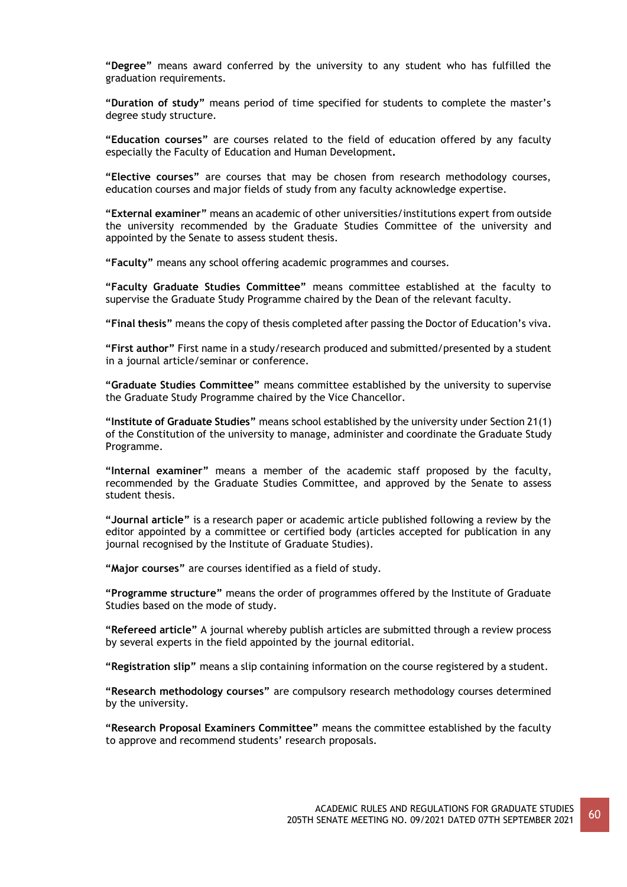**"Degree"** means award conferred by the university to any student who has fulfilled the graduation requirements.

**"Duration of study"** means period of time specified for students to complete the master's degree study structure.

**"Education courses"** are courses related to the field of education offered by any faculty especially the Faculty of Education and Human Development**.**

**"Elective courses"** are courses that may be chosen from research methodology courses, education courses and major fields of study from any faculty acknowledge expertise.

**"External examiner"** means an academic of other universities/institutions expert from outside the university recommended by the Graduate Studies Committee of the university and appointed by the Senate to assess student thesis.

**"Faculty"** means any school offering academic programmes and courses.

**"Faculty Graduate Studies Committee"** means committee established at the faculty to supervise the Graduate Study Programme chaired by the Dean of the relevant faculty.

**"Final thesis"** means the copy of thesis completed after passing the Doctor of Education's viva.

**"First author"** First name in a study/research produced and submitted/presented by a student in a journal article/seminar or conference.

**"Graduate Studies Committee"** means committee established by the university to supervise the Graduate Study Programme chaired by the Vice Chancellor.

**"Institute of Graduate Studies"** means school established by the university under Section 21(1) of the Constitution of the university to manage, administer and coordinate the Graduate Study Programme.

**"Internal examiner"** means a member of the academic staff proposed by the faculty, recommended by the Graduate Studies Committee, and approved by the Senate to assess student thesis.

**"Journal article"** is a research paper or academic article published following a review by the editor appointed by a committee or certified body (articles accepted for publication in any journal recognised by the Institute of Graduate Studies).

**"Major courses"** are courses identified as a field of study.

**"Programme structure"** means the order of programmes offered by the Institute of Graduate Studies based on the mode of study.

**"Refereed article"** A journal whereby publish articles are submitted through a review process by several experts in the field appointed by the journal editorial.

**"Registration slip"** means a slip containing information on the course registered by a student.

**"Research methodology courses"** are compulsory research methodology courses determined by the university.

**"Research Proposal Examiners Committee"** means the committee established by the faculty to approve and recommend students' research proposals.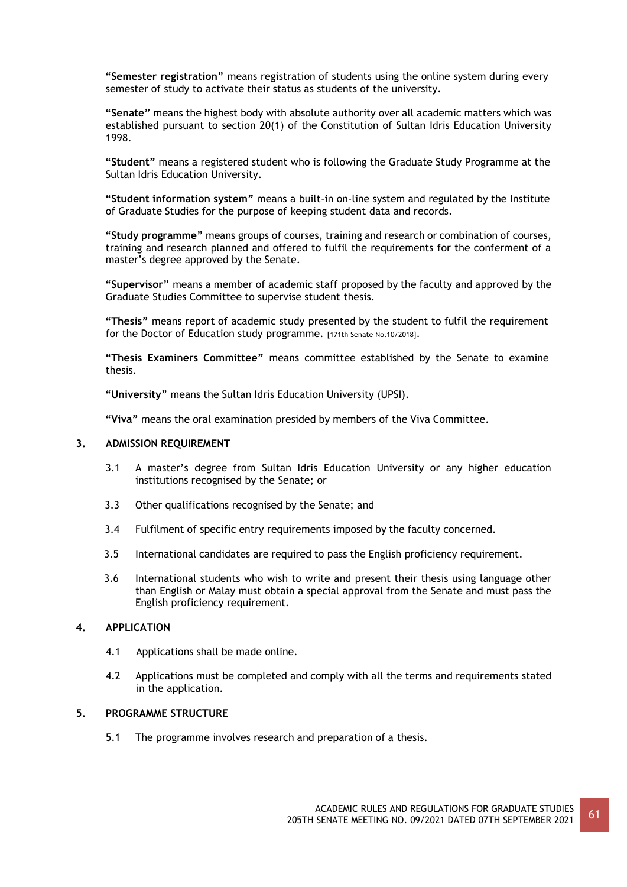**"Semester registration"** means registration of students using the online system during every semester of study to activate their status as students of the university.

**"Senate"** means the highest body with absolute authority over all academic matters which was established pursuant to section 20(1) of the Constitution of Sultan Idris Education University 1998.

**"Student"** means a registered student who is following the Graduate Study Programme at the Sultan Idris Education University.

**"Student information system"** means a built-in on-line system and regulated by the Institute of Graduate Studies for the purpose of keeping student data and records.

**"Study programme"** means groups of courses, training and research or combination of courses, training and research planned and offered to fulfil the requirements for the conferment of a master's degree approved by the Senate.

**"Supervisor"** means a member of academic staff proposed by the faculty and approved by the Graduate Studies Committee to supervise student thesis.

**"Thesis"** means report of academic study presented by the student to fulfil the requirement for the Doctor of Education study programme. [171th Senate No.10/2018].

**"Thesis Examiners Committee"** means committee established by the Senate to examine thesis.

**"University"** means the Sultan Idris Education University (UPSI).

**"Viva"** means the oral examination presided by members of the Viva Committee.

## **3. ADMISSION REQUIREMENT**

- 3.1 A master's degree from Sultan Idris Education University or any higher education institutions recognised by the Senate; or
- 3.3 Other qualifications recognised by the Senate; and
- 3.4 Fulfilment of specific entry requirements imposed by the faculty concerned.
- 3.5 International candidates are required to pass the English proficiency requirement.
- 3.6 International students who wish to write and present their thesis using language other than English or Malay must obtain a special approval from the Senate and must pass the English proficiency requirement.

# **4. APPLICATION**

- 4.1 Applications shall be made online.
- 4.2 Applications must be completed and comply with all the terms and requirements stated in the application.

## **5. PROGRAMME STRUCTURE**

5.1 The programme involves research and preparation of a thesis.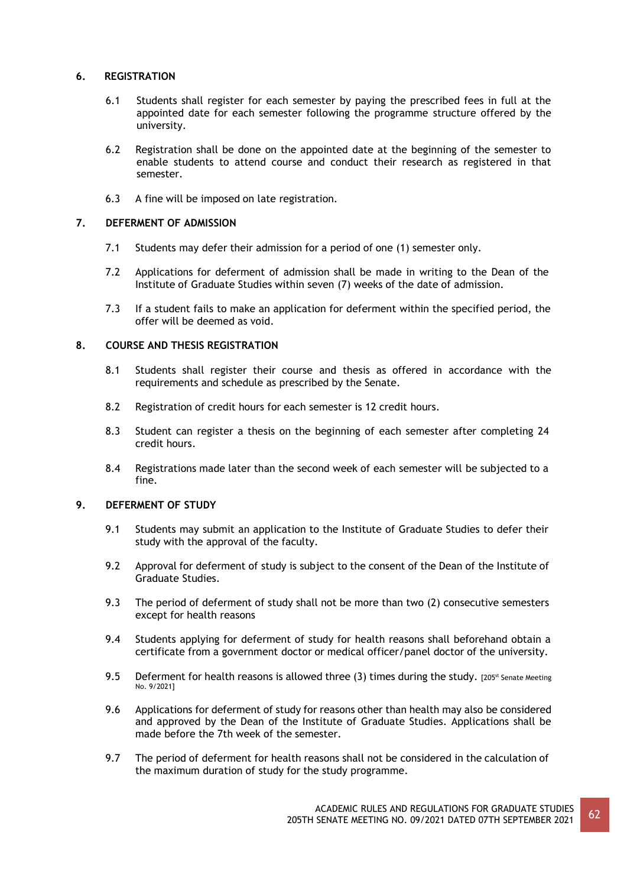# **6. REGISTRATION**

- 6.1 Students shall register for each semester by paying the prescribed fees in full at the appointed date for each semester following the programme structure offered by the university.
- 6.2 Registration shall be done on the appointed date at the beginning of the semester to enable students to attend course and conduct their research as registered in that semester.
- 6.3 A fine will be imposed on late registration.

# **7. DEFERMENT OF ADMISSION**

- 7.1 Students may defer their admission for a period of one (1) semester only.
- 7.2 Applications for deferment of admission shall be made in writing to the Dean of the Institute of Graduate Studies within seven (7) weeks of the date of admission.
- 7.3 If a student fails to make an application for deferment within the specified period, the offer will be deemed as void.

# **8. COURSE AND THESIS REGISTRATION**

- 8.1 Students shall register their course and thesis as offered in accordance with the requirements and schedule as prescribed by the Senate.
- 8.2 Registration of credit hours for each semester is 12 credit hours.
- 8.3 Student can register a thesis on the beginning of each semester after completing 24 credit hours.
- 8.4 Registrations made later than the second week of each semester will be subjected to a fine.

# **9. DEFERMENT OF STUDY**

- 9.1 Students may submit an application to the Institute of Graduate Studies to defer their study with the approval of the faculty.
- 9.2 Approval for deferment of study is subject to the consent of the Dean of the Institute of Graduate Studies.
- 9.3 The period of deferment of study shall not be more than two (2) consecutive semesters except for health reasons
- 9.4 Students applying for deferment of study for health reasons shall beforehand obtain a certificate from a government doctor or medical officer/panel doctor of the university.
- 9.5 Deferment for health reasons is allowed three (3) times during the study. [205<sup>st</sup> Senate Meeting No. 9/2021]
- 9.6 Applications for deferment of study for reasons other than health may also be considered and approved by the Dean of the Institute of Graduate Studies. Applications shall be made before the 7th week of the semester.
- 9.7 The period of deferment for health reasons shall not be considered in the calculation of the maximum duration of study for the study programme.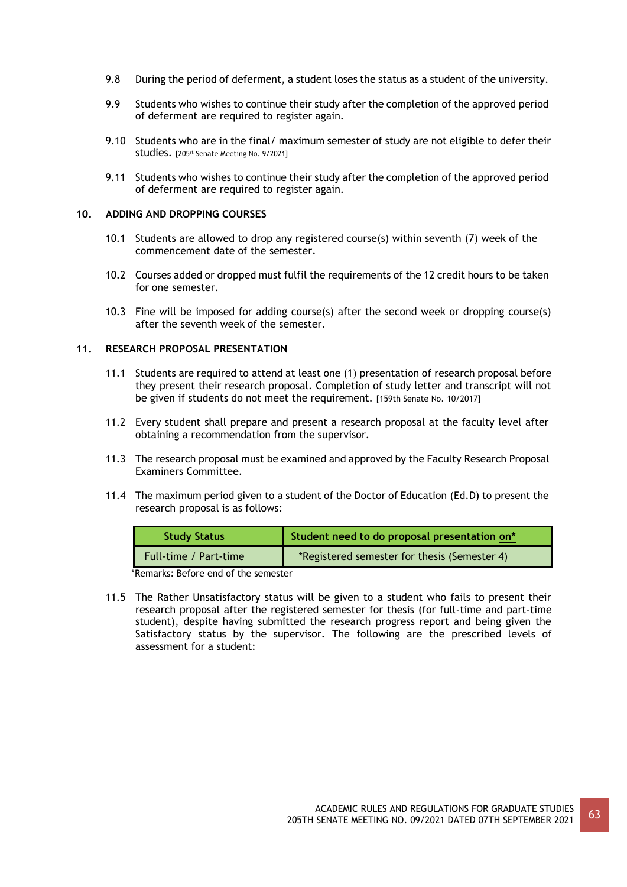- 9.8 During the period of deferment, a student loses the status as a student of the university.
- 9.9 Students who wishes to continue their study after the completion of the approved period of deferment are required to register again.
- 9.10 Students who are in the final/maximum semester of study are not eligible to defer their Studies. [205<sup>st</sup> Senate Meeting No. 9/2021]
- 9.11 Students who wishes to continue their study after the completion of the approved period of deferment are required to register again.

# **10. ADDING AND DROPPING COURSES**

- 10.1 Students are allowed to drop any registered course(s) within seventh (7) week of the commencement date of the semester.
- 10.2 Courses added or dropped must fulfil the requirements of the 12 credit hours to be taken for one semester.
- 10.3 Fine will be imposed for adding course(s) after the second week or dropping course(s) after the seventh week of the semester.

## **11. RESEARCH PROPOSAL PRESENTATION**

- 11.1 Students are required to attend at least one (1) presentation of research proposal before they present their research proposal. Completion of study letter and transcript will not be given if students do not meet the requirement. [159th Senate No. 10/2017]
- 11.2 Every student shall prepare and present a research proposal at the faculty level after obtaining a recommendation from the supervisor.
- 11.3 The research proposal must be examined and approved by the Faculty Research Proposal Examiners Committee.
- 11.4 The maximum period given to a student of the Doctor of Education (Ed.D) to present the research proposal is as follows:

| <b>Study Status</b>   | Student need to do proposal presentation on* |
|-----------------------|----------------------------------------------|
| Full-time / Part-time | *Registered semester for thesis (Semester 4) |

\*Remarks: Before end of the semester

11.5 The Rather Unsatisfactory status will be given to a student who fails to present their research proposal after the registered semester for thesis (for full-time and part-time student), despite having submitted the research progress report and being given the Satisfactory status by the supervisor. The following are the prescribed levels of assessment for a student: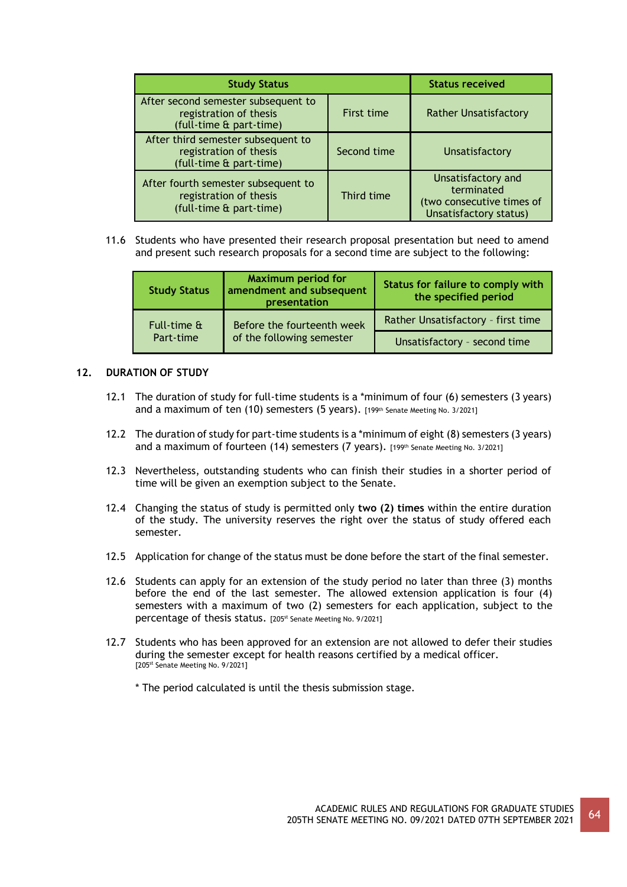| <b>Study Status</b>                                                                      |             | <b>Status received</b>                                                                  |
|------------------------------------------------------------------------------------------|-------------|-----------------------------------------------------------------------------------------|
| After second semester subsequent to<br>registration of thesis<br>(full-time & part-time) | First time  | <b>Rather Unsatisfactory</b>                                                            |
| After third semester subsequent to<br>registration of thesis<br>(full-time & part-time)  | Second time | Unsatisfactory                                                                          |
| After fourth semester subsequent to<br>registration of thesis<br>(full-time & part-time) | Third time  | Unsatisfactory and<br>terminated<br>(two consecutive times of<br>Unsatisfactory status) |

11.6 Students who have presented their research proposal presentation but need to amend and present such research proposals for a second time are subject to the following:

| <b>Study Status</b> | <b>Maximum period for</b><br>amendment and subsequent<br>presentation | Status for failure to comply with<br>the specified period |
|---------------------|-----------------------------------------------------------------------|-----------------------------------------------------------|
| Full-time &         | Before the fourteenth week<br>of the following semester               | Rather Unsatisfactory - first time                        |
| Part-time           |                                                                       | Unsatisfactory - second time                              |

# **12. DURATION OF STUDY**

- 12.1 The duration of study for full-time students is a \*minimum of four (6) semesters (3 years) and a maximum of ten (10) semesters (5 years). [199th Senate Meeting No. 3/2021]
- 12.2 The duration of study for part-time students is a \*minimum of eight (8) semesters (3 years) and a maximum of fourteen (14) semesters (7 years). [199th Senate Meeting No. 3/2021]
- 12.3 Nevertheless, outstanding students who can finish their studies in a shorter period of time will be given an exemption subject to the Senate.
- 12.4 Changing the status of study is permitted only **two (2) times** within the entire duration of the study. The university reserves the right over the status of study offered each semester.
- 12.5 Application for change of the status must be done before the start of the final semester.
- 12.6 Students can apply for an extension of the study period no later than three (3) months before the end of the last semester. The allowed extension application is four (4) semesters with a maximum of two (2) semesters for each application, subject to the percentage of thesis status. [205<sup>st</sup> Senate Meeting No. 9/2021]
- 12.7 Students who has been approved for an extension are not allowed to defer their studies during the semester except for health reasons certified by a medical officer. [205<sup>st</sup> Senate Meeting No. 9/2021]
	- \* The period calculated is until the thesis submission stage.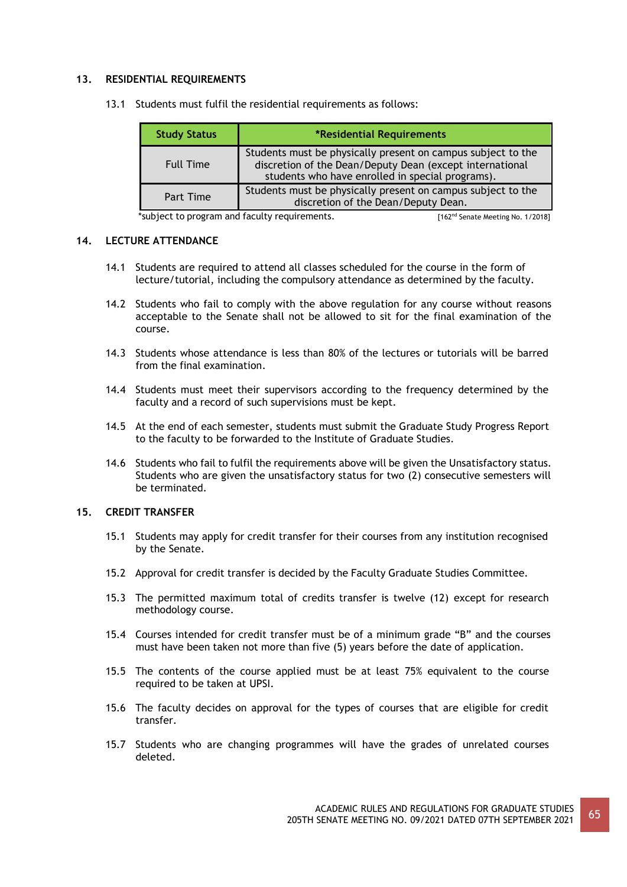# **13. RESIDENTIAL REQUIREMENTS**

|  | 13.1 Students must fulfil the residential requirements as follows: |  |  |  |  |
|--|--------------------------------------------------------------------|--|--|--|--|
|--|--------------------------------------------------------------------|--|--|--|--|

| <b>Study Status</b> | *Residential Requirements                                                                                                                                                    |  |
|---------------------|------------------------------------------------------------------------------------------------------------------------------------------------------------------------------|--|
| <b>Full Time</b>    | Students must be physically present on campus subject to the<br>discretion of the Dean/Deputy Dean (except international<br>students who have enrolled in special programs). |  |
| Part Time           | Students must be physically present on campus subject to the<br>discretion of the Dean/Deputy Dean.                                                                          |  |

\*subject to program and faculty requirements. [162<sup>nd</sup> Senate Meeting No. 1/2018]

## **14. LECTURE ATTENDANCE**

- 14.1 Students are required to attend all classes scheduled for the course in the form of lecture/tutorial, including the compulsory attendance as determined by the faculty.
- 14.2 Students who fail to comply with the above regulation for any course without reasons acceptable to the Senate shall not be allowed to sit for the final examination of the course.
- 14.3 Students whose attendance is less than 80% of the lectures or tutorials will be barred from the final examination.
- 14.4 Students must meet their supervisors according to the frequency determined by the faculty and a record of such supervisions must be kept.
- 14.5 At the end of each semester, students must submit the Graduate Study Progress Report to the faculty to be forwarded to the Institute of Graduate Studies.
- 14.6 Students who fail to fulfil the requirements above will be given the Unsatisfactory status. Students who are given the unsatisfactory status for two (2) consecutive semesters will be terminated.

# **15. CREDIT TRANSFER**

- 15.1 Students may apply for credit transfer for their courses from any institution recognised by the Senate.
- 15.2 Approval for credit transfer is decided by the Faculty Graduate Studies Committee.
- 15.3 The permitted maximum total of credits transfer is twelve (12) except for research methodology course.
- 15.4 Courses intended for credit transfer must be of a minimum grade "B" and the courses must have been taken not more than five (5) years before the date of application.
- 15.5 The contents of the course applied must be at least 75% equivalent to the course required to be taken at UPSI.
- 15.6 The faculty decides on approval for the types of courses that are eligible for credit transfer.
- 15.7 Students who are changing programmes will have the grades of unrelated courses deleted.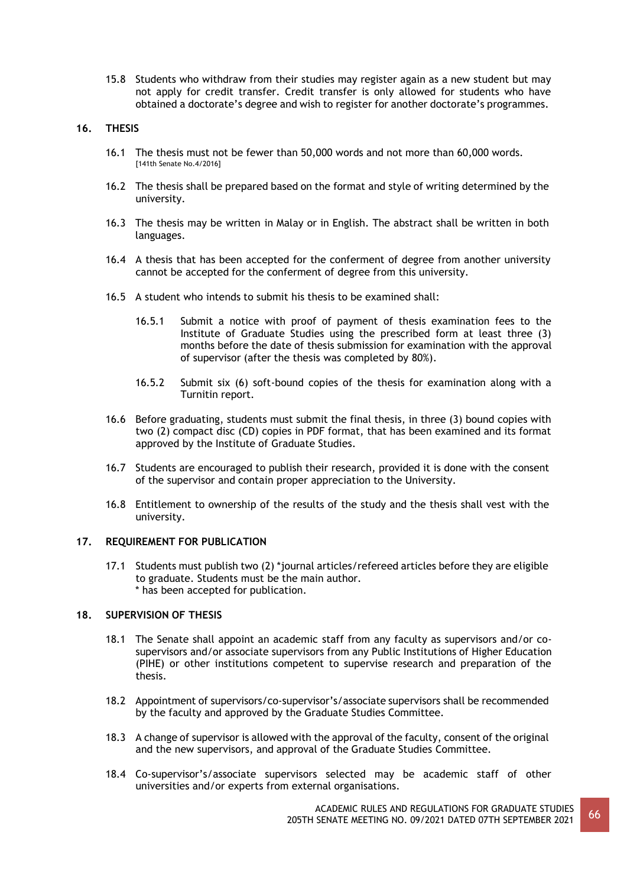15.8 Students who withdraw from their studies may register again as a new student but may not apply for credit transfer. Credit transfer is only allowed for students who have obtained a doctorate's degree and wish to register for another doctorate's programmes.

## **16. THESIS**

- 16.1 The thesis must not be fewer than 50,000 words and not more than 60,000 words. [141th Senate No.4/2016]
- 16.2 The thesis shall be prepared based on the format and style of writing determined by the university.
- 16.3 The thesis may be written in Malay or in English. The abstract shall be written in both languages.
- 16.4 A thesis that has been accepted for the conferment of degree from another university cannot be accepted for the conferment of degree from this university.
- 16.5 A student who intends to submit his thesis to be examined shall:
	- 16.5.1 Submit a notice with proof of payment of thesis examination fees to the Institute of Graduate Studies using the prescribed form at least three (3) months before the date of thesis submission for examination with the approval of supervisor (after the thesis was completed by 80%).
	- 16.5.2 Submit six (6) soft-bound copies of the thesis for examination along with a Turnitin report.
- 16.6 Before graduating, students must submit the final thesis, in three (3) bound copies with two (2) compact disc (CD) copies in PDF format, that has been examined and its format approved by the Institute of Graduate Studies.
- 16.7 Students are encouraged to publish their research, provided it is done with the consent of the supervisor and contain proper appreciation to the University.
- 16.8 Entitlement to ownership of the results of the study and the thesis shall vest with the university.

## **17. REQUIREMENT FOR PUBLICATION**

17.1 Students must publish two (2) \*journal articles/refereed articles before they are eligible to graduate. Students must be the main author. \* has been accepted for publication.

## **18. SUPERVISION OF THESIS**

- 18.1 The Senate shall appoint an academic staff from any faculty as supervisors and/or cosupervisors and/or associate supervisors from any Public Institutions of Higher Education (PIHE) or other institutions competent to supervise research and preparation of the thesis.
- 18.2 Appointment of supervisors/co-supervisor's/associate supervisors shall be recommended by the faculty and approved by the Graduate Studies Committee.
- 18.3 A change of supervisor is allowed with the approval of the faculty, consent of the original and the new supervisors, and approval of the Graduate Studies Committee.
- 18.4 Co-supervisor's/associate supervisors selected may be academic staff of other universities and/or experts from external organisations.

ACADEMIC RULES AND REGULATIONS FOR GRADUATE STUDIES ACADEMIC ROLES AND REGOLATIONS FOR GRADUATE STODIES 66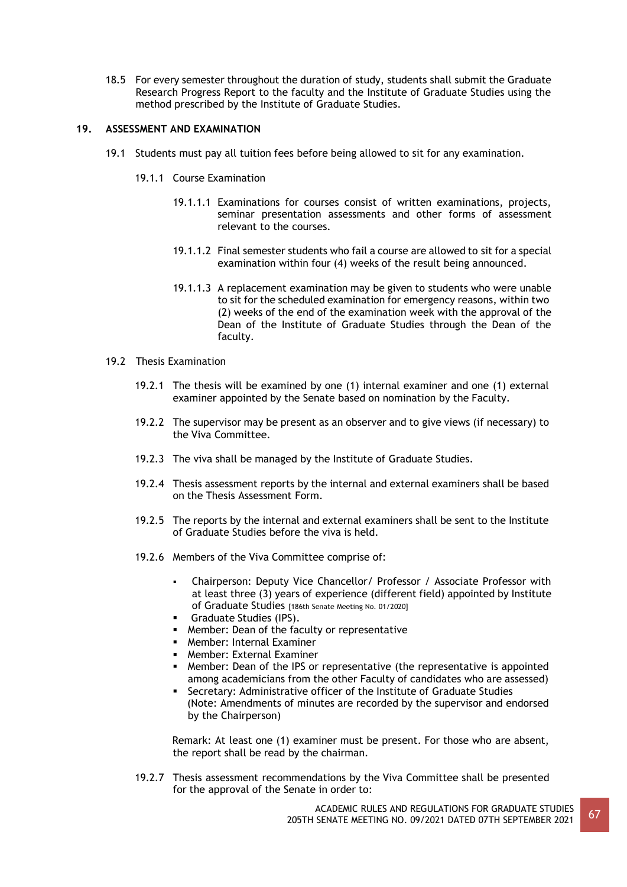18.5 For every semester throughout the duration of study, students shall submit the Graduate Research Progress Report to the faculty and the Institute of Graduate Studies using the method prescribed by the Institute of Graduate Studies.

# **19. ASSESSMENT AND EXAMINATION**

- 19.1 Students must pay all tuition fees before being allowed to sit for any examination.
	- 19.1.1 Course Examination
		- 19.1.1.1 Examinations for courses consist of written examinations, projects, seminar presentation assessments and other forms of assessment relevant to the courses.
		- 19.1.1.2 Final semester students who fail a course are allowed to sit for a special examination within four (4) weeks of the result being announced.
		- 19.1.1.3 A replacement examination may be given to students who were unable to sit for the scheduled examination for emergency reasons, within two (2) weeks of the end of the examination week with the approval of the Dean of the Institute of Graduate Studies through the Dean of the faculty.

## 19.2 Thesis Examination

- 19.2.1 The thesis will be examined by one (1) internal examiner and one (1) external examiner appointed by the Senate based on nomination by the Faculty.
- 19.2.2 The supervisor may be present as an observer and to give views (if necessary) to the Viva Committee.
- 19.2.3 The viva shall be managed by the Institute of Graduate Studies.
- 19.2.4 Thesis assessment reports by the internal and external examiners shall be based on the Thesis Assessment Form.
- 19.2.5 The reports by the internal and external examiners shall be sent to the Institute of Graduate Studies before the viva is held.
- 19.2.6 Members of the Viva Committee comprise of:
	- Chairperson: Deputy Vice Chancellor/ Professor / Associate Professor with at least three (3) years of experience (different field) appointed by Institute of Graduate Studies [186th Senate Meeting No. 01/2020]
	- Graduate Studies (IPS).
	- Member: Dean of the faculty or representative
	- **B** Member: Internal Examiner
	- **EXTER: External Examiner**
	- **■** Member: Dean of the IPS or representative (the representative is appointed among academicians from the other Faculty of candidates who are assessed)
	- Secretary: Administrative officer of the Institute of Graduate Studies (Note: Amendments of minutes are recorded by the supervisor and endorsed by the Chairperson)

Remark: At least one (1) examiner must be present. For those who are absent, the report shall be read by the chairman.

19.2.7 Thesis assessment recommendations by the Viva Committee shall be presented for the approval of the Senate in order to:

> ACADEMIC RULES AND REGULATIONS FOR GRADUATE STUDIES **205TH SENATE MEETING NO. 09/2021 DATED 07TH SEPTEMBER 2021** 67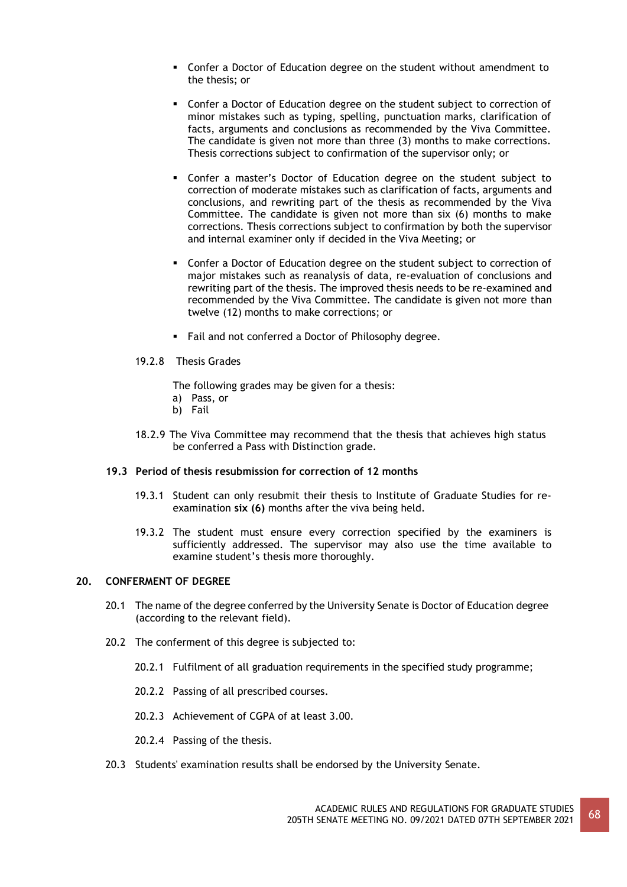- Confer a Doctor of Education degree on the student without amendment to the thesis; or
- Confer a Doctor of Education degree on the student subject to correction of minor mistakes such as typing, spelling, punctuation marks, clarification of facts, arguments and conclusions as recommended by the Viva Committee. The candidate is given not more than three (3) months to make corrections. Thesis corrections subject to confirmation of the supervisor only; or
- Confer a master's Doctor of Education degree on the student subject to correction of moderate mistakes such as clarification of facts, arguments and conclusions, and rewriting part of the thesis as recommended by the Viva Committee. The candidate is given not more than six (6) months to make corrections. Thesis corrections subject to confirmation by both the supervisor and internal examiner only if decided in the Viva Meeting; or
- Confer a Doctor of Education degree on the student subject to correction of major mistakes such as reanalysis of data, re-evaluation of conclusions and rewriting part of the thesis. The improved thesis needs to be re-examined and recommended by the Viva Committee. The candidate is given not more than twelve (12) months to make corrections; or
- Fail and not conferred a Doctor of Philosophy degree.
- 19.2.8 Thesis Grades
	- The following grades may be given for a thesis:
	- a) Pass, or
	- b) Fail
- 18.2.9 The Viva Committee may recommend that the thesis that achieves high status be conferred a Pass with Distinction grade.

#### **19.3 Period of thesis resubmission for correction of 12 months**

- 19.3.1 Student can only resubmit their thesis to Institute of Graduate Studies for reexamination **six (6)** months after the viva being held.
- 19.3.2 The student must ensure every correction specified by the examiners is sufficiently addressed. The supervisor may also use the time available to examine student's thesis more thoroughly.

# **20. CONFERMENT OF DEGREE**

- 20.1 The name of the degree conferred by the University Senate is Doctor of Education degree (according to the relevant field).
- 20.2 The conferment of this degree is subjected to:
	- 20.2.1 Fulfilment of all graduation requirements in the specified study programme;
	- 20.2.2 Passing of all prescribed courses.
	- 20.2.3 Achievement of CGPA of at least 3.00.
	- 20.2.4 Passing of the thesis.
- 20.3 Students' examination results shall be endorsed by the University Senate.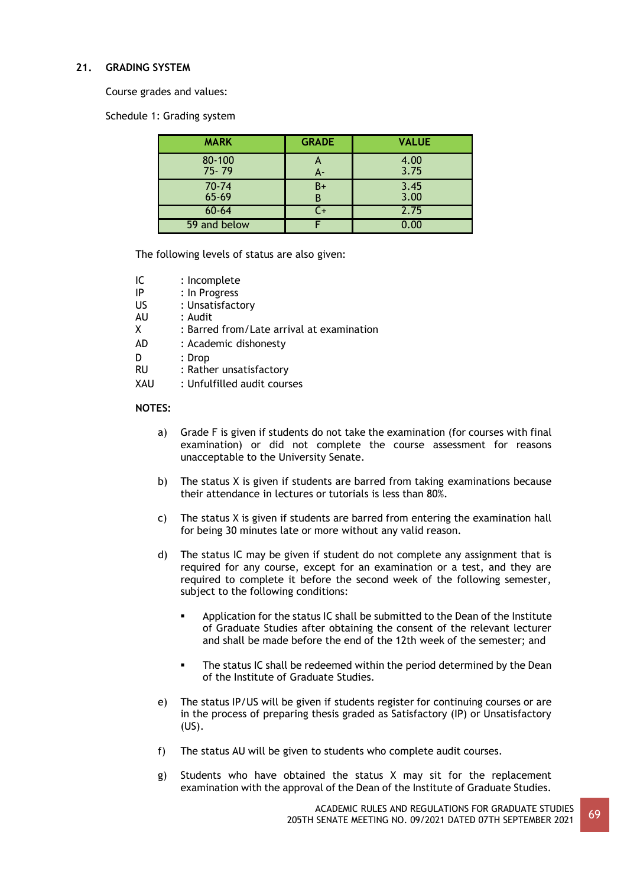# **21. GRADING SYSTEM**

Course grades and values:

Schedule 1: Grading system

| <b>MARK</b>         | <b>GRADE</b>                    | <b>VALUE</b> |
|---------------------|---------------------------------|--------------|
| 80-100<br>$75 - 79$ | $\boldsymbol{\mathsf{A}}$<br>А- | 4.00<br>3.75 |
| 70-74<br>$65 - 69$  | $B+$<br>В                       | 3.45<br>3.00 |
| $60 - 64$           | C+                              | 2.75         |
| 59 and below        |                                 |              |

The following levels of status are also given:

| : Incomplete                              |
|-------------------------------------------|
| : In Progress                             |
| : Unsatisfactory                          |
| : Audit                                   |
| : Barred from/Late arrival at examination |
| : Academic dishonesty                     |
| : Drop                                    |
| : Rather unsatisfactory                   |
| : Unfulfilled audit courses               |
|                                           |

## **NOTES:**

- a) Grade F is given if students do not take the examination (for courses with final examination) or did not complete the course assessment for reasons unacceptable to the University Senate.
- b) The status X is given if students are barred from taking examinations because their attendance in lectures or tutorials is less than 80%.
- c) The status X is given if students are barred from entering the examination hall for being 30 minutes late or more without any valid reason.
- d) The status IC may be given if student do not complete any assignment that is required for any course, except for an examination or a test, and they are required to complete it before the second week of the following semester, subject to the following conditions:
	- Application for the status IC shall be submitted to the Dean of the Institute of Graduate Studies after obtaining the consent of the relevant lecturer and shall be made before the end of the 12th week of the semester; and
	- **•** The status IC shall be redeemed within the period determined by the Dean of the Institute of Graduate Studies.
- e) The status IP/US will be given if students register for continuing courses or are in the process of preparing thesis graded as Satisfactory (IP) or Unsatisfactory (US).
- f) The status AU will be given to students who complete audit courses.
- g) Students who have obtained the status X may sit for the replacement examination with the approval of the Dean of the Institute of Graduate Studies.

ACADEMIC RULES AND REGULATIONS FOR GRADUATE STUDIES ACADEMIC RULES AND REGULATIONS FOR GRADUATE STUDIES 69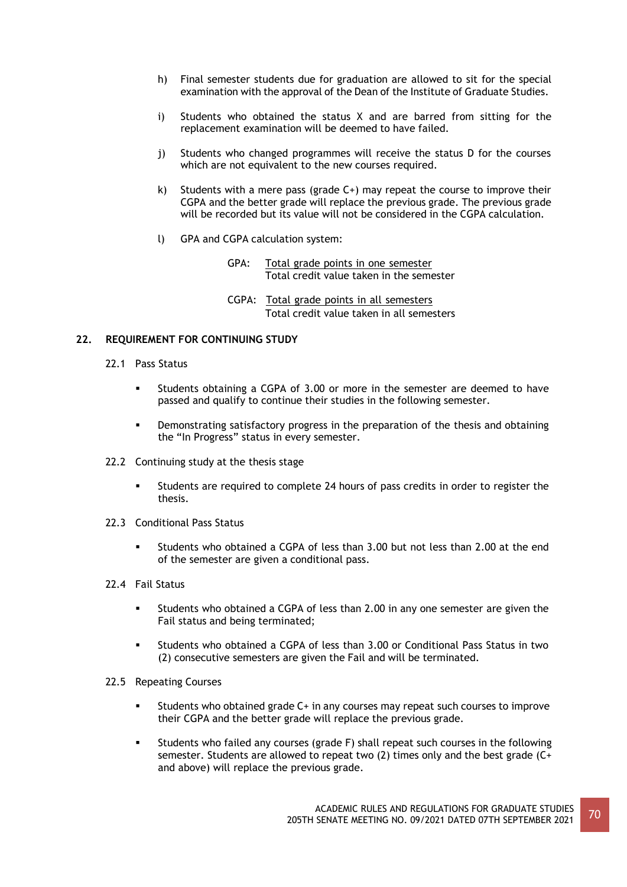- h) Final semester students due for graduation are allowed to sit for the special examination with the approval of the Dean of the Institute of Graduate Studies.
- i) Students who obtained the status X and are barred from sitting for the replacement examination will be deemed to have failed.
- j) Students who changed programmes will receive the status D for the courses which are not equivalent to the new courses required.
- k) Students with a mere pass (grade  $C+$ ) may repeat the course to improve their CGPA and the better grade will replace the previous grade. The previous grade will be recorded but its value will not be considered in the CGPA calculation.
- l) GPA and CGPA calculation system:
	- GPA: Total grade points in one semester Total credit value taken in the semester
	- CGPA: Total grade points in all semesters Total credit value taken in all semesters

# **22. REQUIREMENT FOR CONTINUING STUDY**

- 22.1 Pass Status
	- Students obtaining a CGPA of 3.00 or more in the semester are deemed to have passed and qualify to continue their studies in the following semester.
	- Demonstrating satisfactory progress in the preparation of the thesis and obtaining the "In Progress" status in every semester.
- 22.2 Continuing study at the thesis stage
	- Students are required to complete 24 hours of pass credits in order to register the thesis.
- 22.3 Conditional Pass Status
	- Students who obtained a CGPA of less than 3.00 but not less than 2.00 at the end of the semester are given a conditional pass.
- 22.4 Fail Status
	- Students who obtained a CGPA of less than 2.00 in any one semester are given the Fail status and being terminated;
	- Students who obtained a CGPA of less than 3.00 or Conditional Pass Status in two (2) consecutive semesters are given the Fail and will be terminated.
- 22.5 Repeating Courses
	- Students who obtained grade C+ in any courses may repeat such courses to improve their CGPA and the better grade will replace the previous grade.
	- Students who failed any courses (grade F) shall repeat such courses in the following semester. Students are allowed to repeat two  $(2)$  times only and the best grade  $(C<sup>+</sup>)$ and above) will replace the previous grade.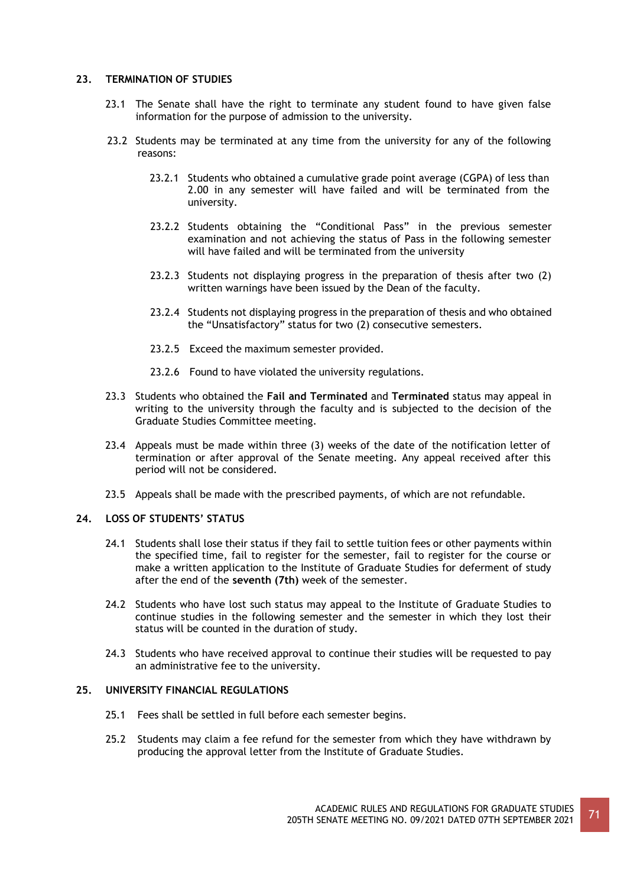# **23. TERMINATION OF STUDIES**

- 23.1 The Senate shall have the right to terminate any student found to have given false information for the purpose of admission to the university.
- 23.2 Students may be terminated at any time from the university for any of the following reasons:
	- 23.2.1 Students who obtained a cumulative grade point average (CGPA) of less than 2.00 in any semester will have failed and will be terminated from the university.
	- 23.2.2 Students obtaining the "Conditional Pass" in the previous semester examination and not achieving the status of Pass in the following semester will have failed and will be terminated from the university
	- 23.2.3 Students not displaying progress in the preparation of thesis after two (2) written warnings have been issued by the Dean of the faculty.
	- 23.2.4 Students not displaying progress in the preparation of thesis and who obtained the "Unsatisfactory" status for two (2) consecutive semesters.
	- 23.2.5 Exceed the maximum semester provided.
	- 23.2.6 Found to have violated the university regulations.
- 23.3 Students who obtained the **Fail and Terminated** and **Terminated** status may appeal in writing to the university through the faculty and is subjected to the decision of the Graduate Studies Committee meeting.
- 23.4 Appeals must be made within three (3) weeks of the date of the notification letter of termination or after approval of the Senate meeting. Any appeal received after this period will not be considered.
- 23.5 Appeals shall be made with the prescribed payments, of which are not refundable.

# **24. LOSS OF STUDENTS' STATUS**

- 24.1 Students shall lose their status if they fail to settle tuition fees or other payments within the specified time, fail to register for the semester, fail to register for the course or make a written application to the Institute of Graduate Studies for deferment of study after the end of the **seventh (7th)** week of the semester.
- 24.2 Students who have lost such status may appeal to the Institute of Graduate Studies to continue studies in the following semester and the semester in which they lost their status will be counted in the duration of study.
- 24.3 Students who have received approval to continue their studies will be requested to pay an administrative fee to the university.

## **25. UNIVERSITY FINANCIAL REGULATIONS**

- 25.1 Fees shall be settled in full before each semester begins.
- 25.2 Students may claim a fee refund for the semester from which they have withdrawn by producing the approval letter from the Institute of Graduate Studies.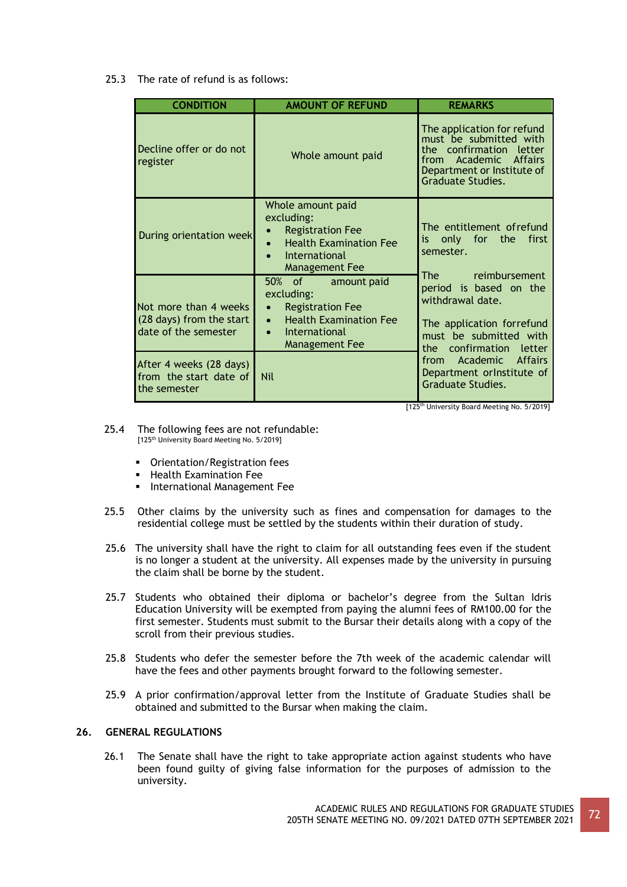25.3 The rate of refund is as follows:

| <b>CONDITION</b>                                                                | <b>AMOUNT OF REFUND</b>                                                                                                                                   | <b>REMARKS</b>                                                                                                                                                                                                                                                                                                                                                                  |  |
|---------------------------------------------------------------------------------|-----------------------------------------------------------------------------------------------------------------------------------------------------------|---------------------------------------------------------------------------------------------------------------------------------------------------------------------------------------------------------------------------------------------------------------------------------------------------------------------------------------------------------------------------------|--|
| Decline offer or do not<br>register                                             | Whole amount paid                                                                                                                                         | The application for refund<br>must be submitted with<br>the confirmation letter<br>from Academic Affairs<br>Department or Institute of<br>Graduate Studies.                                                                                                                                                                                                                     |  |
| During orientation week                                                         | Whole amount paid<br>excluding:<br><b>Registration Fee</b><br><b>Health Examination Fee</b><br>International<br><b>Management Fee</b>                     | The entitlement of refund<br>is only for the<br>first<br>semester.                                                                                                                                                                                                                                                                                                              |  |
| Not more than 4 weeks<br>(28 days) from the start<br>date of the semester       | 50% of amount paid<br>excluding:<br><b>Registration Fee</b><br>$\bullet$<br><b>Health Examination Fee</b><br>$\bullet$<br>International<br>Management Fee | The reimbursement<br>period is based on the<br>withdrawal date.<br>The application forrefund<br>must be submitted with<br>confirmation letter<br>the the the set of the set of the set of the set of the set of the set of the set of the set of the set of the set of the set of the set of the set of the set of the set of the set of the set of the set of the set of the s |  |
| After 4 weeks (28 days)<br>from the start date of<br><b>Nil</b><br>the semester |                                                                                                                                                           | Academic Affairs<br>from<br>Department or Institute of<br><b>Graduate Studies.</b>                                                                                                                                                                                                                                                                                              |  |

[125<sup>th</sup> University Board Meeting No. 5/2019]

- 25.4 The following fees are not refundable: [125<sup>th</sup> University Board Meeting No. 5/2019]
	- Orientation/Registration fees
	- Health Examination Fee
	- **·** International Management Fee
- 25.5 Other claims by the university such as fines and compensation for damages to the residential college must be settled by the students within their duration of study.
- 25.6 The university shall have the right to claim for all outstanding fees even if the student is no longer a student at the university. All expenses made by the university in pursuing the claim shall be borne by the student.
- 25.7 Students who obtained their diploma or bachelor's degree from the Sultan Idris Education University will be exempted from paying the alumni fees of RM100.00 for the first semester. Students must submit to the Bursar their details along with a copy of the scroll from their previous studies.
- 25.8 Students who defer the semester before the 7th week of the academic calendar will have the fees and other payments brought forward to the following semester.
- 25.9 A prior confirmation/approval letter from the Institute of Graduate Studies shall be obtained and submitted to the Bursar when making the claim.

# **26. GENERAL REGULATIONS**

26.1 The Senate shall have the right to take appropriate action against students who have been found guilty of giving false information for the purposes of admission to the university.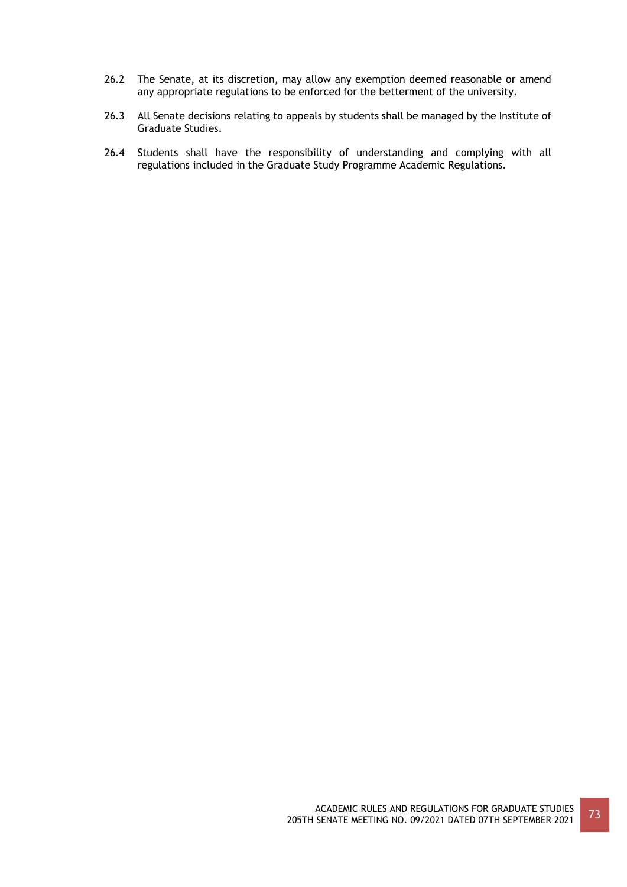- 26.2 The Senate, at its discretion, may allow any exemption deemed reasonable or amend any appropriate regulations to be enforced for the betterment of the university.
- 26.3 All Senate decisions relating to appeals by students shall be managed by the Institute of Graduate Studies.
- 26.4 Students shall have the responsibility of understanding and complying with all regulations included in the Graduate Study Programme Academic Regulations.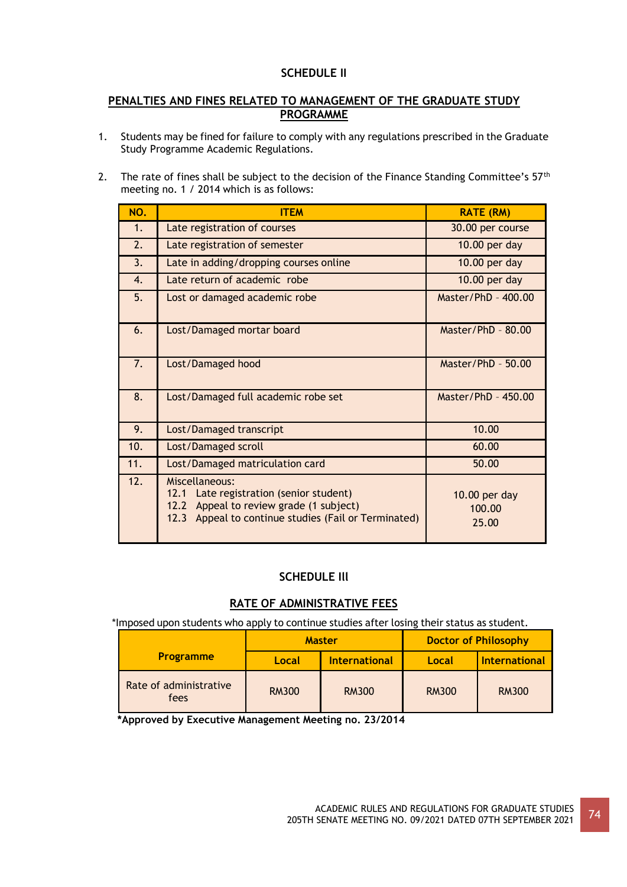# **SCHEDULE II**

# **PENALTIES AND FINES RELATED TO MANAGEMENT OF THE GRADUATE STUDY PROGRAMME**

- 1. Students may be fined for failure to comply with any regulations prescribed in the Graduate Study Programme Academic Regulations.
- 2. The rate of fines shall be subject to the decision of the Finance Standing Committee's 57<sup>th</sup> meeting no. 1 / 2014 which is as follows:

| NO. | <b>ITEM</b>                                                                                                                                                     | <b>RATE (RM)</b>                 |
|-----|-----------------------------------------------------------------------------------------------------------------------------------------------------------------|----------------------------------|
| 1.  | Late registration of courses                                                                                                                                    | 30.00 per course                 |
| 2.  | Late registration of semester                                                                                                                                   | 10.00 per day                    |
| 3.  | Late in adding/dropping courses online                                                                                                                          | 10.00 per day                    |
| 4.  | Late return of academic robe                                                                                                                                    | 10.00 per day                    |
| 5.  | Lost or damaged academic robe                                                                                                                                   | Master/PhD - 400.00              |
| 6.  | Lost/Damaged mortar board                                                                                                                                       | Master/PhD $-80.00$              |
| 7.  | Lost/Damaged hood                                                                                                                                               | Master/PhD $-50.00$              |
| 8.  | Lost/Damaged full academic robe set                                                                                                                             | Master/PhD - 450.00              |
| 9.  | Lost/Damaged transcript                                                                                                                                         | 10.00                            |
| 10. | Lost/Damaged scroll                                                                                                                                             | 60.00                            |
| 11. | Lost/Damaged matriculation card                                                                                                                                 | 50.00                            |
| 12. | Miscellaneous:<br>Late registration (senior student)<br>12.1<br>12.2 Appeal to review grade (1 subject)<br>12.3 Appeal to continue studies (Fail or Terminated) | 10.00 per day<br>100.00<br>25.00 |

# **SCHEDULE Ill**

# **RATE OF ADMINISTRATIVE FEES**

\*Imposed upon students who apply to continue studies after losing their status as student.

|                                | <b>Master</b> |                      | <b>Doctor of Philosophy</b> |                      |
|--------------------------------|---------------|----------------------|-----------------------------|----------------------|
| <b>Programme</b>               | Local         | <b>International</b> | Local                       | <b>International</b> |
| Rate of administrative<br>fees | <b>RM300</b>  | <b>RM300</b>         | <b>RM300</b>                | <b>RM300</b>         |

**\*Approved by Executive Management Meeting no. 23/2014**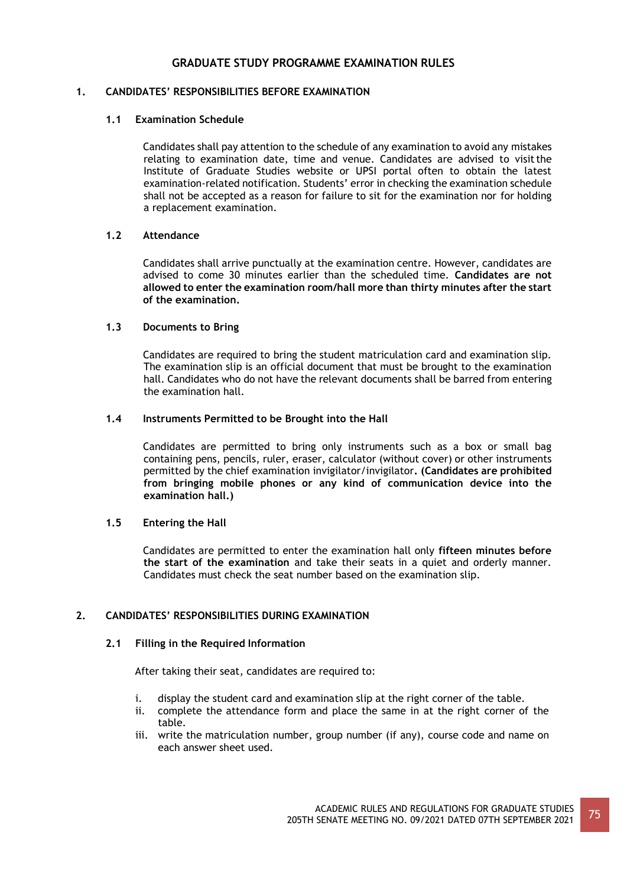# **GRADUATE STUDY PROGRAMME EXAMINATION RULES**

# **1. CANDIDATES' RESPONSIBILITIES BEFORE EXAMINATION**

### **1.1 Examination Schedule**

Candidates shall pay attention to the schedule of any examination to avoid any mistakes relating to examination date, time and venue. Candidates are advised to visitthe Institute of Graduate Studies website or UPSI portal often to obtain the latest examination-related notification. Students' error in checking the examination schedule shall not be accepted as a reason for failure to sit for the examination nor for holding a replacement examination.

### **1.2 Attendance**

Candidates shall arrive punctually at the examination centre. However, candidates are advised to come 30 minutes earlier than the scheduled time. **Candidates are not allowed to enter the examination room/hall more than thirty minutes after the start of the examination.**

### **1.3 Documents to Bring**

Candidates are required to bring the student matriculation card and examination slip. The examination slip is an official document that must be brought to the examination hall. Candidates who do not have the relevant documents shall be barred from entering the examination hall.

### **1.4 Instruments Permitted to be Brought into the Hall**

Candidates are permitted to bring only instruments such as a box or small bag containing pens, pencils, ruler, eraser, calculator (without cover) or other instruments permitted by the chief examination invigilator/invigilator**. (Candidates are prohibited from bringing mobile phones or any kind of communication device into the examination hall.)**

#### **1.5 Entering the Hall**

Candidates are permitted to enter the examination hall only **fifteen minutes before the start of the examination** and take their seats in a quiet and orderly manner. Candidates must check the seat number based on the examination slip.

# **2. CANDIDATES' RESPONSIBILITIES DURING EXAMINATION**

#### **2.1 Filling in the Required Information**

After taking their seat, candidates are required to:

- i. display the student card and examination slip at the right corner of the table.
- ii. complete the attendance form and place the same in at the right corner of the table.
- iii. write the matriculation number, group number (if any), course code and name on each answer sheet used.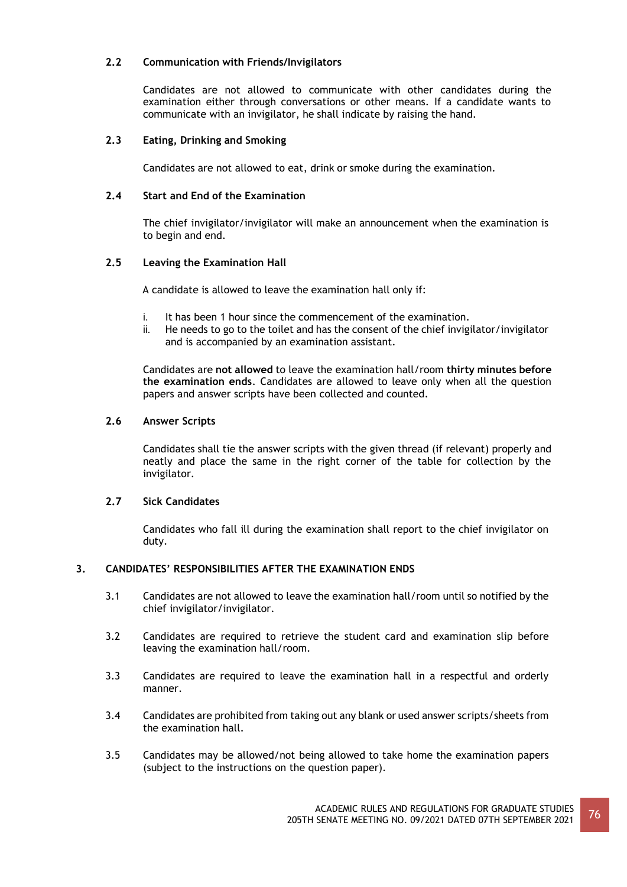# **2.2 Communication with Friends/Invigilators**

Candidates are not allowed to communicate with other candidates during the examination either through conversations or other means. If a candidate wants to communicate with an invigilator, he shall indicate by raising the hand.

# **2.3 Eating, Drinking and Smoking**

Candidates are not allowed to eat, drink or smoke during the examination.

# **2.4 Start and End of the Examination**

The chief invigilator/invigilator will make an announcement when the examination is to begin and end.

# **2.5 Leaving the Examination Hall**

A candidate is allowed to leave the examination hall only if:

- i. It has been 1 hour since the commencement of the examination.
- ii. He needs to go to the toilet and has the consent of the chief invigilator/invigilator and is accompanied by an examination assistant.

Candidates are **not allowed** to leave the examination hall/room **thirty minutes before the examination ends**. Candidates are allowed to leave only when all the question papers and answer scripts have been collected and counted.

# **2.6 Answer Scripts**

Candidates shall tie the answer scripts with the given thread (if relevant) properly and neatly and place the same in the right corner of the table for collection by the invigilator.

# **2.7 Sick Candidates**

Candidates who fall ill during the examination shall report to the chief invigilator on duty.

# **3. CANDIDATES' RESPONSIBILITIES AFTER THE EXAMINATION ENDS**

- 3.1 Candidates are not allowed to leave the examination hall/room until so notified by the chief invigilator/invigilator.
- 3.2 Candidates are required to retrieve the student card and examination slip before leaving the examination hall/room.
- 3.3 Candidates are required to leave the examination hall in a respectful and orderly manner.
- 3.4 Candidates are prohibited from taking out any blank or used answer scripts/sheets from the examination hall.
- 3.5 Candidates may be allowed/not being allowed to take home the examination papers (subject to the instructions on the question paper).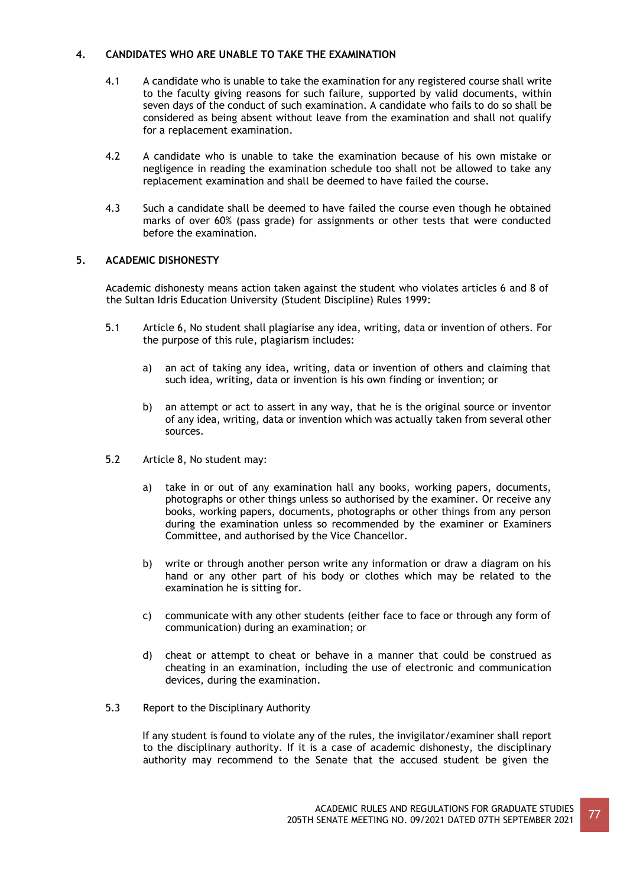# **4. CANDIDATES WHO ARE UNABLE TO TAKE THE EXAMINATION**

- 4.1 A candidate who is unable to take the examination for any registered course shall write to the faculty giving reasons for such failure, supported by valid documents, within seven days of the conduct of such examination. A candidate who fails to do so shall be considered as being absent without leave from the examination and shall not qualify for a replacement examination.
- 4.2 A candidate who is unable to take the examination because of his own mistake or negligence in reading the examination schedule too shall not be allowed to take any replacement examination and shall be deemed to have failed the course.
- 4.3 Such a candidate shall be deemed to have failed the course even though he obtained marks of over 60% (pass grade) for assignments or other tests that were conducted before the examination.

# **5. ACADEMIC DISHONESTY**

Academic dishonesty means action taken against the student who violates articles 6 and 8 of the Sultan Idris Education University (Student Discipline) Rules 1999:

- 5.1 Article 6, No student shall plagiarise any idea, writing, data or invention of others. For the purpose of this rule, plagiarism includes:
	- a) an act of taking any idea, writing, data or invention of others and claiming that such idea, writing, data or invention is his own finding or invention; or
	- b) an attempt or act to assert in any way, that he is the original source or inventor of any idea, writing, data or invention which was actually taken from several other sources.
- 5.2 Article 8, No student may:
	- a) take in or out of any examination hall any books, working papers, documents, photographs or other things unless so authorised by the examiner. Or receive any books, working papers, documents, photographs or other things from any person during the examination unless so recommended by the examiner or Examiners Committee, and authorised by the Vice Chancellor.
	- b) write or through another person write any information or draw a diagram on his hand or any other part of his body or clothes which may be related to the examination he is sitting for.
	- c) communicate with any other students (either face to face or through any form of communication) during an examination; or
	- d) cheat or attempt to cheat or behave in a manner that could be construed as cheating in an examination, including the use of electronic and communication devices, during the examination.
- 5.3 Report to the Disciplinary Authority

If any student is found to violate any of the rules, the invigilator/examiner shall report to the disciplinary authority. If it is a case of academic dishonesty, the disciplinary authority may recommend to the Senate that the accused student be given the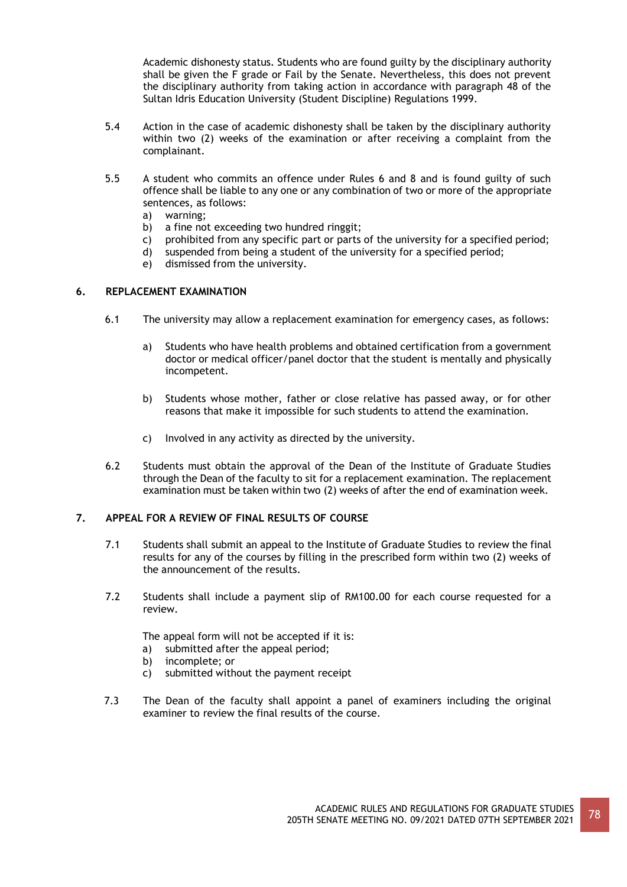Academic dishonesty status. Students who are found guilty by the disciplinary authority shall be given the F grade or Fail by the Senate. Nevertheless, this does not prevent the disciplinary authority from taking action in accordance with paragraph 48 of the Sultan Idris Education University (Student Discipline) Regulations 1999.

- 5.4 Action in the case of academic dishonesty shall be taken by the disciplinary authority within two (2) weeks of the examination or after receiving a complaint from the complainant.
- 5.5 A student who commits an offence under Rules 6 and 8 and is found guilty of such offence shall be liable to any one or any combination of two or more of the appropriate sentences, as follows:
	- a) warning;
	- b) a fine not exceeding two hundred ringgit;
	- c) prohibited from any specific part or parts of the university for a specified period;
	- d) suspended from being a student of the university for a specified period;
	- e) dismissed from the university.

# **6. REPLACEMENT EXAMINATION**

- 6.1 The university may allow a replacement examination for emergency cases, as follows:
	- a) Students who have health problems and obtained certification from a government doctor or medical officer/panel doctor that the student is mentally and physically incompetent.
	- b) Students whose mother, father or close relative has passed away, or for other reasons that make it impossible for such students to attend the examination.
	- c) Involved in any activity as directed by the university.
- 6.2 Students must obtain the approval of the Dean of the Institute of Graduate Studies through the Dean of the faculty to sit for a replacement examination. The replacement examination must be taken within two (2) weeks of after the end of examination week.

#### **7. APPEAL FOR A REVIEW OF FINAL RESULTS OF COURSE**

- 7.1 Students shall submit an appeal to the Institute of Graduate Studies to review the final results for any of the courses by filling in the prescribed form within two (2) weeks of the announcement of the results.
- 7.2 Students shall include a payment slip of RM100.00 for each course requested for a review.

The appeal form will not be accepted if it is:

- a) submitted after the appeal period;
- b) incomplete; or
- c) submitted without the payment receipt
- 7.3 The Dean of the faculty shall appoint a panel of examiners including the original examiner to review the final results of the course.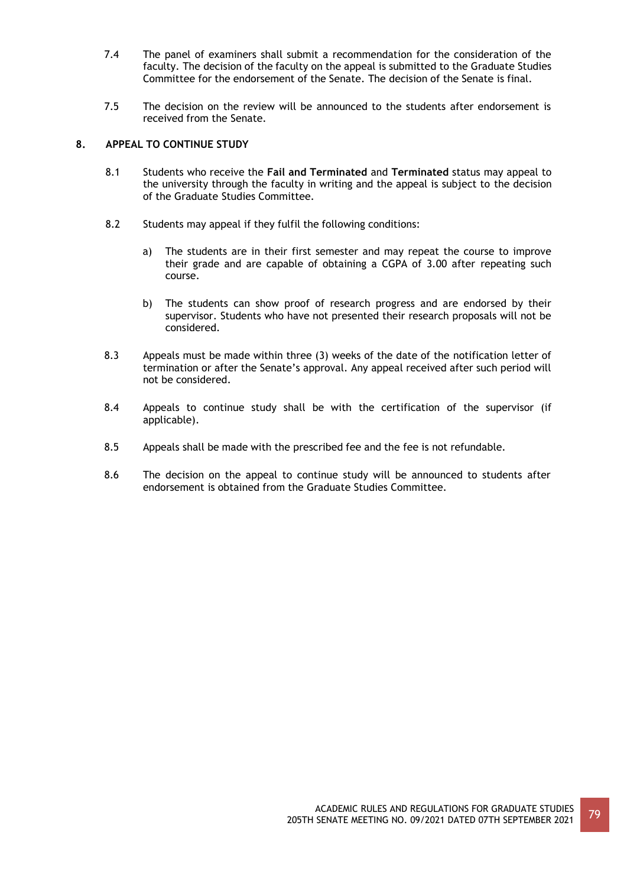- 7.4 The panel of examiners shall submit a recommendation for the consideration of the faculty. The decision of the faculty on the appeal is submitted to the Graduate Studies Committee for the endorsement of the Senate. The decision of the Senate is final.
- 7.5 The decision on the review will be announced to the students after endorsement is received from the Senate.

# **8. APPEAL TO CONTINUE STUDY**

- 8.1 Students who receive the **Fail and Terminated** and **Terminated** status may appeal to the university through the faculty in writing and the appeal is subject to the decision of the Graduate Studies Committee.
- 8.2 Students may appeal if they fulfil the following conditions:
	- a) The students are in their first semester and may repeat the course to improve their grade and are capable of obtaining a CGPA of 3.00 after repeating such course.
	- b) The students can show proof of research progress and are endorsed by their supervisor. Students who have not presented their research proposals will not be considered.
- 8.3 Appeals must be made within three (3) weeks of the date of the notification letter of termination or after the Senate's approval. Any appeal received after such period will not be considered.
- 8.4 Appeals to continue study shall be with the certification of the supervisor (if applicable).
- 8.5 Appeals shall be made with the prescribed fee and the fee is not refundable.
- 8.6 The decision on the appeal to continue study will be announced to students after endorsement is obtained from the Graduate Studies Committee.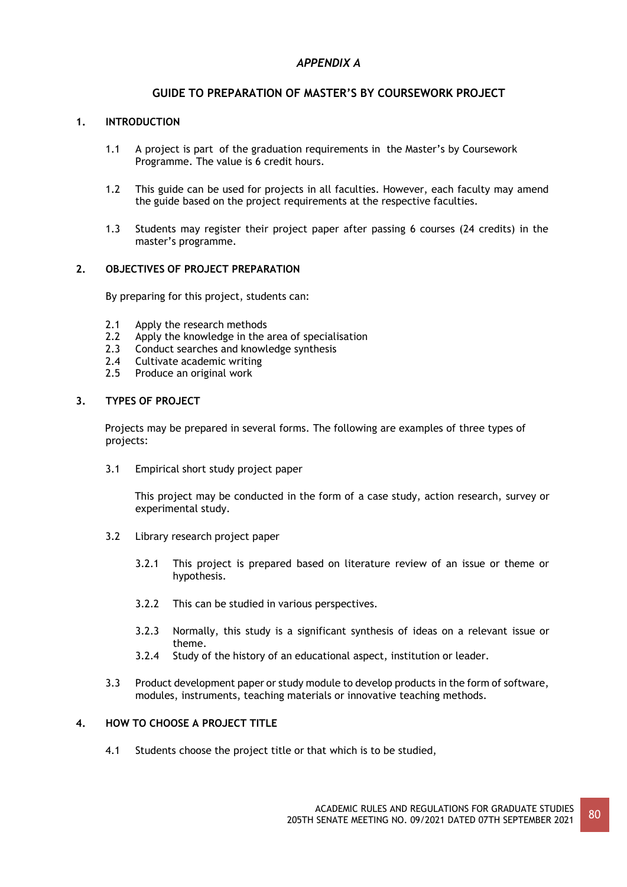# *APPENDIX A*

# **GUIDE TO PREPARATION OF MASTER'S BY COURSEWORK PROJECT**

# **1. INTRODUCTION**

- 1.1 A project is part of the graduation requirements in the Master's by Coursework Programme. The value is 6 credit hours.
- 1.2 This guide can be used for projects in all faculties. However, each faculty may amend the guide based on the project requirements at the respective faculties.
- 1.3 Students may register their project paper after passing 6 courses (24 credits) in the master's programme.

### **2. OBJECTIVES OF PROJECT PREPARATION**

By preparing for this project, students can:

- 2.1 Apply the research methods
- 2.2 Apply the knowledge in the area of specialisation
- 2.3 Conduct searches and knowledge synthesis
- 2.4 Cultivate academic writing
- 2.5 Produce an original work

### **3. TYPES OF PROJECT**

Projects may be prepared in several forms. The following are examples of three types of projects:

3.1 Empirical short study project paper

This project may be conducted in the form of a case study, action research, survey or experimental study.

- 3.2 Library research project paper
	- 3.2.1 This project is prepared based on literature review of an issue or theme or hypothesis.
	- 3.2.2 This can be studied in various perspectives.
	- 3.2.3 Normally, this study is a significant synthesis of ideas on a relevant issue or theme.
	- 3.2.4 Study of the history of an educational aspect, institution or leader.
- 3.3 Product development paper or study module to develop products in the form of software, modules, instruments, teaching materials or innovative teaching methods.

# **4. HOW TO CHOOSE A PROJECT TITLE**

4.1 Students choose the project title or that which is to be studied,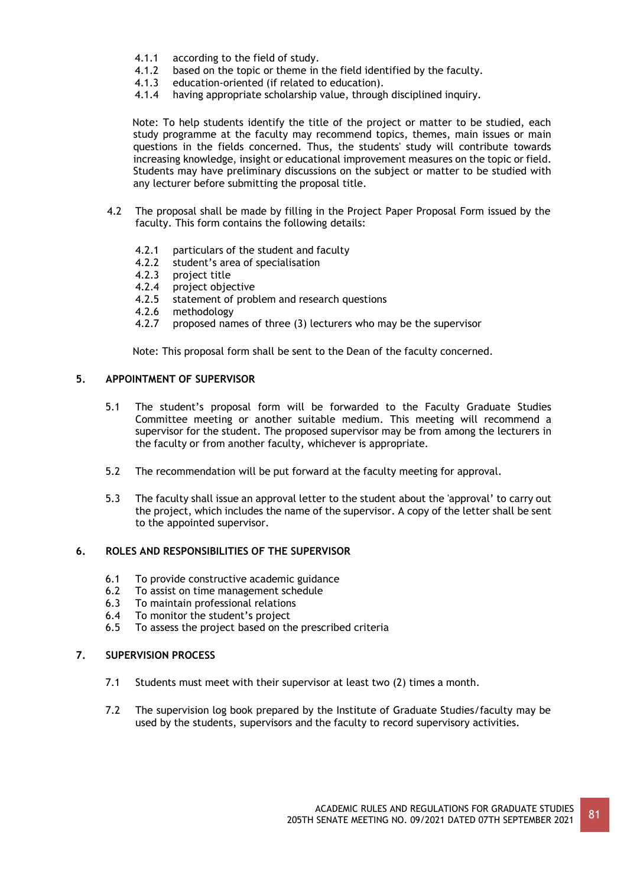- 4.1.1 according to the field of study.
- 4.1.2 based on the topic or theme in the field identified by the faculty.
- 4.1.3 education-oriented (if related to education).
- 4.1.4 having appropriate scholarship value, through disciplined inquiry.

Note: To help students identify the title of the project or matter to be studied, each study programme at the faculty may recommend topics, themes, main issues or main questions in the fields concerned. Thus, the students' study will contribute towards increasing knowledge, insight or educational improvement measures on the topic or field. Students may have preliminary discussions on the subject or matter to be studied with any lecturer before submitting the proposal title.

- 4.2 The proposal shall be made by filling in the Project Paper Proposal Form issued by the faculty. This form contains the following details:
	- 4.2.1 particulars of the student and faculty
	- 4.2.2 student's area of specialisation
	- 4.2.3 project title
	- 4.2.4 project objective
	- 4.2.5 statement of problem and research questions
	- 4.2.6 methodology
	- 4.2.7 proposed names of three (3) lecturers who may be the supervisor

Note: This proposal form shall be sent to the Dean of the faculty concerned.

### **5. APPOINTMENT OF SUPERVISOR**

- 5.1 The student's proposal form will be forwarded to the Faculty Graduate Studies Committee meeting or another suitable medium. This meeting will recommend a supervisor for the student. The proposed supervisor may be from among the lecturers in the faculty or from another faculty, whichever is appropriate.
- 5.2 The recommendation will be put forward at the faculty meeting for approval.
- 5.3 The faculty shall issue an approval letter to the student about the 'approval' to carry out the project, which includes the name of the supervisor. A copy of the letter shall be sent to the appointed supervisor.

# **6. ROLES AND RESPONSIBILITIES OF THE SUPERVISOR**

- 6.1 To provide constructive academic guidance
- 6.2 To assist on time management schedule
- 6.3 To maintain professional relations
- 6.4 To monitor the student's project
- 6.5 To assess the project based on the prescribed criteria

# **7. SUPERVISION PROCESS**

- 7.1 Students must meet with their supervisor at least two (2) times a month.
- 7.2 The supervision log book prepared by the Institute of Graduate Studies/faculty may be used by the students, supervisors and the faculty to record supervisory activities.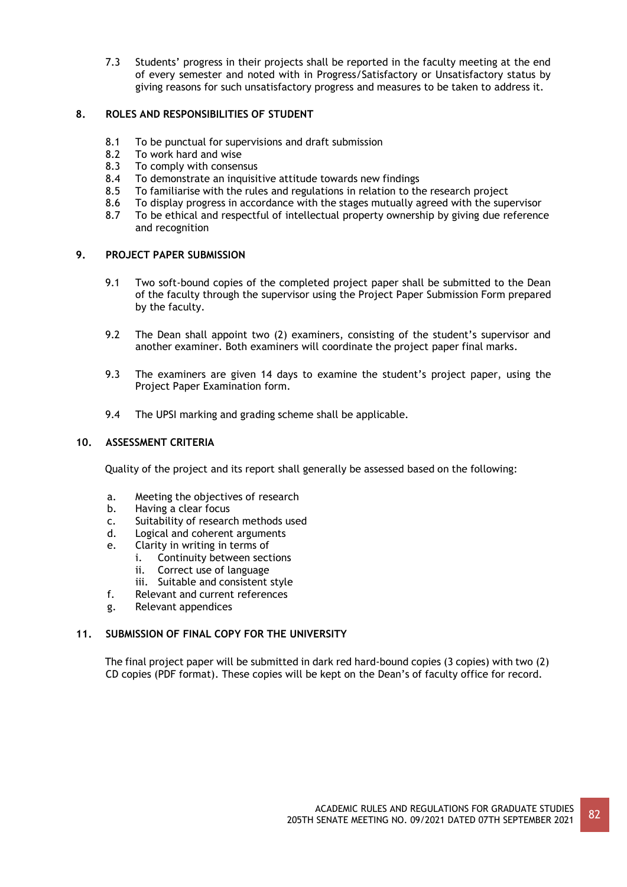7.3 Students' progress in their projects shall be reported in the faculty meeting at the end of every semester and noted with in Progress/Satisfactory or Unsatisfactory status by giving reasons for such unsatisfactory progress and measures to be taken to address it.

# **8. ROLES AND RESPONSIBILITIES OF STUDENT**

- 8.1 To be punctual for supervisions and draft submission
- 8.2 To work hard and wise<br>8.3 To comply with consen
- 8.3 To comply with consensus<br>8.4 To demonstrate an inquisity
- 8.4 To demonstrate an inquisitive attitude towards new findings<br>8.5 To familiarise with the rules and regulations in relation to the
- To familiarise with the rules and regulations in relation to the research project
- 8.6 To display progress in accordance with the stages mutually agreed with the supervisor
- 8.7 To be ethical and respectful of intellectual property ownership by giving due reference and recognition

# **9. PROJECT PAPER SUBMISSION**

- 9.1 Two soft-bound copies of the completed project paper shall be submitted to the Dean of the faculty through the supervisor using the Project Paper Submission Form prepared by the faculty.
- 9.2 The Dean shall appoint two (2) examiners, consisting of the student's supervisor and another examiner. Both examiners will coordinate the project paper final marks.
- 9.3 The examiners are given 14 days to examine the student's project paper, using the Project Paper Examination form.
- 9.4 The UPSI marking and grading scheme shall be applicable.

# **10. ASSESSMENT CRITERIA**

Quality of the project and its report shall generally be assessed based on the following:

- a. Meeting the objectives of research
- b. Having a clear focus
- c. Suitability of research methods used
- d. Logical and coherent arguments
- e. Clarity in writing in terms of
	- i. Continuity between sections
	- ii. Correct use of language
	- iii. Suitable and consistent style
- f. Relevant and current references
- g. Relevant appendices

# **11. SUBMISSION OF FINAL COPY FOR THE UNIVERSITY**

The final project paper will be submitted in dark red hard-bound copies (3 copies) with two (2) CD copies (PDF format). These copies will be kept on the Dean's of faculty office for record.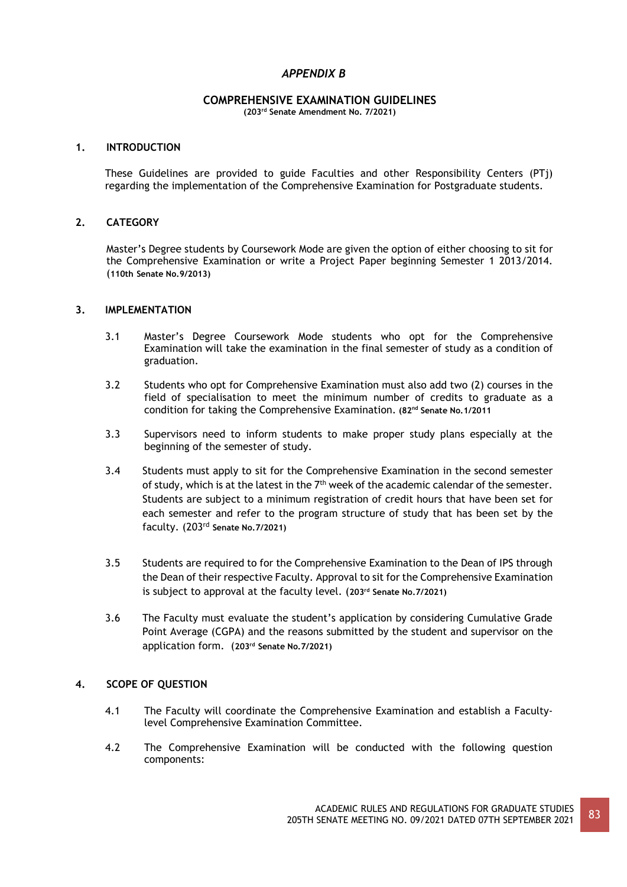# *APPENDIX B*

# **COMPREHENSIVE EXAMINATION GUIDELINES**

**(203rd Senate Amendment No. 7/2021)**

### **1. INTRODUCTION**

These Guidelines are provided to guide Faculties and other Responsibility Centers (PTj) regarding the implementation of the Comprehensive Examination for Postgraduate students.

### **2. CATEGORY**

Master's Degree students by Coursework Mode are given the option of either choosing to sit for the Comprehensive Examination or write a Project Paper beginning Semester 1 2013/2014. (**110th Senate No.9/2013)**

### **3. IMPLEMENTATION**

- 3.1 Master's Degree Coursework Mode students who opt for the Comprehensive Examination will take the examination in the final semester of study as a condition of graduation.
- 3.2 Students who opt for Comprehensive Examination must also add two (2) courses in the field of specialisation to meet the minimum number of credits to graduate as a condition for taking the Comprehensive Examination. **(82nd Senate No.1/2011**
- 3.3 Supervisors need to inform students to make proper study plans especially at the beginning of the semester of study.
- 3.4 Students must apply to sit for the Comprehensive Examination in the second semester of study, which is at the latest in the  $7<sup>th</sup>$  week of the academic calendar of the semester. Students are subject to a minimum registration of credit hours that have been set for each semester and refer to the program structure of study that has been set by the faculty. (203rd **Senate No.7/2021)**
- 3.5 Students are required to for the Comprehensive Examination to the Dean of IPS through the Dean of their respective Faculty. Approval to sit for the Comprehensive Examination is subject to approval at the faculty level. (**203rd Senate No.7/2021)**
- 3.6 The Faculty must evaluate the student's application by considering Cumulative Grade Point Average (CGPA) and the reasons submitted by the student and supervisor on the application form. (**203rd Senate No.7/2021)**

# **4. SCOPE OF QUESTION**

- 4.1 The Faculty will coordinate the Comprehensive Examination and establish a Facultylevel Comprehensive Examination Committee.
- 4.2 The Comprehensive Examination will be conducted with the following question components: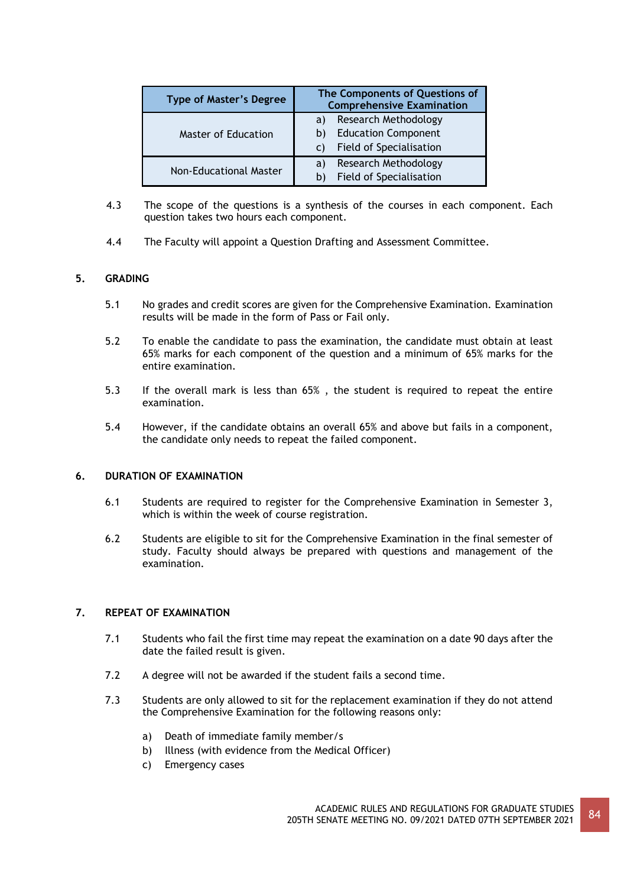| <b>Type of Master's Degree</b> | The Components of Questions of<br><b>Comprehensive Examination</b> |  |
|--------------------------------|--------------------------------------------------------------------|--|
|                                | Research Methodology<br>a)                                         |  |
| Master of Education            | <b>Education Component</b><br>b)                                   |  |
|                                | Field of Specialisation<br>C)                                      |  |
|                                | Research Methodology<br>a)                                         |  |
| <b>Non-Educational Master</b>  | Field of Specialisation<br>b                                       |  |

- 4.3 The scope of the questions is a synthesis of the courses in each component. Each question takes two hours each component.
- 4.4 The Faculty will appoint a Question Drafting and Assessment Committee.

### **5. GRADING**

- 5.1 No grades and credit scores are given for the Comprehensive Examination. Examination results will be made in the form of Pass or Fail only.
- 5.2 To enable the candidate to pass the examination, the candidate must obtain at least 65% marks for each component of the question and a minimum of 65% marks for the entire examination.
- 5.3 If the overall mark is less than 65% , the student is required to repeat the entire examination.
- 5.4 However, if the candidate obtains an overall 65% and above but fails in a component, the candidate only needs to repeat the failed component.

#### **6. DURATION OF EXAMINATION**

- 6.1 Students are required to register for the Comprehensive Examination in Semester 3, which is within the week of course registration.
- 6.2 Students are eligible to sit for the Comprehensive Examination in the final semester of study. Faculty should always be prepared with questions and management of the examination.

#### **7. REPEAT OF EXAMINATION**

- 7.1 Students who fail the first time may repeat the examination on a date 90 days after the date the failed result is given.
- 7.2 A degree will not be awarded if the student fails a second time.
- 7.3 Students are only allowed to sit for the replacement examination if they do not attend the Comprehensive Examination for the following reasons only:
	- a) Death of immediate family member/s
	- b) Illness (with evidence from the Medical Officer)
	- c) Emergency cases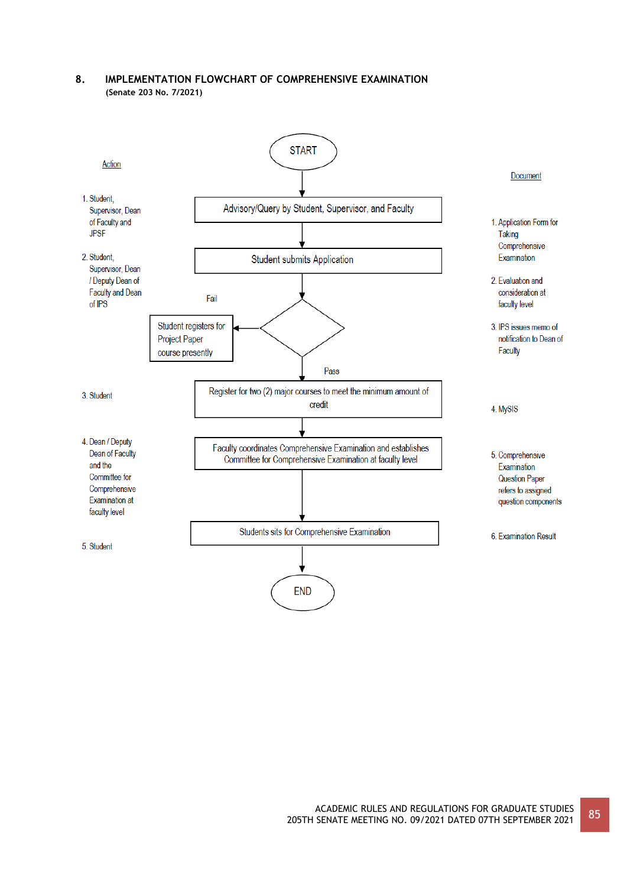# **8. IMPLEMENTATION FLOWCHART OF COMPREHENSIVE EXAMINATION (Senate 203 No. 7/2021)**

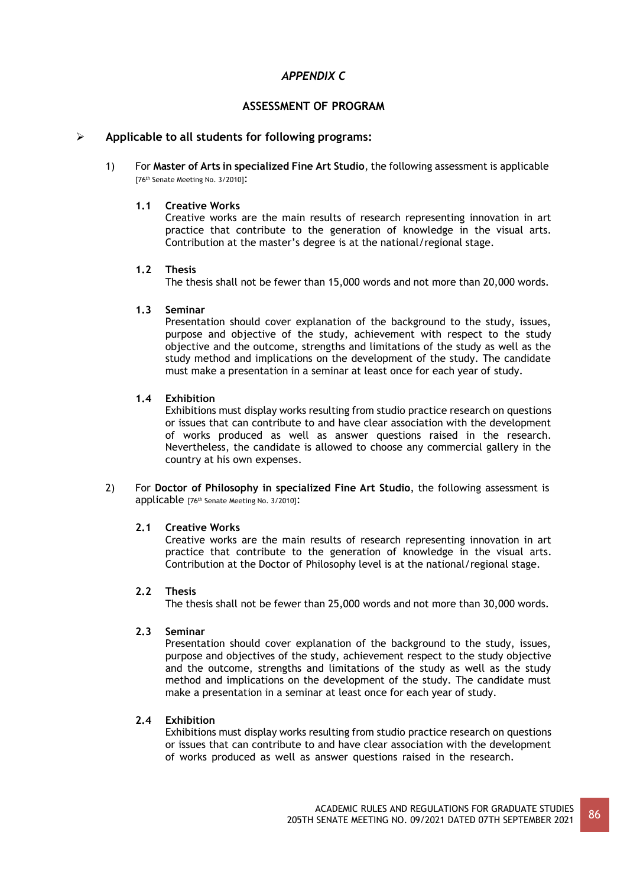# *APPENDIX C*

# **ASSESSMENT OF PROGRAM**

# ➢ **Applicable to all students for following programs:**

1) For **Master of Arts in specialized Fine Art Studio**, the following assessment is applicable [76th Senate Meeting No. 3/2010]:

#### **1.1 Creative Works**

Creative works are the main results of research representing innovation in art practice that contribute to the generation of knowledge in the visual arts. Contribution at the master's degree is at the national/regional stage.

### **1.2 Thesis**

The thesis shall not be fewer than 15,000 words and not more than 20,000 words.

#### **1.3 Seminar**

Presentation should cover explanation of the background to the study, issues, purpose and objective of the study, achievement with respect to the study objective and the outcome, strengths and limitations of the study as well as the study method and implications on the development of the study. The candidate must make a presentation in a seminar at least once for each year of study.

### **1.4 Exhibition**

Exhibitions must display works resulting from studio practice research on questions or issues that can contribute to and have clear association with the development of works produced as well as answer questions raised in the research. Nevertheless, the candidate is allowed to choose any commercial gallery in the country at his own expenses.

2) For **Doctor of Philosophy in specialized Fine Art Studio**, the following assessment is applicable [76th Senate Meeting No. 3/2010]:

#### **2.1 Creative Works**

Creative works are the main results of research representing innovation in art practice that contribute to the generation of knowledge in the visual arts. Contribution at the Doctor of Philosophy level is at the national/regional stage.

#### **2.2 Thesis**

The thesis shall not be fewer than 25,000 words and not more than 30,000 words.

### **2.3 Seminar**

Presentation should cover explanation of the background to the study, issues, purpose and objectives of the study, achievement respect to the study objective and the outcome, strengths and limitations of the study as well as the study method and implications on the development of the study. The candidate must make a presentation in a seminar at least once for each year of study.

### **2.4 Exhibition**

Exhibitions must display works resulting from studio practice research on questions or issues that can contribute to and have clear association with the development of works produced as well as answer questions raised in the research.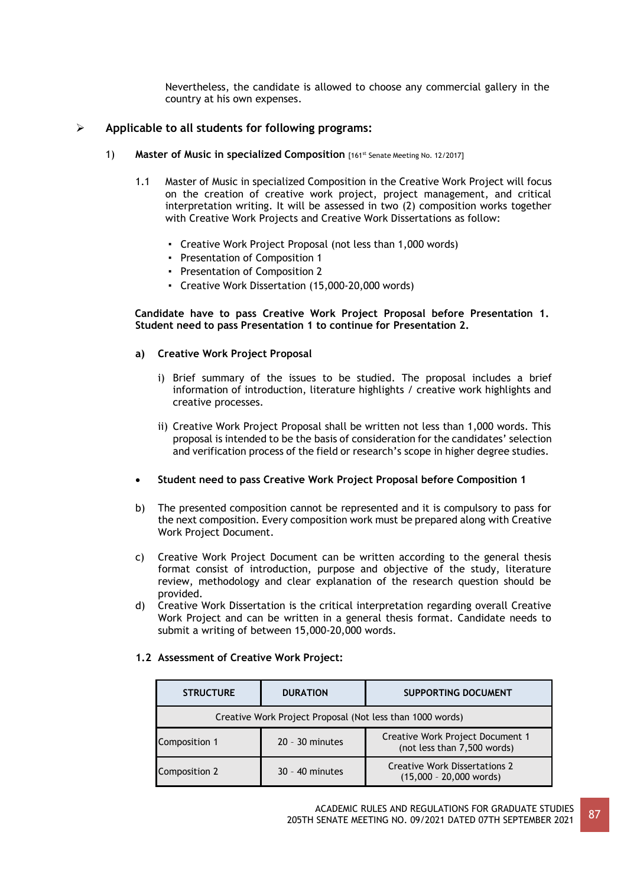Nevertheless, the candidate is allowed to choose any commercial gallery in the country at his own expenses.

# ➢ **Applicable to all students for following programs:**

- 1) **Master of Music in specialized Composition** [161st Senate Meeting No. 12/2017]
	- 1.1 Master of Music in specialized Composition in the Creative Work Project will focus on the creation of creative work project, project management, and critical interpretation writing. It will be assessed in two (2) composition works together with Creative Work Projects and Creative Work Dissertations as follow:
		- Creative Work Project Proposal (not less than 1,000 words)
		- Presentation of Composition 1
		- Presentation of Composition 2
		- Creative Work Dissertation (15,000-20,000 words)

#### **Candidate have to pass Creative Work Project Proposal before Presentation 1. Student need to pass Presentation 1 to continue for Presentation 2.**

### **a) Creative Work Project Proposal**

- i) Brief summary of the issues to be studied. The proposal includes a brief information of introduction, literature highlights / creative work highlights and creative processes.
- ii) Creative Work Project Proposal shall be written not less than 1,000 words. This proposal is intended to be the basis of consideration for the candidates' selection and verification process of the field or research's scope in higher degree studies.
- **Student need to pass Creative Work Project Proposal before Composition 1**
- b) The presented composition cannot be represented and it is compulsory to pass for the next composition. Every composition work must be prepared along with Creative Work Project Document.
- c) Creative Work Project Document can be written according to the general thesis format consist of introduction, purpose and objective of the study, literature review, methodology and clear explanation of the research question should be provided.
- d) Creative Work Dissertation is the critical interpretation regarding overall Creative Work Project and can be written in a general thesis format. Candidate needs to submit a writing of between 15,000-20,000 words.

| <b>STRUCTURE</b>                                          | <b>DURATION</b>   | <b>SUPPORTING DOCUMENT</b>                                        |  |
|-----------------------------------------------------------|-------------------|-------------------------------------------------------------------|--|
| Creative Work Project Proposal (Not less than 1000 words) |                   |                                                                   |  |
| Composition 1                                             | $20 - 30$ minutes | Creative Work Project Document 1<br>(not less than 7,500 words)   |  |
| Composition 2                                             | $30 - 40$ minutes | <b>Creative Work Dissertations 2</b><br>$(15,000 - 20,000$ words) |  |

#### **1.2 Assessment of Creative Work Project:**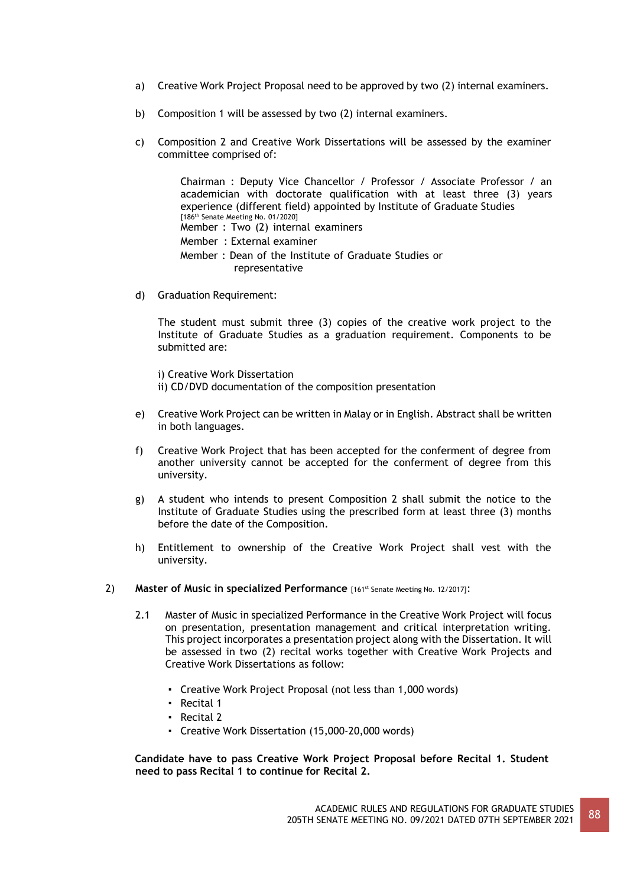- a) Creative Work Project Proposal need to be approved by two (2) internal examiners.
- b) Composition 1 will be assessed by two (2) internal examiners.
- c) Composition 2 and Creative Work Dissertations will be assessed by the examiner committee comprised of:

Chairman : Deputy Vice Chancellor / Professor / Associate Professor / an academician with doctorate qualification with at least three (3) years experience (different field) appointed by Institute of Graduate Studies [186<sup>th</sup> Senate Meeting No. 01/2020] Member : Two (2) internal examiners Member : External examiner Member : Dean of the Institute of Graduate Studies or representative

d) Graduation Requirement:

The student must submit three (3) copies of the creative work project to the Institute of Graduate Studies as a graduation requirement. Components to be submitted are:

i) Creative Work Dissertation ii) CD/DVD documentation of the composition presentation

- e) Creative Work Project can be written in Malay or in English. Abstract shall be written in both languages.
- f) Creative Work Project that has been accepted for the conferment of degree from another university cannot be accepted for the conferment of degree from this university.
- g) A student who intends to present Composition 2 shall submit the notice to the Institute of Graduate Studies using the prescribed form at least three (3) months before the date of the Composition.
- h) Entitlement to ownership of the Creative Work Project shall vest with the university.
- 2) **Master of Music in specialized Performance** [161st Senate Meeting No. 12/2017]:
	- 2.1 Master of Music in specialized Performance in the Creative Work Project will focus on presentation, presentation management and critical interpretation writing. This project incorporates a presentation project along with the Dissertation. It will be assessed in two (2) recital works together with Creative Work Projects and Creative Work Dissertations as follow:
		- Creative Work Project Proposal (not less than 1,000 words)
		- Recital 1
		- Recital 2
		- Creative Work Dissertation (15,000-20,000 words)

**Candidate have to pass Creative Work Project Proposal before Recital 1. Student need to pass Recital 1 to continue for Recital 2.**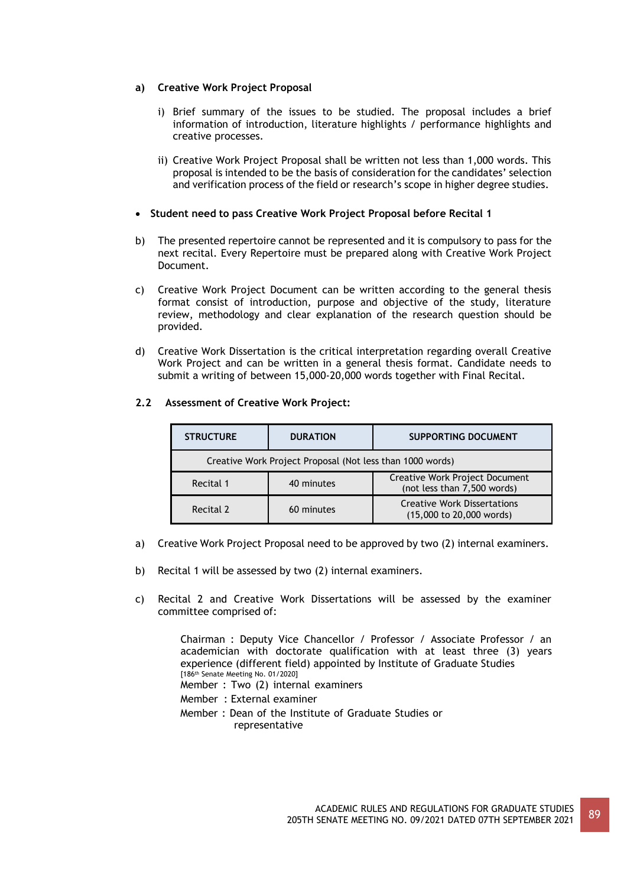# **a) Creative Work Project Proposal**

- i) Brief summary of the issues to be studied. The proposal includes a brief information of introduction, literature highlights / performance highlights and creative processes.
- ii) Creative Work Project Proposal shall be written not less than 1,000 words. This proposal is intended to be the basis of consideration for the candidates' selection and verification process of the field or research's scope in higher degree studies.

# • **Student need to pass Creative Work Project Proposal before Recital 1**

- b) The presented repertoire cannot be represented and it is compulsory to pass for the next recital. Every Repertoire must be prepared along with Creative Work Project Document.
- c) Creative Work Project Document can be written according to the general thesis format consist of introduction, purpose and objective of the study, literature review, methodology and clear explanation of the research question should be provided.
- d) Creative Work Dissertation is the critical interpretation regarding overall Creative Work Project and can be written in a general thesis format. Candidate needs to submit a writing of between 15,000-20,000 words together with Final Recital.

# **2.2 Assessment of Creative Work Project:**

| <b>STRUCTURE</b>                                          | <b>DURATION</b> | <b>SUPPORTING DOCUMENT</b>                                     |  |
|-----------------------------------------------------------|-----------------|----------------------------------------------------------------|--|
| Creative Work Project Proposal (Not less than 1000 words) |                 |                                                                |  |
| Recital 1                                                 | 40 minutes      | Creative Work Project Document<br>(not less than 7,500 words)  |  |
| Recital 2                                                 | 60 minutes      | <b>Creative Work Dissertations</b><br>(15,000 to 20,000 words) |  |

- a) Creative Work Project Proposal need to be approved by two (2) internal examiners.
- b) Recital 1 will be assessed by two (2) internal examiners.
- c) Recital 2 and Creative Work Dissertations will be assessed by the examiner committee comprised of:

Chairman : Deputy Vice Chancellor / Professor / Associate Professor / an academician with doctorate qualification with at least three (3) years experience (different field) appointed by Institute of Graduate Studies [186th Senate Meeting No. 01/2020]

Member : Two (2) internal examiners

Member : External examiner

Member : Dean of the Institute of Graduate Studies or representative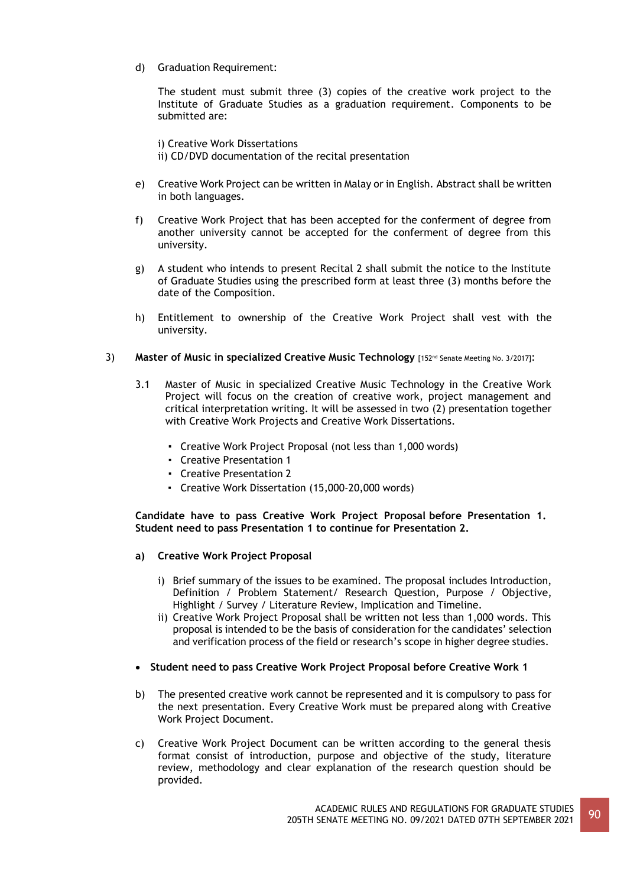d) Graduation Requirement:

The student must submit three (3) copies of the creative work project to the Institute of Graduate Studies as a graduation requirement. Components to be submitted are:

i) Creative Work Dissertations ii) CD/DVD documentation of the recital presentation

- e) Creative Work Project can be written in Malay or in English. Abstract shall be written in both languages.
- f) Creative Work Project that has been accepted for the conferment of degree from another university cannot be accepted for the conferment of degree from this university.
- g) A student who intends to present Recital 2 shall submit the notice to the Institute of Graduate Studies using the prescribed form at least three (3) months before the date of the Composition.
- h) Entitlement to ownership of the Creative Work Project shall vest with the university.
- 3) **Master of Music in specialized Creative Music Technology** [152nd Senate Meeting No. 3/2017]:
	- 3.1 Master of Music in specialized Creative Music Technology in the Creative Work Project will focus on the creation of creative work, project management and critical interpretation writing. It will be assessed in two (2) presentation together with Creative Work Projects and Creative Work Dissertations.
		- Creative Work Project Proposal (not less than 1,000 words)
		- Creative Presentation 1
		- Creative Presentation 2
		- Creative Work Dissertation (15,000-20,000 words)

**Candidate have to pass Creative Work Project Proposal before Presentation 1. Student need to pass Presentation 1 to continue for Presentation 2.**

- **a) Creative Work Project Proposal**
	- i) Brief summary of the issues to be examined. The proposal includes Introduction, Definition / Problem Statement/ Research Question, Purpose / Objective, Highlight / Survey / Literature Review, Implication and Timeline.
	- ii) Creative Work Project Proposal shall be written not less than 1,000 words. This proposal is intended to be the basis of consideration for the candidates' selection and verification process of the field or research's scope in higher degree studies.
- **Student need to pass Creative Work Project Proposal before Creative Work 1**
- b) The presented creative work cannot be represented and it is compulsory to pass for the next presentation. Every Creative Work must be prepared along with Creative Work Project Document.
- c) Creative Work Project Document can be written according to the general thesis format consist of introduction, purpose and objective of the study, literature review, methodology and clear explanation of the research question should be provided.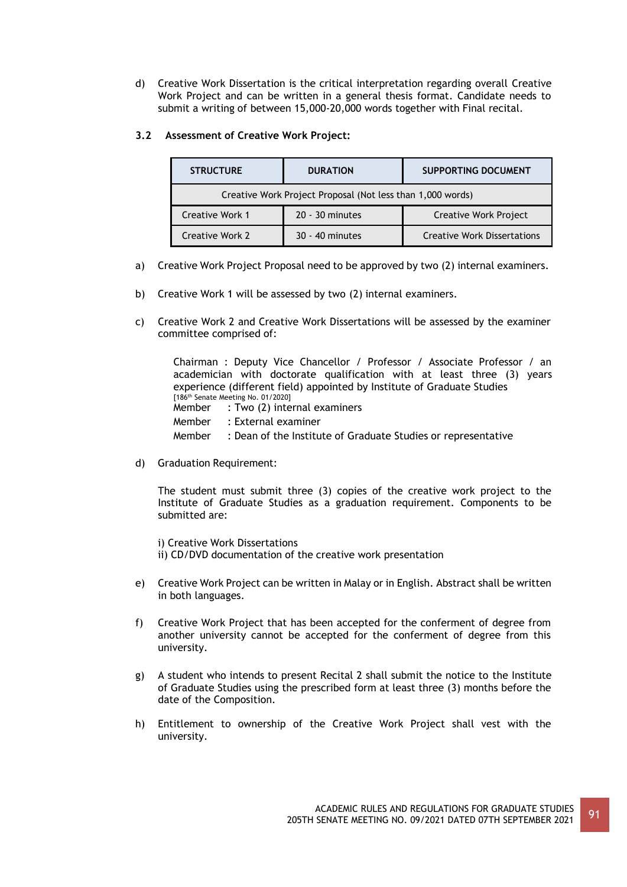d) Creative Work Dissertation is the critical interpretation regarding overall Creative Work Project and can be written in a general thesis format. Candidate needs to submit a writing of between 15,000-20,000 words together with Final recital.

# **3.2 Assessment of Creative Work Project:**

| <b>STRUCTURE</b>                                           | <b>DURATION</b> | <b>SUPPORTING DOCUMENT</b>         |  |
|------------------------------------------------------------|-----------------|------------------------------------|--|
| Creative Work Project Proposal (Not less than 1,000 words) |                 |                                    |  |
| <b>Creative Work 1</b><br>20 - 30 minutes                  |                 | Creative Work Project              |  |
| <b>Creative Work 2</b>                                     | 30 - 40 minutes | <b>Creative Work Dissertations</b> |  |

- a) Creative Work Project Proposal need to be approved by two (2) internal examiners.
- b) Creative Work 1 will be assessed by two (2) internal examiners.
- c) Creative Work 2 and Creative Work Dissertations will be assessed by the examiner committee comprised of:

Chairman : Deputy Vice Chancellor / Professor / Associate Professor / an academician with doctorate qualification with at least three (3) years experience (different field) appointed by Institute of Graduate Studies [186th Senate Meeting No. 01/2020] Member : Two (2) internal examiners Member : External examiner Member : Dean of the Institute of Graduate Studies or representative

d) Graduation Requirement:

The student must submit three (3) copies of the creative work project to the Institute of Graduate Studies as a graduation requirement. Components to be submitted are:

i) Creative Work Dissertations ii) CD/DVD documentation of the creative work presentation

- e) Creative Work Project can be written in Malay or in English. Abstract shall be written in both languages.
- f) Creative Work Project that has been accepted for the conferment of degree from another university cannot be accepted for the conferment of degree from this university.
- g) A student who intends to present Recital 2 shall submit the notice to the Institute of Graduate Studies using the prescribed form at least three (3) months before the date of the Composition.
- h) Entitlement to ownership of the Creative Work Project shall vest with the university.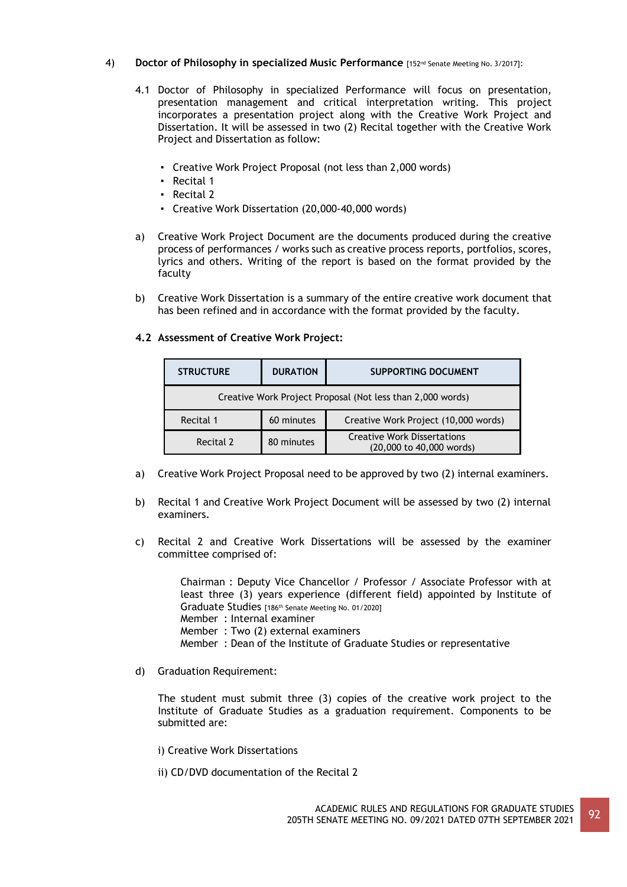### 4) **Doctor of Philosophy in specialized Music Performance** [152nd Senate Meeting No. 3/2017]:

- 4.1 Doctor of Philosophy in specialized Performance will focus on presentation, presentation management and critical interpretation writing. This project incorporates a presentation project along with the Creative Work Project and Dissertation. It will be assessed in two (2) Recital together with the Creative Work Project and Dissertation as follow:
	- Creative Work Project Proposal (not less than 2,000 words)
	- Recital 1
	- Recital 2
	- Creative Work Dissertation (20,000-40,000 words)
- a) Creative Work Project Document are the documents produced during the creative process of performances / works such as creative process reports, portfolios, scores, lyrics and others. Writing of the report is based on the format provided by the faculty
- b) Creative Work Dissertation is a summary of the entire creative work document that has been refined and in accordance with the format provided by the faculty.

### **4.2 Assessment of Creative Work Project:**

| <b>STRUCTURE</b>                                           | <b>DURATION</b> | <b>SUPPORTING DOCUMENT</b>                                     |  |
|------------------------------------------------------------|-----------------|----------------------------------------------------------------|--|
| Creative Work Project Proposal (Not less than 2,000 words) |                 |                                                                |  |
| Recital 1                                                  | 60 minutes      | Creative Work Project (10,000 words)                           |  |
| Recital 2                                                  | 80 minutes      | <b>Creative Work Dissertations</b><br>(20,000 to 40,000 words) |  |

- a) Creative Work Project Proposal need to be approved by two (2) internal examiners.
- b) Recital 1 and Creative Work Project Document will be assessed by two (2) internal examiners.
- c) Recital 2 and Creative Work Dissertations will be assessed by the examiner committee comprised of:

Chairman : Deputy Vice Chancellor / Professor / Associate Professor with at least three (3) years experience (different field) appointed by Institute of Graduate Studies [186<sup>th</sup> Senate Meeting No. 01/2020] Member : Internal examiner

- 
- Member : Two (2) external examiners
- Member : Dean of the Institute of Graduate Studies or representative
- d) Graduation Requirement:

The student must submit three (3) copies of the creative work project to the Institute of Graduate Studies as a graduation requirement. Components to be submitted are:

- i) Creative Work Dissertations
- ii) CD/DVD documentation of the Recital 2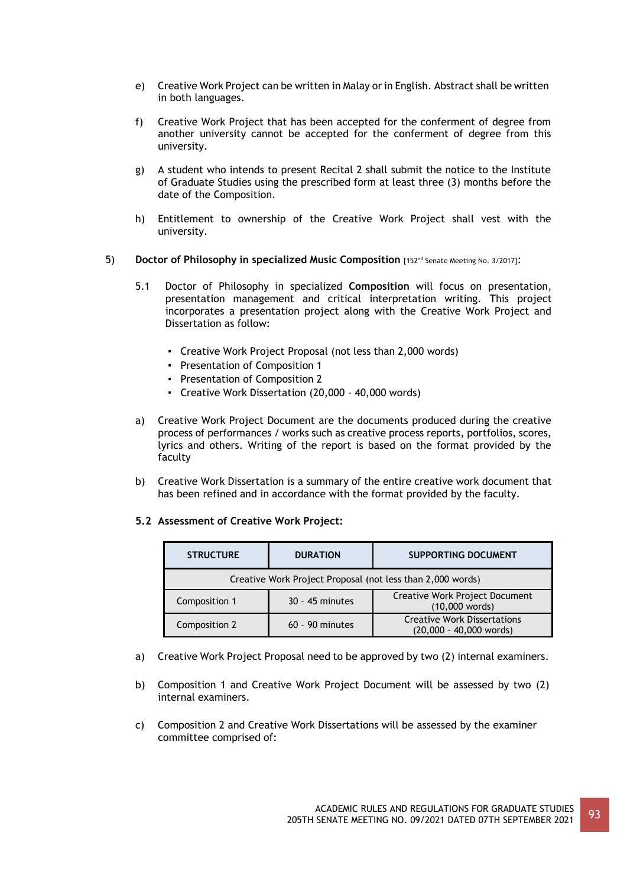- e) Creative Work Project can be written in Malay or in English. Abstract shall be written in both languages.
- f) Creative Work Project that has been accepted for the conferment of degree from another university cannot be accepted for the conferment of degree from this university.
- g) A student who intends to present Recital 2 shall submit the notice to the Institute of Graduate Studies using the prescribed form at least three (3) months before the date of the Composition.
- h) Entitlement to ownership of the Creative Work Project shall vest with the university.
- 5) **Doctor of Philosophy in specialized Music Composition** [152nd Senate Meeting No. 3/2017]:
	- 5.1 Doctor of Philosophy in specialized **Composition** will focus on presentation, presentation management and critical interpretation writing. This project incorporates a presentation project along with the Creative Work Project and Dissertation as follow:
		- Creative Work Project Proposal (not less than 2,000 words)
		- Presentation of Composition 1
		- Presentation of Composition 2
		- Creative Work Dissertation (20,000 40,000 words)
	- a) Creative Work Project Document are the documents produced during the creative process of performances / works such as creative process reports, portfolios, scores, lyrics and others. Writing of the report is based on the format provided by the faculty
	- b) Creative Work Dissertation is a summary of the entire creative work document that has been refined and in accordance with the format provided by the faculty.

#### **5.2 Assessment of Creative Work Project:**

| <b>STRUCTURE</b>                                           | <b>DURATION</b>   | <b>SUPPORTING DOCUMENT</b>                                      |  |
|------------------------------------------------------------|-------------------|-----------------------------------------------------------------|--|
| Creative Work Project Proposal (not less than 2,000 words) |                   |                                                                 |  |
| Composition 1                                              | $30 - 45$ minutes | <b>Creative Work Project Document</b><br>(10,000 words)         |  |
| Composition 2                                              | $60 - 90$ minutes | <b>Creative Work Dissertations</b><br>$(20,000 - 40,000$ words) |  |

- a) Creative Work Project Proposal need to be approved by two (2) internal examiners.
- b) Composition 1 and Creative Work Project Document will be assessed by two (2) internal examiners.
- c) Composition 2 and Creative Work Dissertations will be assessed by the examiner committee comprised of: